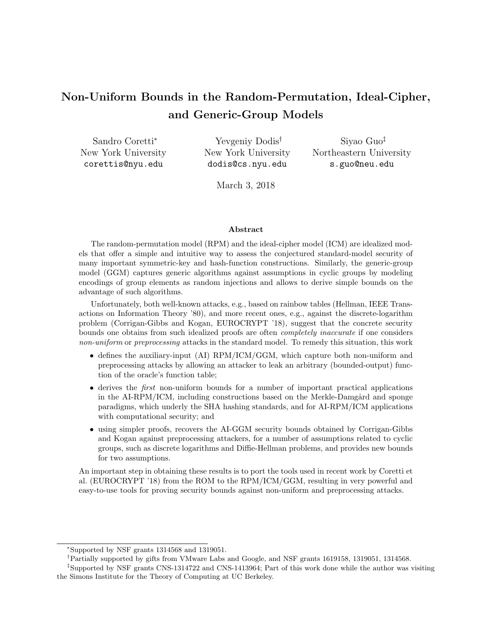# Non-Uniform Bounds in the Random-Permutation, Ideal-Cipher, and Generic-Group Models

Sandro Coretti<sup>∗</sup> New York University corettis@nyu.edu

Yevgeniy Dodis† New York University dodis@cs.nyu.edu

Siyao Guo‡ Northeastern University s.guo@neu.edu

March 3, 2018

#### Abstract

The random-permutation model (RPM) and the ideal-cipher model (ICM) are idealized models that offer a simple and intuitive way to assess the conjectured standard-model security of many important symmetric-key and hash-function constructions. Similarly, the generic-group model (GGM) captures generic algorithms against assumptions in cyclic groups by modeling encodings of group elements as random injections and allows to derive simple bounds on the advantage of such algorithms.

Unfortunately, both well-known attacks, e.g., based on rainbow tables (Hellman, IEEE Transactions on Information Theory '80), and more recent ones, e.g., against the discrete-logarithm problem (Corrigan-Gibbs and Kogan, EUROCRYPT '18), suggest that the concrete security bounds one obtains from such idealized proofs are often completely inaccurate if one considers non-uniform or preprocessing attacks in the standard model. To remedy this situation, this work

- defines the auxiliary-input (AI) RPM/ICM/GGM, which capture both non-uniform and preprocessing attacks by allowing an attacker to leak an arbitrary (bounded-output) function of the oracle's function table;
- derives the first non-uniform bounds for a number of important practical applications in the AI-RPM/ICM, including constructions based on the Merkle-Damgård and sponge paradigms, which underly the SHA hashing standards, and for AI-RPM/ICM applications with computational security; and
- using simpler proofs, recovers the AI-GGM security bounds obtained by Corrigan-Gibbs and Kogan against preprocessing attackers, for a number of assumptions related to cyclic groups, such as discrete logarithms and Diffie-Hellman problems, and provides new bounds for two assumptions.

An important step in obtaining these results is to port the tools used in recent work by Coretti et al. (EUROCRYPT '18) from the ROM to the RPM/ICM/GGM, resulting in very powerful and easy-to-use tools for proving security bounds against non-uniform and preprocessing attacks.

<sup>∗</sup>Supported by NSF grants 1314568 and 1319051.

<sup>†</sup>Partially supported by gifts from VMware Labs and Google, and NSF grants 1619158, 1319051, 1314568.

<sup>‡</sup>Supported by NSF grants CNS-1314722 and CNS-1413964; Part of this work done while the author was visiting the Simons Institute for the Theory of Computing at UC Berkeley.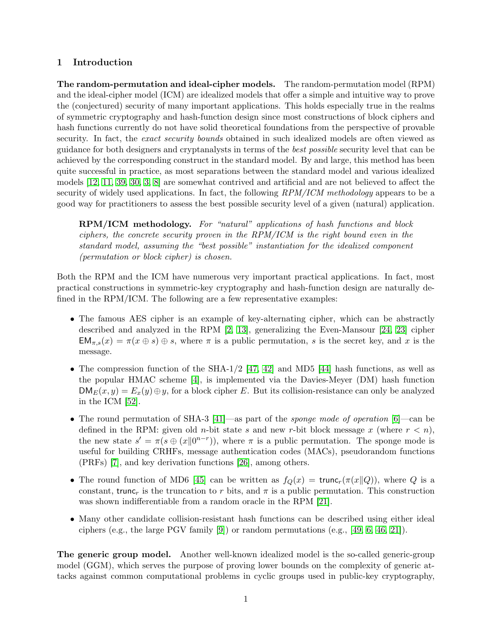# 1 Introduction

The random-permutation and ideal-cipher models. The random-permutation model (RPM) and the ideal-cipher model (ICM) are idealized models that offer a simple and intuitive way to prove the (conjectured) security of many important applications. This holds especially true in the realms of symmetric cryptography and hash-function design since most constructions of block ciphers and hash functions currently do not have solid theoretical foundations from the perspective of provable security. In fact, the *exact security bounds* obtained in such idealized models are often viewed as guidance for both designers and cryptanalysts in terms of the best possible security level that can be achieved by the corresponding construct in the standard model. By and large, this method has been quite successful in practice, as most separations between the standard model and various idealized models [\[12,](#page-24-0) [11,](#page-24-1) [39,](#page-26-0) [30,](#page-25-0) [3,](#page-23-0) [8\]](#page-23-1) are somewhat contrived and artificial and are not believed to affect the security of widely used applications. In fact, the following *RPM/ICM methodology* appears to be a good way for practitioners to assess the best possible security level of a given (natural) application.

RPM/ICM methodology. For "natural" applications of hash functions and block ciphers, the concrete security proven in the RPM/ICM is the right bound even in the standard model, assuming the "best possible" instantiation for the idealized component (permutation or block cipher) is chosen.

Both the RPM and the ICM have numerous very important practical applications. In fact, most practical constructions in symmetric-key cryptography and hash-function design are naturally defined in the RPM/ICM. The following are a few representative examples:

- The famous AES cipher is an example of key-alternating cipher, which can be abstractly described and analyzed in the RPM [\[2,](#page-23-2) [13\]](#page-24-2), generalizing the Even-Mansour [\[24,](#page-25-1) [23\]](#page-24-3) cipher  $EM_{\pi,s}(x) = \pi(x \oplus s) \oplus s$ , where  $\pi$  is a public permutation, s is the secret key, and x is the message.
- The compression function of the SHA-1/2 [\[47,](#page-26-1) [42\]](#page-26-2) and MD5 [\[44\]](#page-26-3) hash functions, as well as the popular HMAC scheme [\[4\]](#page-23-3), is implemented via the Davies-Meyer (DM) hash function  $DM_E(x, y) = E_x(y) \oplus y$ , for a block cipher E. But its collision-resistance can only be analyzed in the ICM [\[52\]](#page-27-0).
- The round permutation of SHA-3 [\[41\]](#page-26-4)—as part of the *sponge mode of operation* [\[6\]](#page-23-4)—can be defined in the RPM: given old *n*-bit state s and new r-bit block message x (where  $r < n$ ). the new state  $s' = \pi(s \oplus (x||0^{n-r}))$ , where  $\pi$  is a public permutation. The sponge mode is useful for building CRHFs, message authentication codes (MACs), pseudorandom functions (PRFs) [\[7\]](#page-23-5), and key derivation functions [\[26\]](#page-25-2), among others.
- The round function of MD6 [\[45\]](#page-26-5) can be written as  $f_Q(x) = \text{trunc}_r(\pi(x||Q))$ , where Q is a constant, trunc<sub>r</sub> is the truncation to r bits, and  $\pi$  is a public permutation. This construction was shown indifferentiable from a random oracle in the RPM [\[21\]](#page-24-4).
- Many other candidate collision-resistant hash functions can be described using either ideal ciphers (e.g., the large PGV family  $[9]$ ) or random permutations (e.g.,  $[49, 6, 46, 21]$  $[49, 6, 46, 21]$  $[49, 6, 46, 21]$  $[49, 6, 46, 21]$ ).

The generic group model. Another well-known idealized model is the so-called generic-group model (GGM), which serves the purpose of proving lower bounds on the complexity of generic attacks against common computational problems in cyclic groups used in public-key cryptography,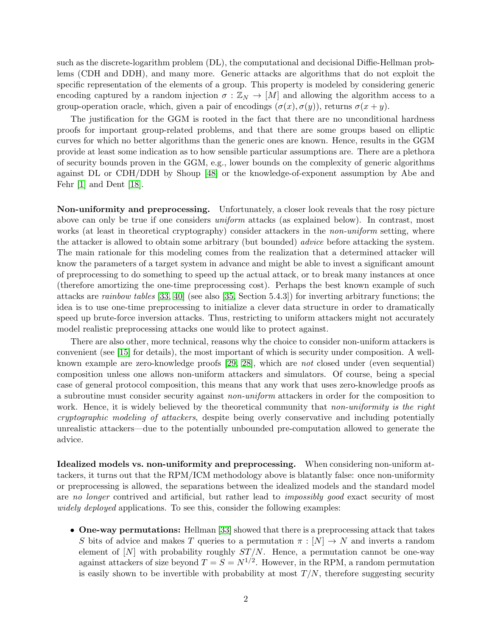such as the discrete-logarithm problem (DL), the computational and decisional Diffie-Hellman problems (CDH and DDH), and many more. Generic attacks are algorithms that do not exploit the specific representation of the elements of a group. This property is modeled by considering generic encoding captured by a random injection  $\sigma : \mathbb{Z}_N \to [M]$  and allowing the algorithm access to a group-operation oracle, which, given a pair of encodings  $(\sigma(x), \sigma(y))$ , returns  $\sigma(x + y)$ .

The justification for the GGM is rooted in the fact that there are no unconditional hardness proofs for important group-related problems, and that there are some groups based on elliptic curves for which no better algorithms than the generic ones are known. Hence, results in the GGM provide at least some indication as to how sensible particular assumptions are. There are a plethora of security bounds proven in the GGM, e.g., lower bounds on the complexity of generic algorithms against DL or CDH/DDH by Shoup [\[48\]](#page-26-8) or the knowledge-of-exponent assumption by Abe and Fehr [\[1\]](#page-23-7) and Dent [\[18\]](#page-24-5).

Non-uniformity and preprocessing. Unfortunately, a closer look reveals that the rosy picture above can only be true if one considers uniform attacks (as explained below). In contrast, most works (at least in theoretical cryptography) consider attackers in the *non-uniform* setting, where the attacker is allowed to obtain some arbitrary (but bounded) advice before attacking the system. The main rationale for this modeling comes from the realization that a determined attacker will know the parameters of a target system in advance and might be able to invest a significant amount of preprocessing to do something to speed up the actual attack, or to break many instances at once (therefore amortizing the one-time preprocessing cost). Perhaps the best known example of such attacks are rainbow tables [\[33,](#page-25-3) [40\]](#page-26-9) (see also [\[35,](#page-25-4) Section 5.4.3]) for inverting arbitrary functions; the idea is to use one-time preprocessing to initialize a clever data structure in order to dramatically speed up brute-force inversion attacks. Thus, restricting to uniform attackers might not accurately model realistic preprocessing attacks one would like to protect against.

There are also other, more technical, reasons why the choice to consider non-uniform attackers is convenient (see [\[15\]](#page-24-6) for details), the most important of which is security under composition. A wellknown example are zero-knowledge proofs [\[29,](#page-25-5) [28\]](#page-25-6), which are not closed under (even sequential) composition unless one allows non-uniform attackers and simulators. Of course, being a special case of general protocol composition, this means that any work that uses zero-knowledge proofs as a subroutine must consider security against non-uniform attackers in order for the composition to work. Hence, it is widely believed by the theoretical community that non-uniformity is the right cryptographic modeling of attackers, despite being overly conservative and including potentially unrealistic attackers—due to the potentially unbounded pre-computation allowed to generate the advice.

Idealized models vs. non-uniformity and preprocessing. When considering non-uniform attackers, it turns out that the RPM/ICM methodology above is blatantly false: once non-uniformity or preprocessing is allowed, the separations between the idealized models and the standard model are no longer contrived and artificial, but rather lead to *impossibly good* exact security of most widely deployed applications. To see this, consider the following examples:

• One-way permutations: Hellman [\[33\]](#page-25-3) showed that there is a preprocessing attack that takes S bits of advice and makes T queries to a permutation  $\pi : [N] \to N$  and inverts a random element of  $[N]$  with probability roughly  $ST/N$ . Hence, a permutation cannot be one-way against attackers of size beyond  $T = S = N^{1/2}$ . However, in the RPM, a random permutation is easily shown to be invertible with probability at most  $T/N$ , therefore suggesting security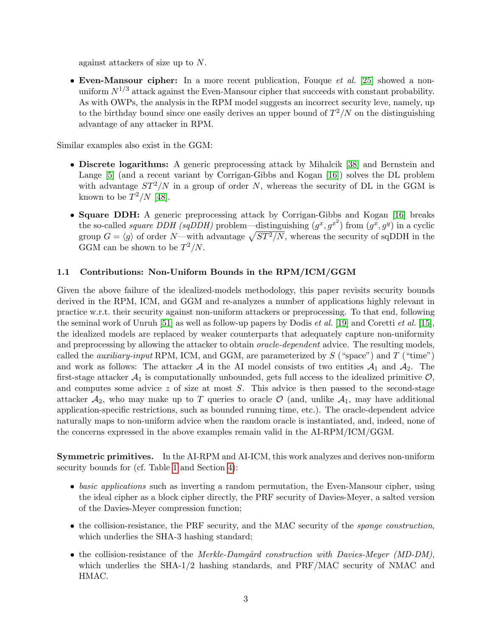against attackers of size up to N.

• Even-Mansour cipher: In a more recent publication, Fouque *et al.* [\[25\]](#page-25-7) showed a nonuniform  $N^{1/3}$  attack against the Even-Mansour cipher that succeeds with constant probability. As with OWPs, the analysis in the RPM model suggests an incorrect security leve, namely, up to the birthday bound since one easily derives an upper bound of  $T^2/N$  on the distinguishing advantage of any attacker in RPM.

Similar examples also exist in the GGM:

- Discrete logarithms: A generic preprocessing attack by Mihalcik [\[38\]](#page-26-10) and Bernstein and Lange [\[5\]](#page-23-8) (and a recent variant by Corrigan-Gibbs and Kogan [\[16\]](#page-24-7)) solves the DL problem with advantage  $ST^2/N$  in a group of order N, whereas the security of DL in the GGM is known to be  $T^2/N$  [\[48\]](#page-26-8).
- Square DDH: A generic preprocessing attack by Corrigan-Gibbs and Kogan [\[16\]](#page-24-7) breaks the so-called *square DDH (sqDDH)* problem—distinguishing  $(g^x, g^{x^2})$  from  $(g^x, g^y)$  in a cyclic group  $G = \langle g \rangle$  of order N—with advantage  $\sqrt{ST^2/N}$ , whereas the security of sqDDH in the GGM can be shown to be  $T^2/N$ .

# 1.1 Contributions: Non-Uniform Bounds in the RPM/ICM/GGM

Given the above failure of the idealized-models methodology, this paper revisits security bounds derived in the RPM, ICM, and GGM and re-analyzes a number of applications highly relevant in practice w.r.t. their security against non-uniform attackers or preprocessing. To that end, following the seminal work of Unruh [\[51\]](#page-27-1) as well as follow-up papers by Dodis *et al.* [\[19\]](#page-24-8) and Coretti *et al.* [\[15\]](#page-24-6), the idealized models are replaced by weaker counterparts that adequately capture non-uniformity and preprocessing by allowing the attacker to obtain *oracle-dependent* advice. The resulting models, called the *auxiliary-input* RPM, ICM, and GGM, are parameterized by  $S$  ("space") and  $T$  ("time") and work as follows: The attacker A in the AI model consists of two entities  $A_1$  and  $A_2$ . The first-stage attacker  $A_1$  is computationally unbounded, gets full access to the idealized primitive  $O$ , and computes some advice  $z$  of size at most  $S$ . This advice is then passed to the second-stage attacker  $A_2$ , who may make up to T queries to oracle O (and, unlike  $A_1$ , may have additional application-specific restrictions, such as bounded running time, etc.). The oracle-dependent advice naturally maps to non-uniform advice when the random oracle is instantiated, and, indeed, none of the concerns expressed in the above examples remain valid in the AI-RPM/ICM/GGM.

Symmetric primitives. In the AI-RPM and AI-ICM, this work analyzes and derives non-uniform security bounds for (cf. Table [1](#page-4-0) and Section [4\)](#page-10-0):

- basic applications such as inverting a random permutation, the Even-Mansour cipher, using the ideal cipher as a block cipher directly, the PRF security of Davies-Meyer, a salted version of the Davies-Meyer compression function;
- the collision-resistance, the PRF security, and the MAC security of the *sponge construction*, which underlies the SHA-3 hashing standard;
- the collision-resistance of the *Merkle-Damgård construction with Davies-Meyer (MD-DM)*, which underlies the SHA-1/2 hashing standards, and PRF/MAC security of NMAC and HMAC.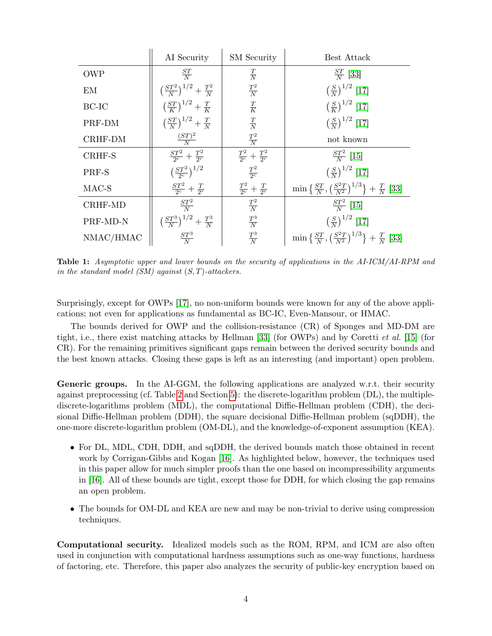<span id="page-4-0"></span>

|            | AI Security                                         | <b>SM</b> Security                  | Best Attack                                                                               |
|------------|-----------------------------------------------------|-------------------------------------|-------------------------------------------------------------------------------------------|
| <b>OWP</b> | $\frac{ST}{N}$                                      | $\frac{T}{N}$                       | $\frac{ST}{N}$ [33]                                                                       |
| EM         | $\left(\frac{ST^2}{N}\right)^{1/2} + \frac{T^2}{N}$ | $\frac{T^2}{N}$                     | $\left(\frac{S}{N}\right)^{1/2}$ [17]                                                     |
| BC-IC      | $\left(\frac{ST}{K}\right)^{1/2}+\frac{T}{K}$       | $\frac{T}{K}$                       | $\left(\frac{S}{K}\right)^{1/2}$ [17]                                                     |
| PRF-DM     | $\left(\frac{ST}{N}\right)^{1/2}+\frac{T}{N}$       | $\frac{T}{N}$                       | $\left(\frac{S}{N}\right)^{1/2}$ [17]                                                     |
| CRHF-DM    | $\frac{(ST)^2}{N}$                                  | $\frac{T^2}{N}$                     | not known                                                                                 |
| CRHF-S     | $\frac{ST^2}{2c}+\frac{T^2}{2r}$                    | $\frac{T^2}{2^c} + \frac{T^2}{2^r}$ | $\frac{ST^2}{N}$ [15]                                                                     |
| PRF-S      | $\left(\frac{ST^2}{2^c}\right)^{1/2}$               | $\frac{T^2}{2^c}$                   | $\left(\frac{S}{N}\right)^{1/2}$ [17]                                                     |
| MAC-S      | $\frac{ST^2}{2c}+\frac{T}{2r}$                      | $\frac{T^2}{2^c}+\frac{T}{2^r}$     | $\min\left\{\frac{ST}{N}, \left(\frac{S^2T}{N^2}\right)^{1/3}\right\} + \frac{T}{N}$ [33] |
| CRHF-MD    | $\frac{ST^2}{N}$                                    | $\frac{T^2}{N}$                     | $\frac{ST^2}{N}$ [15]                                                                     |
| PRF-MD-N   | $\left(\frac{ST^3}{N}\right)^{1/2} + \frac{T^3}{N}$ | $\frac{T^3}{N}$                     | $\left(\frac{S}{N}\right)^{1/2}$ [17]                                                     |
| NMAC/HMAC  | $\frac{ST^3}{N}$                                    | $\frac{T^3}{N}$                     | $\min\left\{\frac{ST}{N}, \left(\frac{S^2T}{N^2}\right)^{1/3}\right\} + \frac{T}{N}$ [33] |

Table 1: Asymptotic upper and lower bounds on the security of applications in the AI-ICM/AI-RPM and in the standard model (SM) against  $(S, T)$ -attackers.

Surprisingly, except for OWPs [\[17\]](#page-24-9), no non-uniform bounds were known for any of the above applications; not even for applications as fundamental as BC-IC, Even-Mansour, or HMAC.

The bounds derived for OWP and the collision-resistance (CR) of Sponges and MD-DM are tight, i.e., there exist matching attacks by Hellman [\[33\]](#page-25-3) (for OWPs) and by Coretti et al. [\[15\]](#page-24-6) (for CR). For the remaining primitives significant gaps remain between the derived security bounds and the best known attacks. Closing these gaps is left as an interesting (and important) open problem.

Generic groups. In the AI-GGM, the following applications are analyzed w.r.t. their security against preprocessing (cf. Table [2](#page-5-0) and Section [5\)](#page-19-0): the discrete-logarithm problem (DL), the multiplediscrete-logarithms problem (MDL), the computational Diffie-Hellman problem (CDH), the decisional Diffie-Hellman problem (DDH), the square decisional Diffie-Hellman problem (sqDDH), the one-more discrete-logarithm problem (OM-DL), and the knowledge-of-exponent assumption (KEA).

- For DL, MDL, CDH, DDH, and sqDDH, the derived bounds match those obtained in recent work by Corrigan-Gibbs and Kogan [\[16\]](#page-24-7). As highlighted below, however, the techniques used in this paper allow for much simpler proofs than the one based on incompressibility arguments in [\[16\]](#page-24-7). All of these bounds are tight, except those for DDH, for which closing the gap remains an open problem.
- The bounds for OM-DL and KEA are new and may be non-trivial to derive using compression techniques.

Computational security. Idealized models such as the ROM, RPM, and ICM are also often used in conjunction with computational hardness assumptions such as one-way functions, hardness of factoring, etc. Therefore, this paper also analyzes the security of public-key encryption based on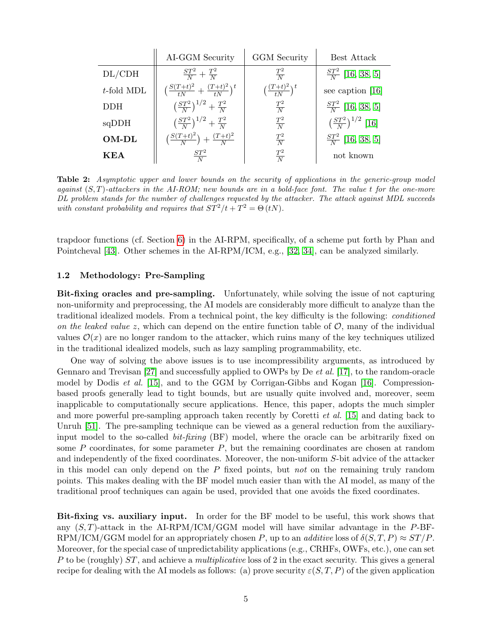<span id="page-5-0"></span>

|                              | AI-GGM Security                                           | <b>GGM</b> Security                 | Best Attack                              |
|------------------------------|-----------------------------------------------------------|-------------------------------------|------------------------------------------|
| DL/CDH                       | $\frac{ST^2}{N}+\frac{T^2}{N}$                            | $\frac{T^2}{N}$                     | $\frac{ST^2}{N}$ [16, 38, 5]             |
| $t\mathsf{\text{-}fold}$ MDL | $\left(\frac{S(T+t)^2}{4N} + \frac{(T+t)^2}{tN}\right)^t$ | $\left(\frac{(T+t)^2}{tN}\right)^t$ | see caption $[16]$                       |
| <b>DDH</b>                   | $\left(\frac{ST^2}{N}\right)^{1/2} + \frac{T^2}{N}$       | $\frac{T^2}{N}$                     | $\frac{ST^2}{N}$ [16, 38, 5]             |
| sqDDH                        | $\left(\frac{ST^2}{N}\right)^{1/2} + \frac{T^2}{N}$       | $\frac{T^2}{N}$                     | $\left(\frac{ST^2}{N}\right)^{1/2}$ [16] |
| <b>OM-DL</b>                 | $\left(\frac{S(T+t)^2}{N}\right) + \frac{(T+t)^2}{N}$     | $\frac{T^2}{N}$                     | $\frac{ST^2}{N}$ [16, 38, 5]             |
| <b>KEA</b>                   | $\frac{ST^2}{N}$                                          | $T^2$                               | not known                                |

Table 2: Asymptotic upper and lower bounds on the security of applications in the generic-group model against  $(S, T)$ -attackers in the AI-ROM; new bounds are in a bold-face font. The value t for the one-more DL problem stands for the number of challenges requested by the attacker. The attack against MDL succeeds with constant probability and requires that  $ST^2/t + T^2 = \Theta(tN)$ .

trapdoor functions (cf. Section [6\)](#page-22-0) in the AI-RPM, specifically, of a scheme put forth by Phan and Pointcheval [\[43\]](#page-26-11). Other schemes in the AI-RPM/ICM, e.g., [\[32,](#page-25-8) [34\]](#page-25-9), can be analyzed similarly.

#### 1.2 Methodology: Pre-Sampling

Bit-fixing oracles and pre-sampling. Unfortunately, while solving the issue of not capturing non-uniformity and preprocessing, the AI models are considerably more difficult to analyze than the traditional idealized models. From a technical point, the key difficulty is the following: conditioned on the leaked value z, which can depend on the entire function table of  $\mathcal{O}$ , many of the individual values  $\mathcal{O}(x)$  are no longer random to the attacker, which ruins many of the key techniques utilized in the traditional idealized models, such as lazy sampling programmability, etc.

One way of solving the above issues is to use incompressibility arguments, as introduced by Gennaro and Trevisan [\[27\]](#page-25-10) and successfully applied to OWPs by De et al. [\[17\]](#page-24-9), to the random-oracle model by Dodis *et al.* [\[15\]](#page-24-6), and to the GGM by Corrigan-Gibbs and Kogan [\[16\]](#page-24-7). Compressionbased proofs generally lead to tight bounds, but are usually quite involved and, moreover, seem inapplicable to computationally secure applications. Hence, this paper, adopts the much simpler and more powerful pre-sampling approach taken recently by Coretti *et al.* [\[15\]](#page-24-6) and dating back to Unruh [\[51\]](#page-27-1). The pre-sampling technique can be viewed as a general reduction from the auxiliaryinput model to the so-called *bit-fixing* (BF) model, where the oracle can be arbitrarily fixed on some  $P$  coordinates, for some parameter  $P$ , but the remaining coordinates are chosen at random and independently of the fixed coordinates. Moreover, the non-uniform S-bit advice of the attacker in this model can only depend on the  $P$  fixed points, but not on the remaining truly random points. This makes dealing with the BF model much easier than with the AI model, as many of the traditional proof techniques can again be used, provided that one avoids the fixed coordinates.

Bit-fixing vs. auxiliary input. In order for the BF model to be useful, this work shows that any  $(S, T)$ -attack in the AI-RPM/ICM/GGM model will have similar advantage in the P-BF-RPM/ICM/GGM model for an appropriately chosen P, up to an *additive* loss of  $\delta(S, T, P) \approx ST/P$ . Moreover, for the special case of unpredictability applications (e.g., CRHFs, OWFs, etc.), one can set P to be (roughly)  $ST$ , and achieve a *multiplicative* loss of 2 in the exact security. This gives a general recipe for dealing with the AI models as follows: (a) prove security  $\varepsilon(S,T,P)$  of the given application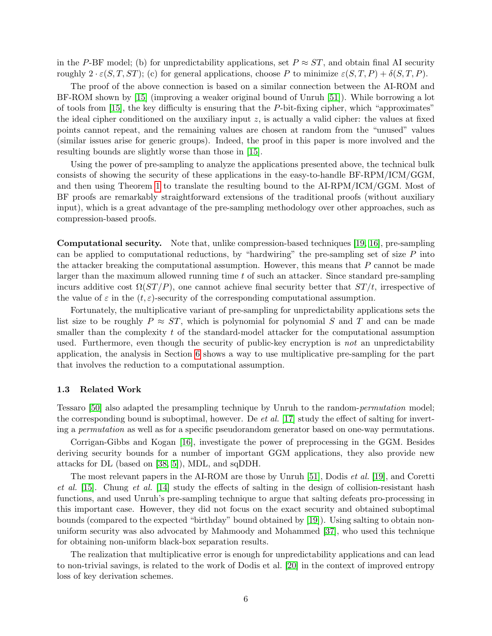in the P-BF model; (b) for unpredictability applications, set  $P \approx ST$ , and obtain final AI security roughly  $2 \cdot \varepsilon(S,T,ST)$ ; (c) for general applications, choose P to minimize  $\varepsilon(S,T,P) + \delta(S,T,P)$ .

The proof of the above connection is based on a similar connection between the AI-ROM and BF-ROM shown by [\[15\]](#page-24-6) (improving a weaker original bound of Unruh [\[51\]](#page-27-1)). While borrowing a lot of tools from  $[15]$ , the key difficulty is ensuring that the P-bit-fixing cipher, which "approximates" the ideal cipher conditioned on the auxiliary input  $z$ , is actually a valid cipher: the values at fixed points cannot repeat, and the remaining values are chosen at random from the "unused" values (similar issues arise for generic groups). Indeed, the proof in this paper is more involved and the resulting bounds are slightly worse than those in [\[15\]](#page-24-6).

Using the power of pre-sampling to analyze the applications presented above, the technical bulk consists of showing the security of these applications in the easy-to-handle BF-RPM/ICM/GGM, and then using Theorem [1](#page-9-0) to translate the resulting bound to the AI-RPM/ICM/GGM. Most of BF proofs are remarkably straightforward extensions of the traditional proofs (without auxiliary input), which is a great advantage of the pre-sampling methodology over other approaches, such as compression-based proofs.

Computational security. Note that, unlike compression-based techniques [\[19,](#page-24-8) [16\]](#page-24-7), pre-sampling can be applied to computational reductions, by "hardwiring" the pre-sampling set of size  $P$  into the attacker breaking the computational assumption. However, this means that  $P$  cannot be made larger than the maximum allowed running time  $t$  of such an attacker. Since standard pre-sampling incurs additive cost  $\Omega(ST/P)$ , one cannot achieve final security better that  $ST/t$ , irrespective of the value of  $\varepsilon$  in the  $(t, \varepsilon)$ -security of the corresponding computational assumption.

Fortunately, the multiplicative variant of pre-sampling for unpredictability applications sets the list size to be roughly  $P \approx ST$ , which is polynomial for polynomial S and T and can be made smaller than the complexity t of the standard-model attacker for the computational assumption used. Furthermore, even though the security of public-key encryption is not an unpredictability application, the analysis in Section [6](#page-22-0) shows a way to use multiplicative pre-sampling for the part that involves the reduction to a computational assumption.

#### 1.3 Related Work

Tessaro [\[50\]](#page-26-12) also adapted the presampling technique by Unruh to the random-permutation model; the corresponding bound is suboptimal, however. De  $et al.$  [\[17\]](#page-24-9) study the effect of salting for inverting a *permutation* as well as for a specific pseudorandom generator based on one-way permutations.

Corrigan-Gibbs and Kogan [\[16\]](#page-24-7), investigate the power of preprocessing in the GGM. Besides deriving security bounds for a number of important GGM applications, they also provide new attacks for DL (based on [\[38,](#page-26-10) [5\]](#page-23-8)), MDL, and sqDDH.

The most relevant papers in the AI-ROM are those by Unruh [\[51\]](#page-27-1), Dodis et al. [\[19\]](#page-24-8), and Coretti et al.  $[15]$ . Chung et al.  $[14]$  study the effects of salting in the design of collision-resistant hash functions, and used Unruh's pre-sampling technique to argue that salting defeats pro-processing in this important case. However, they did not focus on the exact security and obtained suboptimal bounds (compared to the expected "birthday" bound obtained by [\[19\]](#page-24-8)). Using salting to obtain nonuniform security was also advocated by Mahmoody and Mohammed [\[37\]](#page-25-11), who used this technique for obtaining non-uniform black-box separation results.

The realization that multiplicative error is enough for unpredictability applications and can lead to non-trivial savings, is related to the work of Dodis et al. [\[20\]](#page-24-11) in the context of improved entropy loss of key derivation schemes.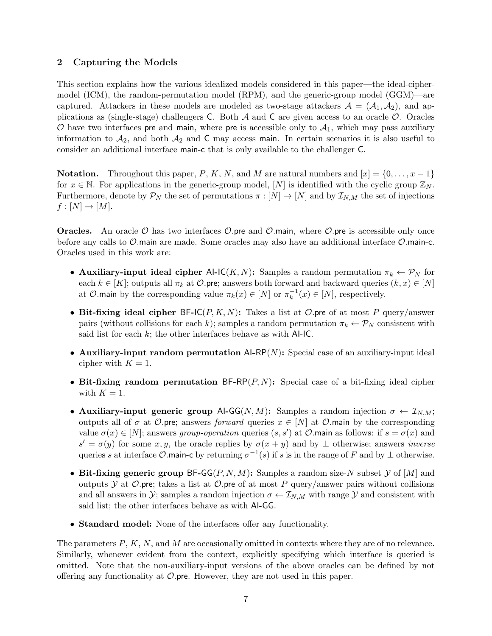# <span id="page-7-0"></span>2 Capturing the Models

This section explains how the various idealized models considered in this paper—the ideal-ciphermodel (ICM), the random-permutation model (RPM), and the generic-group model (GGM)—are captured. Attackers in these models are modeled as two-stage attackers  $\mathcal{A} = (\mathcal{A}_1, \mathcal{A}_2)$ , and applications as (single-stage) challengers C. Both  $A$  and C are given access to an oracle  $O$ . Oracles  $\mathcal O$  have two interfaces pre and main, where pre is accessible only to  $\mathcal A_1$ , which may pass auxiliary information to  $A_2$ , and both  $A_2$  and C may access main. In certain scenarios it is also useful to consider an additional interface main-c that is only available to the challenger C.

**Notation.** Throughout this paper, P, K, N, and M are natural numbers and  $[x] = \{0, \ldots, x-1\}$ for  $x \in \mathbb{N}$ . For applications in the generic-group model,  $[N]$  is identified with the cyclic group  $\mathbb{Z}_N$ . Furthermore, denote by  $\mathcal{P}_N$  the set of permutations  $\pi : [N] \to [N]$  and by  $\mathcal{I}_{N,M}$  the set of injections  $f : [N] \rightarrow [M].$ 

**Oracles.** An oracle  $\mathcal{O}$  has two interfaces  $\mathcal{O}$ .pre and  $\mathcal{O}$ .main, where  $\mathcal{O}$ .pre is accessible only once before any calls to  $\mathcal O$ . main are made. Some oracles may also have an additional interface  $\mathcal O$ . main-c. Oracles used in this work are:

- Auxiliary-input ideal cipher Al-IC(K, N): Samples a random permutation  $\pi_k \leftarrow \mathcal{P}_N$  for each  $k \in [K]$ ; outputs all  $\pi_k$  at  $\mathcal{O}$ .pre; answers both forward and backward queries  $(k, x) \in [N]$ at O.main by the corresponding value  $\pi_k(x) \in [N]$  or  $\pi_k^{-1}$  $\overline{k}^{-1}(x) \in [N]$ , respectively.
- Bit-fixing ideal cipher BF-IC( $P, K, N$ ): Takes a list at O.pre of at most P query/answer pairs (without collisions for each k); samples a random permutation  $\pi_k \leftarrow \mathcal{P}_N$  consistent with said list for each k; the other interfaces behave as with AI-IC.
- Auxiliary-input random permutation  $\mathsf{Al}\text{-}\mathsf{RP}(N)$ : Special case of an auxiliary-input ideal cipher with  $K = 1$ .
- Bit-fixing random permutation  $BF-RP(P, N)$ : Special case of a bit-fixing ideal cipher with  $K = 1$ .
- Auxiliary-input generic group Al-GG(N, M): Samples a random injection  $\sigma \leftarrow \mathcal{I}_{N,M}$ ; outputs all of  $\sigma$  at O.pre; answers forward queries  $x \in [N]$  at O.main by the corresponding value  $\sigma(x) \in [N]$ ; answers group-operation queries  $(s, s')$  at  $\mathcal{O}$  main as follows: if  $s = \sigma(x)$  and  $s' = \sigma(y)$  for some x, y, the oracle replies by  $\sigma(x + y)$  and by  $\perp$  otherwise; answers *inverse* queries s at interface  $\mathcal{O}$  main-c by returning  $\sigma^{-1}(s)$  if s is in the range of F and by  $\perp$  otherwise.
- Bit-fixing generic group BF-GG(P, N, M): Samples a random size-N subset  $\mathcal Y$  of  $[M]$  and outputs Y at O.pre; takes a list at O.pre of at most P query/answer pairs without collisions and all answers in Y; samples a random injection  $\sigma \leftarrow \mathcal{I}_{N,M}$  with range Y and consistent with said list; the other interfaces behave as with AI-GG.
- Standard model: None of the interfaces offer any functionality.

The parameters  $P, K, N$ , and M are occasionally omitted in contexts where they are of no relevance. Similarly, whenever evident from the context, explicitly specifying which interface is queried is omitted. Note that the non-auxiliary-input versions of the above oracles can be defined by not offering any functionality at  $\mathcal{O}$ . pre. However, they are not used in this paper.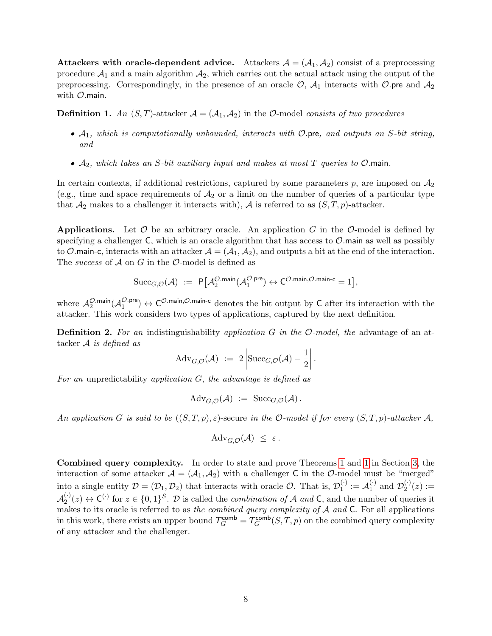Attackers with oracle-dependent advice. Attackers  $A = (A_1, A_2)$  consist of a preprocessing procedure  $A_1$  and a main algorithm  $A_2$ , which carries out the actual attack using the output of the preprocessing. Correspondingly, in the presence of an oracle  $\mathcal{O}$ ,  $\mathcal{A}_1$  interacts with  $\mathcal{O}$ .pre and  $\mathcal{A}_2$ with  $\mathcal{O}$ .main.

**Definition 1.** An  $(S, T)$ -attacker  $\mathcal{A} = (\mathcal{A}_1, \mathcal{A}_2)$  in the O-model consists of two procedures

- $A_1$ , which is computationally unbounded, interacts with  $O$  pre, and outputs an S-bit string, and
- $A_2$ , which takes an S-bit auxiliary input and makes at most T queries to O.main.

In certain contexts, if additional restrictions, captured by some parameters p, are imposed on  $\mathcal{A}_2$ (e.g., time and space requirements of  $A_2$  or a limit on the number of queries of a particular type that  $\mathcal{A}_2$  makes to a challenger it interacts with),  $\mathcal A$  is referred to as  $(S, T, p)$ -attacker.

**Applications.** Let  $\mathcal O$  be an arbitrary oracle. An application G in the  $\mathcal O$ -model is defined by specifying a challenger  $C$ , which is an oracle algorithm that has access to  $\mathcal{O}$  main as well as possibly to O.main-c, interacts with an attacker  $A = (A_1, A_2)$ , and outputs a bit at the end of the interaction. The success of  $A$  on  $G$  in the  $\mathcal{O}\text{-model}$  is defined as

$$
\mathrm{Succ}_{G,\mathcal{O}}(\mathcal{A}) \ := \ \mathsf{P}\big[\mathcal{A}^{\mathcal{O}.\mathsf{main}}_2(\mathcal{A}^{\mathcal{O}.\mathsf{pre}}_1) \leftrightarrow \mathsf{C}^{\mathcal{O}.\mathsf{main},\mathcal{O}.\mathsf{main}\text{-}\mathsf{c}}=1\big],
$$

where  $\mathcal{A}_2^{\mathcal{O}.\mathsf{main}}(\mathcal{A}_1^{\mathcal{O}.\mathsf{pre}})$  $1^{\mathcal{O}.pre}) \leftrightarrow C^{\mathcal{O}.main,\mathcal{O}.main-c}$  denotes the bit output by C after its interaction with the attacker. This work considers two types of applications, captured by the next definition.

**Definition 2.** For an indistinguishability application G in the O-model, the advantage of an attacker  $A$  is defined as

$$
\mathrm{Adv}_{G,\mathcal{O}}(\mathcal{A}) \ := \ 2 \left| \mathrm{Succ}_{G,\mathcal{O}}(\mathcal{A}) - \frac{1}{2} \right|.
$$

For an unpredictability application G, the advantage is defined as

$$
\mathrm{Adv}_{G,\mathcal{O}}(\mathcal{A}) \; := \; \mathrm{Succ}_{G,\mathcal{O}}(\mathcal{A}) \, .
$$

An application G is said to be  $((S,T,p),\varepsilon)$ -secure in the O-model if for every  $(S,T,p)$ -attacker A,

$$
\mathrm{Adv}_{G,\mathcal{O}}(\mathcal{A}) \leq \varepsilon.
$$

Combined query complexity. In order to state and prove Theorems [1](#page-9-0) and [1](#page-9-0) in Section [3,](#page-9-1) the interaction of some attacker  $\mathcal{A} = (\mathcal{A}_1, \mathcal{A}_2)$  with a challenger C in the O-model must be "merged" into a single entity  $\mathcal{D} = (\mathcal{D}_1, \mathcal{D}_2)$  that interacts with oracle  $\mathcal{O}$ . That is,  $\mathcal{D}_1^{(\cdot)}$  $\mathcal{A}_1^{(\cdot)}:=\mathcal{A}_1^{(\cdot)}$  $\mathcal{D}_1^{(\cdot)}$  and  $\mathcal{D}_2^{(\cdot)}$  $2^{\binom{1}{2}}(z) :=$  $\mathcal{A}^{(\cdot)}_{2}$  $2^{(1)}(z) \leftrightarrow C^{(1)}$  for  $z \in \{0,1\}^S$ . D is called the *combination of* A and C, and the number of queries it makes to its oracle is referred to as the combined query complexity of  $A$  and  $C$ . For all applications in this work, there exists an upper bound  $T_G^{\text{comb}} = T_G^{\text{comb}}(S, T, p)$  on the combined query complexity of any attacker and the challenger.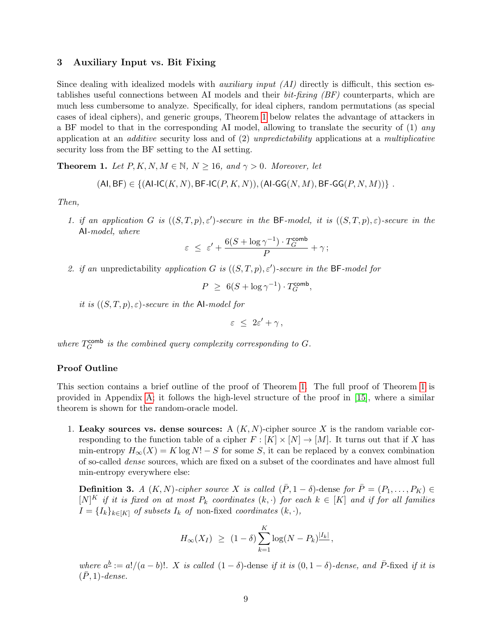# <span id="page-9-1"></span>3 Auxiliary Input vs. Bit Fixing

Since dealing with idealized models with *auxiliary input*  $(AI)$  directly is difficult, this section establishes useful connections between AI models and their *bit-fixing*  $(BF)$  counterparts, which are much less cumbersome to analyze. Specifically, for ideal ciphers, random permutations (as special cases of ideal ciphers), and generic groups, Theorem [1](#page-9-0) below relates the advantage of attackers in a BF model to that in the corresponding AI model, allowing to translate the security of  $(1)$  any application at an *additive* security loss and of  $(2)$  *unpredictability* applications at a *multiplicative* security loss from the BF setting to the AI setting.

<span id="page-9-0"></span>**Theorem 1.** Let  $P, K, N, M \in \mathbb{N}, N \ge 16$ , and  $\gamma > 0$ . Moreover, let

$$
(AI, BF) \in \{ (AI-IC(K, N), BF-IC(P, K, N)), (AI-GG(N, M), BF-GG(P, N, M)) \}.
$$

Then,

1. if an application G is  $((S,T,p), \varepsilon')$ -secure in the BF-model, it is  $((S,T,p), \varepsilon)$ -secure in the AI-model, where

$$
\varepsilon \ \leq \ \varepsilon' + \frac{6(S + \log \gamma^{-1}) \cdot T_G^{\text{comb}}}{P} + \gamma \, ;
$$

2. if an unpredictability application G is  $((S,T,p), \varepsilon')$ -secure in the BF-model for

$$
P \geq 6(S + \log \gamma^{-1}) \cdot T_G^{\sf comb},
$$

it is  $((S, T, p), \varepsilon)$ -secure in the AI-model for

$$
\varepsilon \leq 2\varepsilon' + \gamma \,,
$$

where  $T_G^{\text{comb}}$  is the combined query complexity corresponding to G.

# Proof Outline

This section contains a brief outline of the proof of Theorem [1.](#page-9-0) The full proof of Theorem [1](#page-9-0) is provided in Appendix [A;](#page-28-0) it follows the high-level structure of the proof in [\[15\]](#page-24-6), where a similar theorem is shown for the random-oracle model.

1. Leaky sources vs. dense sources: A  $(K, N)$ -cipher source X is the random variable corresponding to the function table of a cipher  $F : [K] \times [N] \rightarrow [M]$ . It turns out that if X has min-entropy  $H_{\infty}(X) = K \log N! - S$  for some S, it can be replaced by a convex combination of so-called dense sources, which are fixed on a subset of the coordinates and have almost full min-entropy everywhere else:

<span id="page-9-2"></span>**Definition 3.** A  $(K, N)$ -cipher source X is called  $(\bar{P}, 1 - \delta)$ -dense for  $\bar{P} = (P_1, \ldots, P_K)$  $[N]^K$  if it is fixed on at most  $P_k$  coordinates  $(k, \cdot)$  for each  $k \in [K]$  and if for all families  $I = \{I_k\}_{k \in [K]}$  of subsets  $I_k$  of non-fixed coordinates  $(k, \cdot),$ 

$$
H_{\infty}(X_I) \ \geq \ (1-\delta) \sum_{k=1}^K \log(N - P_k)^{|I_k|},
$$

where  $a^{\underline{b}} := a!/(a - b)!$ . X is called  $(1 - \delta)$ -dense if it is  $(0, 1 - \delta)$ -dense, and  $\overline{P}$ -fixed if it is  $(P, 1)$ -dense.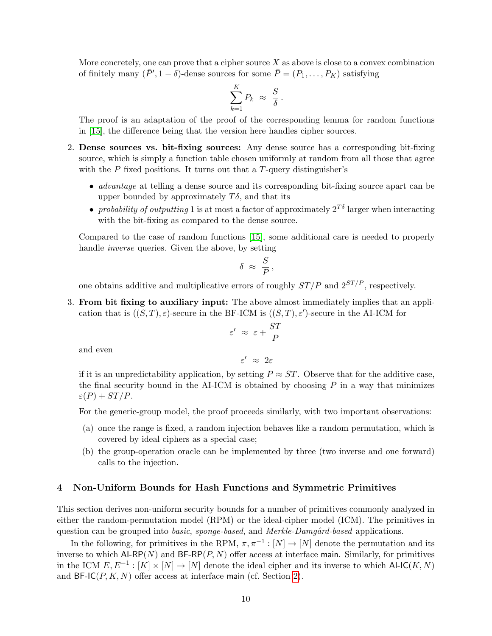More concretely, one can prove that a cipher source  $X$  as above is close to a convex combination of finitely many  $(\bar{P}', 1 - \delta)$ -dense sources for some  $\bar{P} = (P_1, \ldots, P_K)$  satisfying

$$
\sum_{k=1}^K P_k \;\approx\; \frac{S}{\delta}\,.
$$

The proof is an adaptation of the proof of the corresponding lemma for random functions in [\[15\]](#page-24-6), the difference being that the version here handles cipher sources.

- 2. Dense sources vs. bit-fixing sources: Any dense source has a corresponding bit-fixing source, which is simply a function table chosen uniformly at random from all those that agree with the  $P$  fixed positions. It turns out that a  $T$ -query distinguisher's
	- advantage at telling a dense source and its corresponding bit-fixing source apart can be upper bounded by approximately  $T\delta$ , and that its
	- probability of outputting 1 is at most a factor of approximately  $2^{T\delta}$  larger when interacting with the bit-fixing as compared to the dense source.

Compared to the case of random functions [\[15\]](#page-24-6), some additional care is needed to properly handle inverse queries. Given the above, by setting

$$
\delta \ \approx \ \frac{S}{P}\,,
$$

one obtains additive and multiplicative errors of roughly  $ST/P$  and  $2^{ST/P}$ , respectively.

3. From bit fixing to auxiliary input: The above almost immediately implies that an application that is  $((S, T), \varepsilon)$ -secure in the BF-ICM is  $((S, T), \varepsilon')$ -secure in the AI-ICM for

$$
\varepsilon' \; \approx \; \varepsilon + \frac{ST}{P}
$$

and even

$$
\varepsilon'~\approx~2\varepsilon
$$

if it is an unpredictability application, by setting  $P \approx ST$ . Observe that for the additive case, the final security bound in the AI-ICM is obtained by choosing  $P$  in a way that minimizes  $\varepsilon(P) + ST/P.$ 

For the generic-group model, the proof proceeds similarly, with two important observations:

- (a) once the range is fixed, a random injection behaves like a random permutation, which is covered by ideal ciphers as a special case;
- (b) the group-operation oracle can be implemented by three (two inverse and one forward) calls to the injection.

# <span id="page-10-0"></span>4 Non-Uniform Bounds for Hash Functions and Symmetric Primitives

This section derives non-uniform security bounds for a number of primitives commonly analyzed in either the random-permutation model (RPM) or the ideal-cipher model (ICM). The primitives in question can be grouped into *basic, sponge-based*, and *Merkle-Damgård-based* applications.

In the following, for primitives in the RPM,  $\pi, \pi^{-1} : [N] \to [N]$  denote the permutation and its inverse to which  $\mathsf{AI}\text{-}\mathsf{RP}(N)$  and  $\mathsf{BF}\text{-}\mathsf{RP}(P, N)$  offer access at interface main. Similarly, for primitives in the ICM  $E, E^{-1}: [K] \times [N] \to [N]$  denote the ideal cipher and its inverse to which AI-IC(K, N) and  $BF-IC(P, K, N)$  offer access at interface main (cf. Section [2\)](#page-7-0).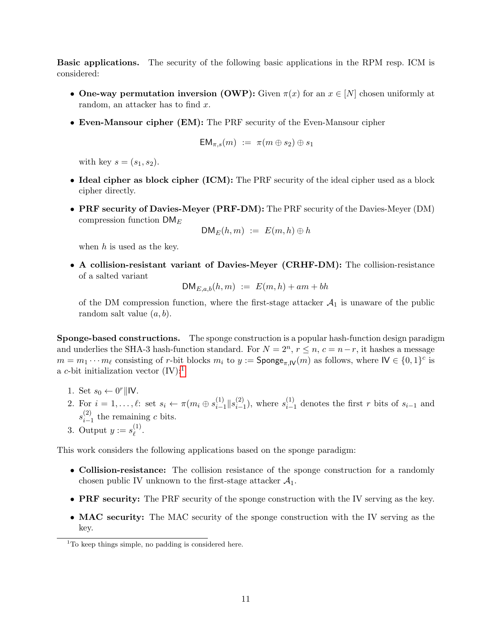Basic applications. The security of the following basic applications in the RPM resp. ICM is considered:

- One-way permutation inversion (OWP): Given  $\pi(x)$  for an  $x \in [N]$  chosen uniformly at random, an attacker has to find x.
- Even-Mansour cipher (EM): The PRF security of the Even-Mansour cipher

$$
EM_{\pi,s}(m) := \pi(m \oplus s_2) \oplus s_1
$$

with key  $s = (s_1, s_2)$ .

- Ideal cipher as block cipher (ICM): The PRF security of the ideal cipher used as a block cipher directly.
- PRF security of Davies-Meyer (PRF-DM): The PRF security of the Davies-Meyer (DM) compression function  $\mathsf{DM}_E$

$$
\mathsf{DM}_E(h,m) := E(m,h) \oplus h
$$

when  $h$  is used as the key.

• A collision-resistant variant of Davies-Meyer (CRHF-DM): The collision-resistance of a salted variant

$$
DM_{E,a,b}(h,m) := E(m,h) + am + bh
$$

of the DM compression function, where the first-stage attacker  $A_1$  is unaware of the public random salt value  $(a, b)$ .

Sponge-based constructions. The sponge construction is a popular hash-function design paradigm and underlies the SHA-3 hash-function standard. For  $N = 2<sup>n</sup>$ ,  $r \le n$ ,  $c = n-r$ , it hashes a message  $m = m_1 \cdots m_\ell$  consisting of r-bit blocks  $m_i$  to  $y := \textsf{Sponge}_{\pi,\text{IV}}(m)$  as follows, where  $\text{IV} \in \{0,1\}^c$  is a c-bit initialization vector  $(IV):$ <sup>[1](#page-11-0)</sup>

- 1. Set  $s_0 \leftarrow 0^r ||$ IV.
- 2. For  $i = 1, ..., \ell$ : set  $s_i \leftarrow \pi(m_i \oplus s_{i-1}^{(1)})$  $\sum_{i=1}^{(1)} \|s_{i-1}^{(2)}\|$  $_{i-1}^{(2)}$ ), where  $s_{i-1}^{(1)}$  $\sum_{i=1}^{(1)}$  denotes the first r bits of  $s_{i-1}$  and  $s_{i-}^{(2)}$  $\binom{z}{i-1}$  the remaining c bits.
- 3. Output  $y := s^{(1)}_{\ell}$  $\overset{(1)}{\ell}$ .

This work considers the following applications based on the sponge paradigm:

- Collision-resistance: The collision resistance of the sponge construction for a randomly chosen public IV unknown to the first-stage attacker  $A_1$ .
- **PRF** security: The PRF security of the sponge construction with the IV serving as the key.
- **MAC** security: The MAC security of the sponge construction with the IV serving as the key.

<span id="page-11-0"></span> $1$ To keep things simple, no padding is considered here.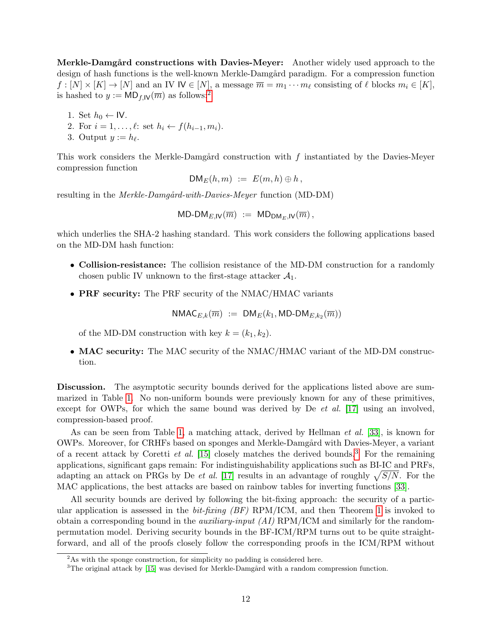Merkle-Damgård constructions with Davies-Meyer: Another widely used approach to the design of hash functions is the well-known Merkle-Damgård paradigm. For a compression function  $f: [N] \times [K] \to [N]$  and an IV  $\mathsf{IV} \in [N]$ , a message  $\overline{m} = m_1 \cdots m_\ell$  consisting of  $\ell$  blocks  $m_i \in [K]$ , is hashed to  $y := \text{MD}_{f,\text{IV}}(\overline{m})$  as follows:<sup>[2](#page-12-0)</sup>

- 1. Set  $h_0 \leftarrow \text{IV}$ .
- 2. For  $i = 1, \ldots, \ell:$  set  $h_i \leftarrow f(h_{i-1}, m_i)$ .
- 3. Output  $y := h_{\ell}$ .

This work considers the Merkle-Damgård construction with  $f$  instantiated by the Davies-Meyer compression function

$$
\mathsf{DM}_E(h,m) := E(m,h) \oplus h,
$$

resulting in the *Merkle-Damgård-with-Davies-Meyer* function (MD-DM)

$$
\mathsf{MD}\text{-}\mathsf{DM}_{E,\mathsf{IV}}(\overline{m}) \; := \; \mathsf{MD}_{\mathsf{DM}_E,\mathsf{IV}}(\overline{m}) \, ,
$$

which underlies the SHA-2 hashing standard. This work considers the following applications based on the MD-DM hash function:

- Collision-resistance: The collision resistance of the MD-DM construction for a randomly chosen public IV unknown to the first-stage attacker  $A_1$ .
- **PRF** security: The PRF security of the NMAC/HMAC variants

$$
\mathsf{NMAC}_{E,k}(\overline{m}) \ := \ \mathsf{DM}_E(k_1, \mathsf{MD}\text{-}\mathsf{DM}_{E,k_2}(\overline{m}))
$$

of the MD-DM construction with key  $k = (k_1, k_2)$ .

• **MAC security:** The MAC security of the NMAC/HMAC variant of the MD-DM construction.

Discussion. The asymptotic security bounds derived for the applications listed above are summarized in Table [1.](#page-4-0) No non-uniform bounds were previously known for any of these primitives, except for OWPs, for which the same bound was derived by De  $et \ al.$  [\[17\]](#page-24-9) using an involved, compression-based proof.

As can be seen from Table [1,](#page-4-0) a matching attack, derived by Hellman et al. [\[33\]](#page-25-3), is known for OWPs. Moreover, for CRHFs based on sponges and Merkle-Damgård with Davies-Meyer, a variant of a recent attack by Coretti et al.  $[15]$  closely matches the derived bounds.<sup>[3](#page-12-1)</sup> For the remaining applications, significant gaps remain: For indistinguishability applications such as BI-IC and PRFs, adapting an attack on PRGs by De *et al.* [\[17\]](#page-24-9) results in an advantage of roughly  $\sqrt{S/N}$ . For the MAC applications, the best attacks are based on rainbow tables for inverting functions [\[33\]](#page-25-3).

All security bounds are derived by following the bit-fixing approach: the security of a particular application is assessed in the *bit-fixing (BF)* RPM/ICM, and then Theorem [1](#page-9-0) is invoked to obtain a corresponding bound in the *auxiliary-input*  $(AI)$  RPM/ICM and similarly for the randompermutation model. Deriving security bounds in the BF-ICM/RPM turns out to be quite straightforward, and all of the proofs closely follow the corresponding proofs in the ICM/RPM without

<span id="page-12-0"></span><sup>&</sup>lt;sup>2</sup>As with the sponge construction, for simplicity no padding is considered here.

<span id="page-12-1"></span> $3$ The original attack by [\[15\]](#page-24-6) was devised for Merkle-Damgård with a random compression function.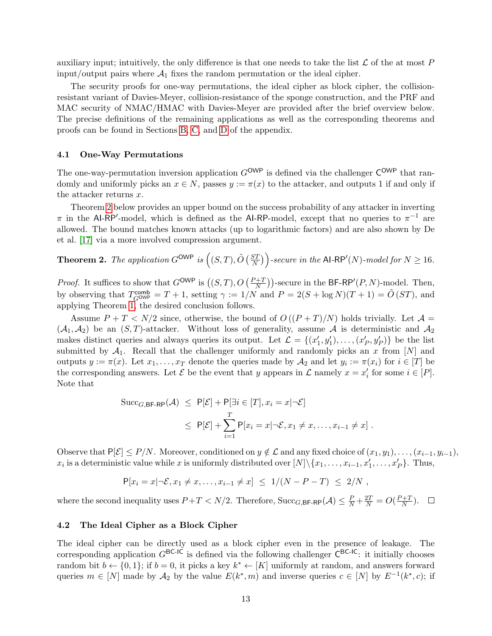auxiliary input; intuitively, the only difference is that one needs to take the list  $\mathcal L$  of the at most P input/output pairs where  $A_1$  fixes the random permutation or the ideal cipher.

The security proofs for one-way permutations, the ideal cipher as block cipher, the collisionresistant variant of Davies-Meyer, collision-resistance of the sponge construction, and the PRF and MAC security of NMAC/HMAC with Davies-Meyer are provided after the brief overview below. The precise definitions of the remaining applications as well as the corresponding theorems and proofs can be found in Sections [B,](#page-35-0) [C,](#page-38-0) and [D](#page-40-0) of the appendix.

# 4.1 One-Way Permutations

The one-way-permutation inversion application  $G^{\text{OWP}}$  is defined via the challenger  $C^{\text{OWP}}$  that randomly and uniformly picks an  $x \in N$ , passes  $y := \pi(x)$  to the attacker, and outputs 1 if and only if the attacker returns x.

Theorem [2](#page-13-0) below provides an upper bound on the success probability of any attacker in inverting  $\pi$  in the AI-RP'-model, which is defined as the AI-RP-model, except that no queries to  $\pi^{-1}$  are allowed. The bound matches known attacks (up to logarithmic factors) and are also shown by De et al. [\[17\]](#page-24-9) via a more involved compression argument.

<span id="page-13-0"></span>**Theorem 2.** The application G<sup>OWP</sup> is  $\left((S,T), \tilde{O}\left(\frac{ST}{N}\right)\right)$  $\left(\frac{ST}{N}\right)\Big)$ -secure in the <code>AI-RP'(N)-model for N  $\geq 16.$  </code>

*Proof.* It suffices to show that  $G^{\text{OWP}}$  is  $((S, T), O\left(\frac{P+T}{N}\right))$  $\frac{N+T}{N}$ ) -secure in the BF-RP'(*P*, *N*)-model. Then, by observing that  $T_{G^{OWP}}^{comb} = T + 1$ , setting  $\gamma := 1/N$  and  $P = 2(S + \log N)(T + 1) = \tilde{O}(ST)$ , and applying Theorem [1,](#page-9-0) the desired conclusion follows.

Assume  $P + T < N/2$  since, otherwise, the bound of  $O((P + T)/N)$  holds trivially. Let  $\mathcal{A} =$  $(\mathcal{A}_1, \mathcal{A}_2)$  be an  $(S, T)$ -attacker. Without loss of generality, assume A is deterministic and  $\mathcal{A}_2$ makes distinct queries and always queries its output. Let  $\mathcal{L} = \{(x'_1, y'_1), \ldots, (x'_P, y'_P)\}\$ be the list submitted by  $A_1$ . Recall that the challenger uniformly and randomly picks an x from [N] and outputs  $y := \pi(x)$ . Let  $x_1, \ldots, x_T$  denote the queries made by  $\mathcal{A}_2$  and let  $y_i := \pi(x_i)$  for  $i \in [T]$  be the corresponding answers. Let  $\mathcal E$  be the event that y appears in  $\mathcal L$  namely  $x = x'_i$  for some  $i \in [P]$ . Note that

$$
\begin{aligned} \text{Succ}_{G,\text{BF-RP}}(\mathcal{A}) &\leq \mathsf{P}[\mathcal{E}] + \mathsf{P}[\exists i \in [T], x_i = x | \neg \mathcal{E}] \\ &\leq \mathsf{P}[\mathcal{E}] + \sum_{i=1}^T \mathsf{P}[x_i = x | \neg \mathcal{E}, x_1 \neq x, \dots, x_{i-1} \neq x] \ . \end{aligned}
$$

Observe that  $P[\mathcal{E}] \leq P/N$ . Moreover, conditioned on  $y \notin \mathcal{L}$  and any fixed choice of  $(x_1, y_1), \ldots, (x_{i-1}, y_{i-1}),$  $x_i$  is a deterministic value while x is uniformly distributed over  $[N] \setminus \{x_1, \ldots, x_{i-1}, x'_1, \ldots, x'_P\}$ . Thus,

$$
P[x_i = x | \neg \mathcal{E}, x_1 \neq x, \dots, x_{i-1} \neq x] \leq 1/(N - P - T) \leq 2/N,
$$

where the second inequality uses  $P+T < N/2$ . Therefore,  $\text{Succ}_{G,\text{BF-RP}}(\mathcal{A}) \leq \frac{P}{N} + \frac{2T}{N} = O(\frac{P+T}{N})$  $\frac{H}{N}$ ).

# 4.2 The Ideal Cipher as a Block Cipher

The ideal cipher can be directly used as a block cipher even in the presence of leakage. The corresponding application  $G^{\text{BC-IC}}$  is defined via the following challenger  $C^{\text{BC-IC}}$ : it initially chooses random bit  $b \leftarrow \{0, 1\}$ ; if  $b = 0$ , it picks a key  $k^* \leftarrow [K]$  uniformly at random, and answers forward queries  $m \in [N]$  made by  $\mathcal{A}_2$  by the value  $E(k^*, m)$  and inverse queries  $c \in [N]$  by  $E^{-1}(k^*, c)$ ; if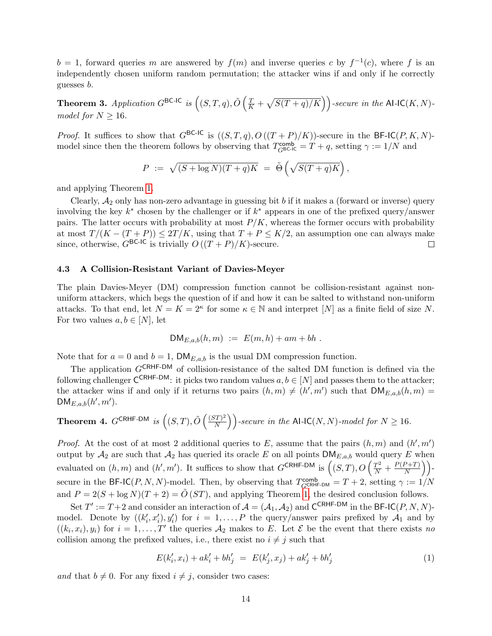$b = 1$ , forward queries m are answered by  $f(m)$  and inverse queries c by  $f^{-1}(c)$ , where f is an independently chosen uniform random permutation; the attacker wins if and only if he correctly guesses b.

**Theorem 3.** Application G<sup>BC-IC</sup> is  $((S,T,q), \tilde{O}(\frac{T}{K} + \sqrt{S(T+q)/K}))$ -secure in the AI-IC(K, N)model for  $N > 16$ .

*Proof.* It suffices to show that  $G^{\text{BC-IC}}$  is  $((S, T, q), O((T + P)/K))$ -secure in the BF-IC(P, K, N)model since then the theorem follows by observing that  $T_{G^{BCA}C}^{comb} = T + q$ , setting  $\gamma := 1/N$  and

$$
P := \sqrt{(S + \log N)(T + q)K} = \tilde{\Theta}\left(\sqrt{S(T + q)K}\right),
$$

and applying Theorem [1.](#page-9-0)

Clearly,  $A_2$  only has non-zero advantage in guessing bit b if it makes a (forward or inverse) query involving the key  $k^*$  chosen by the challenger or if  $k^*$  appears in one of the prefixed query/answer pairs. The latter occurs with probability at most  $P/K$ , whereas the former occurs with probability at most  $T/(K-(T+P)) \leq 2T/K$ , using that  $T+P \leq K/2$ , an assumption one can always make since, otherwise,  $G^{\text{BC-IC}}$  is trivially  $O((T+P)/K)$ -secure.  $\Box$ 

#### 4.3 A Collision-Resistant Variant of Davies-Meyer

The plain Davies-Meyer (DM) compression function cannot be collision-resistant against nonuniform attackers, which begs the question of if and how it can be salted to withstand non-uniform attacks. To that end, let  $N = K = 2^{\kappa}$  for some  $\kappa \in \mathbb{N}$  and interpret  $[N]$  as a finite field of size N. For two values  $a, b \in [N]$ , let

$$
\mathsf{DM}_{E,a,b}(h,m) := E(m,h) + am + bh.
$$

Note that for  $a = 0$  and  $b = 1$ ,  $\text{DM}_{E,a,b}$  is the usual DM compression function.

The application  $G^{\text{CRHF-DM}}$  of collision-resistance of the salted DM function is defined via the following challenger  $C^{CRHF-DM}$ : it picks two random values  $a, b \in [N]$  and passes them to the attacker; the attacker wins if and only if it returns two pairs  $(h,m) \neq (h',m')$  such that  $\mathsf{DM}_{E,a,b}(h,m)$  $\mathsf{DM}_{E,a,b}(h',m').$ 

**Theorem 4.** 
$$
G^{\text{CRHF-DM}}
$$
 is  $\left( (S,T), \tilde{O} \left( \frac{(ST)^2}{N} \right) \right)$ -secure in the Al-IC $(N, N)$ -model for  $N \ge 16$ .

*Proof.* At the cost of at most 2 additional queries to E, assume that the pairs  $(h, m)$  and  $(h', m')$ output by  $A_2$  are such that  $A_2$  has queried its oracle E on all points DM<sub>E,a,b</sub> would query E when evaluated on  $(h, m)$  and  $(h', m')$ . It suffices to show that  $G^{\text{CRHF-DM}}$  is  $\left( (S, T), O\left(\frac{T^2}{N} + \frac{P(P+T)}{N}\right)\right)$  $\binom{P+T}{N}$ ) secure in the BF-IC(P, N, N)-model. Then, by observing that  $T_{GCRHF-DM}^{\text{comb}} = T + 2$ , setting  $\gamma := 1/N$ and  $P = 2(S + \log N)(T + 2) = \tilde{O}(ST)$ , and applying Theorem [1,](#page-9-0) the desired conclusion follows.

Set  $T' := T + 2$  and consider an interaction of  $\mathcal{A} = (\mathcal{A}_1, \mathcal{A}_2)$  and  $C^{CRHF-DM}$  in the BF-IC $(P, N, N)$ model. Denote by  $((k'_i, x'_i), y'_i)$  for  $i = 1, ..., P$  the query/answer pairs prefixed by  $\mathcal{A}_1$  and by  $((k_i, x_i), y_i)$  for  $i = 1, \ldots, T'$  the queries  $\mathcal{A}_2$  makes to E. Let  $\mathcal{E}$  be the event that there exists no collision among the prefixed values, i.e., there exist no  $i \neq j$  such that

<span id="page-14-0"></span>
$$
E(k'_i, x_i) + ak'_i + bh'_j = E(k'_j, x_j) + ak'_j + bh'_j
$$
 (1)

and that  $b \neq 0$ . For any fixed  $i \neq j$ , consider two cases: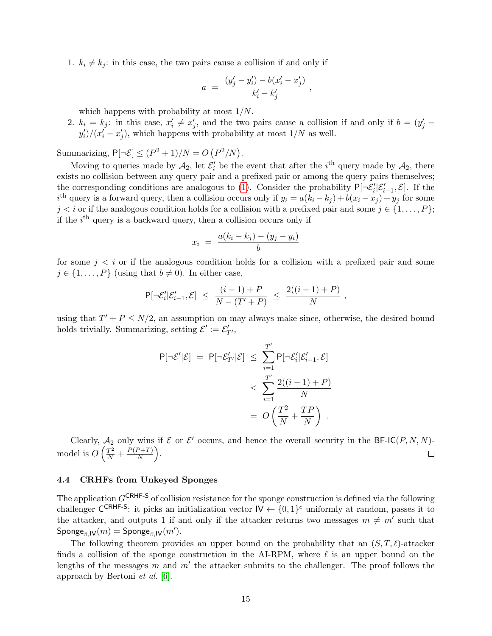1.  $k_i \neq k_j$ : in this case, the two pairs cause a collision if and only if

$$
a\ =\ \frac{(y'_j-y'_i)-b(x'_i-x'_j)}{k'_i-k'_j}\ ,
$$

which happens with probability at most  $1/N$ .

2.  $k_i = k_j$ : in this case,  $x'_i \neq x'_j$ , and the two pairs cause a collision if and only if  $b = (y'_j$  $y_i'$ / $(x_i' - x_j')$ , which happens with probability at most  $1/N$  as well.

Summarizing,  $P[\neg \mathcal{E}] \leq (P^2 + 1)/N = O(P^2/N)$ .

Moving to queries made by  $A_2$ , let  $\mathcal{E}'_i$  be the event that after the i<sup>th</sup> query made by  $A_2$ , there exists no collision between any query pair and a prefixed pair or among the query pairs themselves; the corresponding conditions are analogous to [\(1\)](#page-14-0). Consider the probability  $P[\neg \mathcal{E}'_i | \mathcal{E}'_{i-1}, \mathcal{E}]$ . If the  $i<sup>th</sup>$  query is a forward query, then a collision occurs only if  $y_i = a(k_i - k_j) + b(x_i - x_j) + y_j$  for some  $j < i$  or if the analogous condition holds for a collision with a prefixed pair and some  $j \in \{1, ..., P\}$ ; if the  $i<sup>th</sup>$  query is a backward query, then a collision occurs only if

$$
x_i = \frac{a(k_i - k_j) - (y_j - y_i)}{b}
$$

for some  $j < i$  or if the analogous condition holds for a collision with a prefixed pair and some  $j \in \{1, \ldots, P\}$  (using that  $b \neq 0$ ). In either case,

$$
\mathsf{P}[\neg \mathcal{E}'_i | \mathcal{E}'_{i-1}, \mathcal{E}] \leq \frac{(i-1) + P}{N - (T' + P)} \leq \frac{2((i-1) + P)}{N},
$$

using that  $T' + P \leq N/2$ , an assumption on may always make since, otherwise, the desired bound holds trivially. Summarizing, setting  $\mathcal{E}' := \mathcal{E}'_{T'}$ ,

$$
P[\neg \mathcal{E}'|\mathcal{E}] = P[\neg \mathcal{E}'_{T'}|\mathcal{E}] \le \sum_{i=1}^{T'} P[\neg \mathcal{E}'_i|\mathcal{E}'_{i-1}, \mathcal{E}]
$$
  

$$
\le \sum_{i=1}^{T'} \frac{2((i-1) + P)}{N}
$$
  

$$
= O\left(\frac{T^2}{N} + \frac{TP}{N}\right).
$$

Clearly,  $A_2$  only wins if  $\mathcal E$  or  $\mathcal E'$  occurs, and hence the overall security in the BF-IC(P, N, N)model is  $O\left(\frac{T^2}{N} + \frac{P(P+T)}{N}\right)$  $\frac{P+T)}{N}$ .  $\Box$ 

#### 4.4 CRHFs from Unkeyed Sponges

The application  $G^{\mathsf{CRHF-}S}$  of collision resistance for the sponge construction is defined via the following challenger C<sup>CRHF-S</sup>: it picks an initialization vector  $\mathsf{IV} \leftarrow \{0,1\}^c$  uniformly at random, passes it to the attacker, and outputs 1 if and only if the attacker returns two messages  $m \neq m'$  such that  $\mathsf{Sponge}_{\pi,\mathsf{IV}}(m) = \mathsf{Sponge}_{\pi,\mathsf{IV}}(m').$ 

The following theorem provides an upper bound on the probability that an  $(S, T, \ell)$ -attacker finds a collision of the sponge construction in the AI-RPM, where  $\ell$  is an upper bound on the lengths of the messages m and  $m'$  the attacker submits to the challenger. The proof follows the approach by Bertoni et al. [\[6\]](#page-23-4).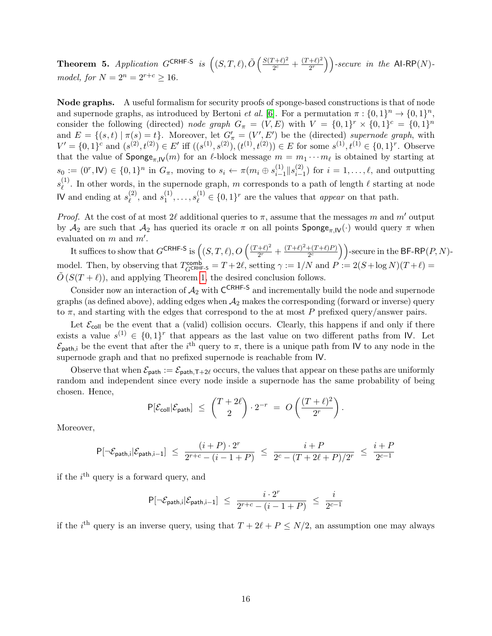<span id="page-16-0"></span>**Theorem 5.** Application GCRHF-S is  $\left((S,T,\ell), \tilde{O}\left(\frac{S(T+\ell)^2}{2c}\right)\right)$  $\frac{(T+\ell)^2}{2^c} + \frac{(T+\ell)^2}{2^r}$  $\left(\frac{+\ell)^2}{2^r}\right)\Big)$ -secure in the <code>AI-RP(N)-</code> model, for  $N = 2^n = 2^{r+c} \ge 16$ .

Node graphs. A useful formalism for security proofs of sponge-based constructions is that of node and supernode graphs, as introduced by Bertoni *et al.* [\[6\]](#page-23-4). For a permutation  $\pi : \{0,1\}^n \to \{0,1\}^n$ , consider the following (directed) node graph  $G_{\pi} = (V, E)$  with  $V = \{0, 1\}^r \times \{0, 1\}^c = \{0, 1\}^n$ and  $E = \{(s,t) | \pi(s) = t\}$ . Moreover, let  $G'_{\pi} = (V', E')$  be the (directed) supernode graph, with  $V' = \{0,1\}^c$  and  $(s^{(2)}, t^{(2)}) \in E'$  iff  $((s^{(1)}, s^{(2)}), (t^{(1)}, t^{(2)})) \in E$  for some  $s^{(1)}, t^{(1)} \in \{0,1\}^r$ . Observe that the value of  $\text{Sponge}_{\pi,\text{IV}}(m)$  for an  $\ell$ -block message  $m = m_1 \cdots m_\ell$  is obtained by starting at  $s_0 := (0^r, \mathsf{IV}) \in \{0,1\}^n$  in  $G_\pi$ , moving to  $s_i \leftarrow \pi(m_i \oplus s_{i-1}^{(1)})$  $\|a_{i-1}^{(1)}\|s_{i-1}^{(2)}$  $\binom{2}{i-1}$  for  $i = 1, \ldots, \ell$ , and outputting  $s^{(1)}_\ell$  $\ell^{(1)}$ . In other words, in the supernode graph, m corresponds to a path of length  $\ell$  starting at node IV and ending at  $s_{\ell}^{(2)}$  $s_1^{(2)}$ , and  $s_1^{(1)}$  $S_1^{(1)}, \ldots, S_\ell^{(1)} \in \{0,1\}^r$  are the values that *appear* on that path.

*Proof.* At the cost of at most 2 $\ell$  additional queries to  $\pi$ , assume that the messages m and m' output by  $\mathcal{A}_2$  are such that  $\mathcal{A}_2$  has queried its oracle  $\pi$  on all points  $\mathsf{Sponge}_{\pi,\mathsf{IV}}(\cdot)$  would query  $\pi$  when evaluated on  $m$  and  $m'$ .

It suffices to show that  $G^{\mathsf{CRHF-S}}$  is  $\left((S,T,\ell), O\left(\frac{(T+\ell)^2}{2r}\right)\right)$  $\frac{(\sqrt{2}+\ell)^2 + (T+\ell)P)}{2^c}$  $\left(\frac{+(T+\ell)P)}{2^c}\right)\Big)$ -secure in the BF-RP(*P*, *N*)model. Then, by observing that  $T_{GCRHF-S}^{comb} = T + 2\ell$ , setting  $\gamma := 1/N$  and  $P := 2(S + \log N)(T + \ell) =$  $\tilde{O}(S(T + \ell))$ , and applying Theorem [1,](#page-9-0) the desired conclusion follows.

Consider now an interaction of  $A_2$  with  $C^{CRHF-S}$  and incrementally build the node and supernode graphs (as defined above), adding edges when  $A_2$  makes the corresponding (forward or inverse) query to  $\pi$ , and starting with the edges that correspond to the at most P prefixed query/answer pairs.

Let  $\mathcal{E}_{\text{coll}}$  be the event that a (valid) collision occurs. Clearly, this happens if and only if there exists a value  $s^{(1)} \in \{0,1\}^r$  that appears as the last value on two different paths from IV. Let  $\mathcal{E}_{\text{path,i}}$  be the event that after the i<sup>th</sup> query to  $\pi$ , there is a unique path from IV to any node in the supernode graph and that no prefixed supernode is reachable from IV.

Observe that when  $\mathcal{E}_{\text{path}} := \mathcal{E}_{\text{path},T+2\ell}$  occurs, the values that appear on these paths are uniformly random and independent since every node inside a supernode has the same probability of being chosen. Hence,

$$
\mathsf{P}[\mathcal{E}_{\mathsf{coll}}|\mathcal{E}_{\mathsf{path}}] \ \leq \ \binom{T+2\ell}{2} \cdot 2^{-r} \ = \ O\left(\frac{(T+\ell)^2}{2^r}\right).
$$

Moreover,

$$
\mathsf{P}[\neg\mathcal{E}_{\mathsf{path},i}|\mathcal{E}_{\mathsf{path},i-1}] \;\le\; \frac{(i+P)\cdot 2^r}{2^{r+c}-(i-1+P)}\;\le\; \frac{i+P}{2^c-(T+2\ell+P)/2^r}\;\le\; \frac{i+P}{2^{c-1}}
$$

if the  $i<sup>th</sup>$  query is a forward query, and

$$
\mathsf{P}[\neg \mathcal{E}_{\mathsf{path},i} | \mathcal{E}_{\mathsf{path},i-1}] \;\leq\; \frac{i \cdot 2^r}{2^{r+c}-(i-1+P)} \;\leq\; \frac{i}{2^{c-1}}
$$

if the i<sup>th</sup> query is an inverse query, using that  $T + 2\ell + P \leq N/2$ , an assumption one may always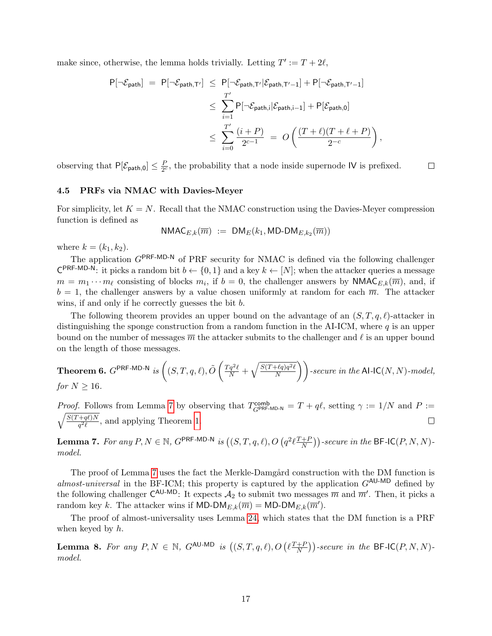make since, otherwise, the lemma holds trivially. Letting  $T' := T + 2\ell$ ,

$$
\begin{array}{lcl} \mathsf{P}[\neg \mathcal{E}_{\mathsf{path}}] & = & \mathsf{P}[\neg \mathcal{E}_{\mathsf{path},\mathsf{T}'}] \; \leq & \mathsf{P}[\neg \mathcal{E}_{\mathsf{path},\mathsf{T}'}|\mathcal{E}_{\mathsf{path},\mathsf{T}'-1}] + \mathsf{P}[\neg \mathcal{E}_{\mathsf{path},\mathsf{T}'-1}] \\ \\ & \leq & \sum_{i=1}^{T'} \mathsf{P}[\neg \mathcal{E}_{\mathsf{path},i}|\mathcal{E}_{\mathsf{path},i-1}] + \mathsf{P}[\mathcal{E}_{\mathsf{path},0}] \\ \\ & \leq & \sum_{i=0}^{T'} \frac{(i+P)}{2^{c-1}} \; = & \mathit{O}\left(\frac{(T+\ell)(T+\ell+P)}{2^{-c}}\right), \end{array}
$$

observing that  $P[\mathcal{E}_{\mathsf{path},0}] \leq \frac{P}{2^{\alpha}}$  $\frac{P}{2^{c}}$ , the probability that a node inside supernode IV is prefixed.

 $\Box$ 

# 4.5 PRFs via NMAC with Davies-Meyer

For simplicity, let  $K = N$ . Recall that the NMAC construction using the Davies-Meyer compression function is defined as

$$
\mathsf{NMAC}_{E,k}(\overline{m}) \ := \ \mathsf{DM}_E(k_1, \mathsf{MD}\text{-}\mathsf{DM}_{E,k_2}(\overline{m}))
$$

where  $k = (k_1, k_2)$ .

The application  $G^{PRF-MD-N}$  of PRF security for NMAC is defined via the following challenger  $\mathsf{C}^{\mathsf{PRF-MD-N}}$ : it picks a random bit  $b \leftarrow \{0,1\}$  and a key  $k \leftarrow [N]$ ; when the attacker queries a message  $m = m_1 \cdots m_\ell$  consisting of blocks  $m_i$ , if  $b = 0$ , the challenger answers by NMAC<sub>E,k</sub>( $\overline{m}$ ), and, if  $b = 1$ , the challenger answers by a value chosen uniformly at random for each  $\overline{m}$ . The attacker wins, if and only if he correctly guesses the bit b.

The following theorem provides an upper bound on the advantage of an  $(S, T, q, \ell)$ -attacker in distinguishing the sponge construction from a random function in the AI-ICM, where  $q$  is an upper bound on the number of messages  $\overline{m}$  the attacker submits to the challenger and  $\ell$  is an upper bound on the length of those messages.

# Theorem 6.  $G^{\mathsf{PRF-MD-N}}$  is  $\bigg((S,T,q,\ell), \tilde{O} \left( \frac{Tq^2\ell}{N} + \sqrt{\frac{S(T+\ell q)q^2\ell}{N}} \right)$  $\overline{\frac{\partial^2 F}{\partial N}}\bigg)\bigg)$  -secure in the <code>AI-IC(N,N)-model,</code> for  $N \geq 16$ .

*Proof.* Follows from Lemma [7](#page-17-0) by observing that  $T_{GPPRF-MD-N}^{comb} = T + q\ell$ , setting  $\gamma := 1/N$  and  $P :=$  $\int S(T + q\ell)N$  $\frac{+q\ell\,jN}{q^2\ell}$ , and applying Theorem [1.](#page-9-0)  $\Box$ 

<span id="page-17-0"></span>**Lemma 7.** For any  $P, N \in \mathbb{N}$ ,  $G^{PRE-MD-N}$  is  $((S, T, q, \ell), O (q^2 \ell \frac{T+P}{N}))$  $\left(\frac{+P}{N}\right))$  -secure in the <code>BF-IC</code> $(P, N, N)$ model.

The proof of Lemma [7](#page-17-0) uses the fact the Merkle-Damgård construction with the DM function is almost-universal in the BF-ICM; this property is captured by the application  $G^{AU-MD}$  defined by the following challenger  $\mathsf{C}^{\mathsf{AU}\text{-}\mathsf{MD}}$ : It expects  $\mathcal{A}_2$  to submit two messages  $\overline{m}$  and  $\overline{m}'$ . Then, it picks a random key k. The attacker wins if  $MD-DM_{E,k}(\overline{m}) = MD-DM_{E,k}(\overline{m}').$ 

The proof of almost-universality uses Lemma [24,](#page-37-0) which states that the DM function is a PRF when keyed by h.

**Lemma 8.** For any  $P, N \in \mathbb{N}$ ,  $G^{\text{AU-MD}}$  is  $((S, T, q, \ell), O(\ell \frac{T + P}{N}))$  $(\frac{+P}{N})$ )-secure in the BF-IC(P, N, N)model.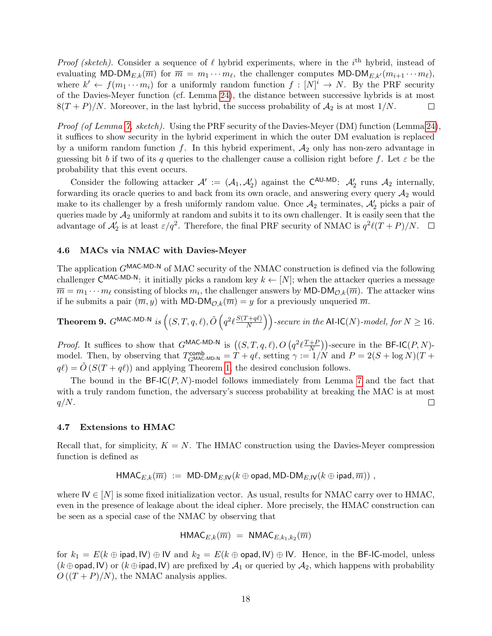*Proof (sketch)*. Consider a sequence of  $\ell$  hybrid experiments, where in the i<sup>th</sup> hybrid, instead of evaluating MD-DM $_{E,k}(\overline{m})$  for  $\overline{m} = m_1 \cdots m_\ell$ , the challenger computes MD-DM $_{E,k'}(m_{i+1} \cdots m_\ell)$ , where  $k' \leftarrow f(m_1 \cdots m_i)$  for a uniformly random function  $f : [N]^i \rightarrow N$ . By the PRF security of the Davies-Meyer function (cf. Lemma [24\)](#page-37-0), the distance between successive hybrids is at most  $8(T + P)/N$ . Moreover, in the last hybrid, the success probability of  $A_2$  is at most  $1/N$ .  $\Box$ 

Proof (of Lemma [7,](#page-17-0) sketch). Using the PRF security of the Davies-Meyer (DM) function (Lemma [24\)](#page-37-0). it suffices to show security in the hybrid experiment in which the outer DM evaluation is replaced by a uniform random function f. In this hybrid experiment,  $A_2$  only has non-zero advantage in guessing bit b if two of its q queries to the challenger cause a collision right before f. Let  $\varepsilon$  be the probability that this event occurs.

Consider the following attacker  $\mathcal{A}' := (\mathcal{A}_1, \mathcal{A}'_2)$  against the C<sup>AU-MD</sup>:  $\mathcal{A}'_2$  runs  $\mathcal{A}_2$  internally, forwarding its oracle queries to and back from its own oracle, and answering every query  $A_2$  would make to its challenger by a fresh uniformly random value. Once  $\mathcal{A}_2$  terminates,  $\mathcal{A}'_2$  picks a pair of queries made by  $A_2$  uniformly at random and subits it to its own challenger. It is easily seen that the advantage of  $\mathcal{A}'_2$  is at least  $\varepsilon/q^2$ . Therefore, the final PRF security of NMAC is  $q^2\ell(T+P)/N$ .

# 4.6 MACs via NMAC with Davies-Meyer

The application  $G^{\text{MAC-MD-N}}$  of MAC security of the NMAC construction is defined via the following challenger C<sup>MAC-MD-N</sup>: it initially picks a random key  $k \leftarrow [N]$ ; when the attacker queries a message  $\overline{m} = m_1 \cdots m_\ell$  consisting of blocks  $m_i$ , the challenger answers by MD-DM<sub>O,k</sub>( $\overline{m}$ ). The attacker wins if he submits a pair  $(\overline{m}, y)$  with MD-DM $_{\mathcal{O},k}(\overline{m}) = y$  for a previously unqueried  $\overline{m}$ .

**Theorem 9.** 
$$
G^{\text{MAC-MD-N}}
$$
 is  $\left((S, T, q, \ell), \tilde{O}\left(q^2\ell \frac{S(T+q\ell)}{N}\right)\right)$ -secure in the Al-IC(N)-model, for  $N \ge 16$ .

*Proof.* It suffices to show that  $G^{MAC-MD-N}$  is  $((S, T, q, \ell), O(q^2\ell \frac{T+F}{N}))$  $(\frac{+P}{N})$ )-secure in the BF-IC(*P*, *N*)model. Then, by observing that  $T_{\text{GMAC-MD-N}}^{\text{comb}} = T + q\ell$ , setting  $\gamma := 1/N$  and  $P = 2(S + \log N)(T +$  $q\ell$ ) = O (S(T + q $\ell$ )) and applying Theorem [1,](#page-9-0) the desired conclusion follows.

The bound in the  $BF-IC(P, N)$ -model follows immediately from Lemma [7](#page-17-0) and the fact that with a truly random function, the adversary's success probability at breaking the MAC is at most  $q/N$ .  $\Box$ 

### 4.7 Extensions to HMAC

Recall that, for simplicity,  $K = N$ . The HMAC construction using the Davies-Meyer compression function is defined as

$$
\mathsf{HMAC}_{E,k}(\overline{m}) \; := \; \mathsf{MD\text{-}DM}_{E,\mathsf{IV}}(k \oplus \mathsf{opad}, \mathsf{MD\text{-}DM}_{E,\mathsf{IV}}(k \oplus \mathsf{ipad}, \overline{m})) \; ,
$$

where  $\mathsf{IV} \in [N]$  is some fixed initialization vector. As usual, results for NMAC carry over to HMAC, even in the presence of leakage about the ideal cipher. More precisely, the HMAC construction can be seen as a special case of the NMAC by observing that

$$
\mathsf{HMAC}_{E,k}(\overline{m}) = \mathsf{NMAC}_{E,k_1,k_2}(\overline{m})
$$

for  $k_1 = E(k \oplus \text{ipad}, \text{IV}) \oplus \text{IV}$  and  $k_2 = E(k \oplus \text{opad}, \text{IV}) \oplus \text{IV}$ . Hence, in the BF-IC-model, unless  $(k \oplus \text{opad}, \mathsf{IV})$  or  $(k \oplus \text{ipad}, \mathsf{IV})$  are prefixed by  $\mathcal{A}_1$  or queried by  $\mathcal{A}_2$ , which happens with probability  $O((T + P)/N)$ , the NMAC analysis applies.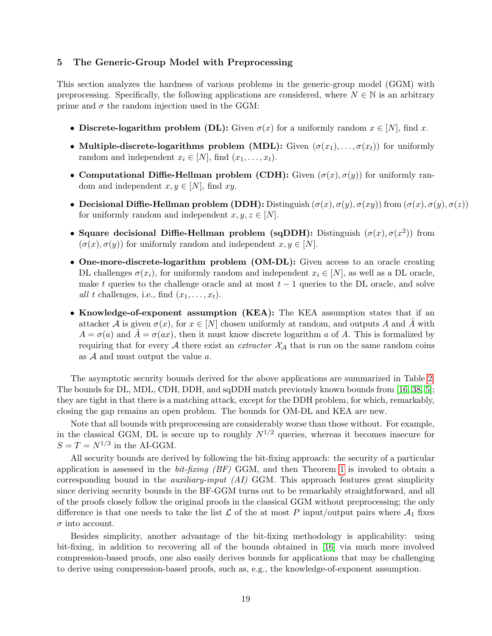# <span id="page-19-0"></span>5 The Generic-Group Model with Preprocessing

This section analyzes the hardness of various problems in the generic-group model (GGM) with preprocessing. Specifically, the following applications are considered, where  $N \in \mathbb{N}$  is an arbitrary prime and  $\sigma$  the random injection used in the GGM:

- Discrete-logarithm problem (DL): Given  $\sigma(x)$  for a uniformly random  $x \in [N]$ , find x.
- Multiple-discrete-logarithms problem (MDL): Given  $(\sigma(x_1), \ldots, \sigma(x_t))$  for uniformly random and independent  $x_i \in [N]$ , find  $(x_1, \ldots, x_t)$ .
- Computational Diffie-Hellman problem (CDH): Given  $(\sigma(x), \sigma(y))$  for uniformly random and independent  $x, y \in [N]$ , find  $xy$ .
- Decisional Diffie-Hellman problem (DDH): Distinguish  $(\sigma(x), \sigma(y), \sigma(xy))$  from  $(\sigma(x), \sigma(y), \sigma(z))$ for uniformly random and independent  $x, y, z \in [N]$ .
- Square decisional Diffie-Hellman problem (sqDDH): Distinguish  $(\sigma(x), \sigma(x^2))$  from  $(\sigma(x), \sigma(y))$  for uniformly random and independent  $x, y \in [N]$ .
- One-more-discrete-logarithm problem (OM-DL): Given access to an oracle creating DL challenges  $\sigma(x_i)$ , for uniformly random and independent  $x_i \in [N]$ , as well as a DL oracle, make t queries to the challenge oracle and at most  $t-1$  queries to the DL oracle, and solve all t challenges, i.e., find  $(x_1, \ldots, x_t)$ .
- Knowledge-of-exponent assumption (KEA): The KEA assumption states that if an attacker A is given  $\sigma(x)$ , for  $x \in [N]$  chosen uniformly at random, and outputs A and A with  $A = \sigma(a)$  and  $A = \sigma(ax)$ , then it must know discrete logarithm a of A. This is formalized by requiring that for every A there exist an *extractor*  $X_A$  that is run on the same random coins as  $A$  and must output the value  $a$ .

The asymptotic security bounds derived for the above applications are summarized in Table [2.](#page-5-0) The bounds for DL, MDL, CDH, DDH, and sqDDH match previously known bounds from [\[16,](#page-24-7) [38,](#page-26-10) [5\]](#page-23-8); they are tight in that there is a matching attack, except for the DDH problem, for which, remarkably, closing the gap remains an open problem. The bounds for OM-DL and KEA are new.

Note that all bounds with preprocessing are considerably worse than those without. For example, in the classical GGM, DL is secure up to roughly  $N^{1/2}$  queries, whereas it becomes insecure for  $S = T = N^{1/3}$  in the AI-GGM.

All security bounds are derived by following the bit-fixing approach: the security of a particular application is assessed in the  $bit\text{-}fixing$  (BF) GGM, and then Theorem [1](#page-9-0) is invoked to obtain a corresponding bound in the *auxiliary-input*  $(AI)$  GGM. This approach features great simplicity since deriving security bounds in the BF-GGM turns out to be remarkably straightforward, and all of the proofs closely follow the original proofs in the classical GGM without preprocessing; the only difference is that one needs to take the list  $\mathcal L$  of the at most P input/output pairs where  $\mathcal A_1$  fixes  $\sigma$  into account.

Besides simplicity, another advantage of the bit-fixing methodology is applicability: using bit-fixing, in addition to recovering all of the bounds obtained in [\[16\]](#page-24-7) via much more involved compression-based proofs, one also easily derives bounds for applications that may be challenging to derive using compression-based proofs, such as, e.g., the knowledge-of-exponent assumption.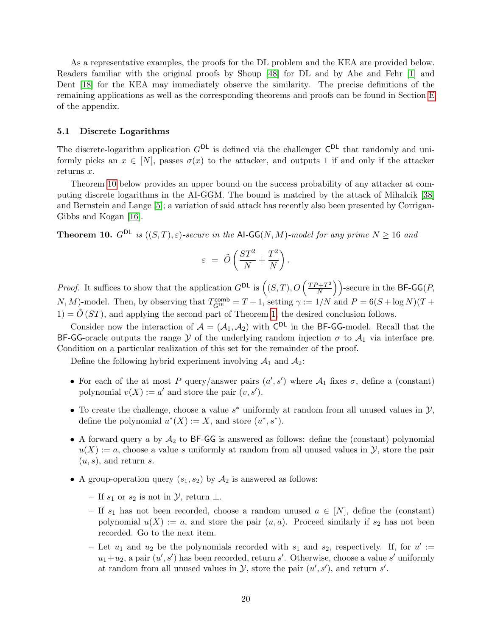As a representative examples, the proofs for the DL problem and the KEA are provided below. Readers familiar with the original proofs by Shoup [\[48\]](#page-26-8) for DL and by Abe and Fehr [\[1\]](#page-23-7) and Dent [\[18\]](#page-24-5) for the KEA may immediately observe the similarity. The precise definitions of the remaining applications as well as the corresponding theorems and proofs can be found in Section [E](#page-42-0) of the appendix.

# 5.1 Discrete Logarithms

The discrete-logarithm application  $G^{\mathsf{DL}}$  is defined via the challenger  $C^{\mathsf{DL}}$  that randomly and uniformly picks an  $x \in [N]$ , passes  $\sigma(x)$  to the attacker, and outputs 1 if and only if the attacker returns x.

Theorem [10](#page-20-0) below provides an upper bound on the success probability of any attacker at computing discrete logarithms in the AI-GGM. The bound is matched by the attack of Mihalcik [\[38\]](#page-26-10) and Bernstein and Lange [\[5\]](#page-23-8); a variation of said attack has recently also been presented by Corrigan-Gibbs and Kogan [\[16\]](#page-24-7).

<span id="page-20-0"></span>**Theorem 10.**  $G^{\text{DL}}$  is  $((S, T), \varepsilon)$ -secure in the AI-GG(N, M)-model for any prime  $N \geq 16$  and

$$
\varepsilon ~=~ \tilde{O}\left(\frac{ST^2}{N} + \frac{T^2}{N}\right).
$$

*Proof.* It suffices to show that the application  $G^{\mathsf{DL}}$  is  $\left( (S,T), O\left( \frac{TP+T^2}{N} \right) \right)$  $\binom{P+T^2}{N}$ )-secure in the BF-GG(*P*, N, M)-model. Then, by observing that  $T_{G}^{\text{comb}} = T + 1$ , setting  $\gamma := 1/N$  and  $P = 6(S + \log N)(T +$  $1) = \tilde{O}(ST)$ , and applying the second part of Theorem [1,](#page-9-0) the desired conclusion follows.

Consider now the interaction of  $A = (A_1, A_2)$  with  $C^{DL}$  in the BF-GG-model. Recall that the BF-GG-oracle outputs the range Y of the underlying random injection  $\sigma$  to  $\mathcal{A}_1$  via interface pre. Condition on a particular realization of this set for the remainder of the proof.

Define the following hybrid experiment involving  $A_1$  and  $A_2$ :

- For each of the at most P query/answer pairs  $(a', s')$  where  $\mathcal{A}_1$  fixes  $\sigma$ , define a (constant) polynomial  $v(X) := a'$  and store the pair  $(v, s')$ .
- To create the challenge, choose a value  $s^*$  uniformly at random from all unused values in  $\mathcal{Y}$ , define the polynomial  $u^*(X) := X$ , and store  $(u^*, s^*)$ .
- A forward query a by  $A_2$  to BF-GG is answered as follows: define the (constant) polynomial  $u(X) := a$ , choose a value s uniformly at random from all unused values in  $\mathcal{Y}$ , store the pair  $(u, s)$ , and return s.
- A group-operation query  $(s_1, s_2)$  by  $\mathcal{A}_2$  is answered as follows:
	- If  $s_1$  or  $s_2$  is not in  $\mathcal{Y}$ , return  $\perp$ .
	- If  $s_1$  has not been recorded, choose a random unused  $a \in [N]$ , define the (constant) polynomial  $u(X) := a$ , and store the pair  $(u, a)$ . Proceed similarly if  $s_2$  has not been recorded. Go to the next item.
	- Let  $u_1$  and  $u_2$  be the polynomials recorded with  $s_1$  and  $s_2$ , respectively. If, for  $u' :=$  $u_1+u_2$ , a pair  $(u', s')$  has been recorded, return s'. Otherwise, choose a value s' uniformly at random from all unused values in  $\mathcal{Y}$ , store the pair  $(u', s')$ , and return s'.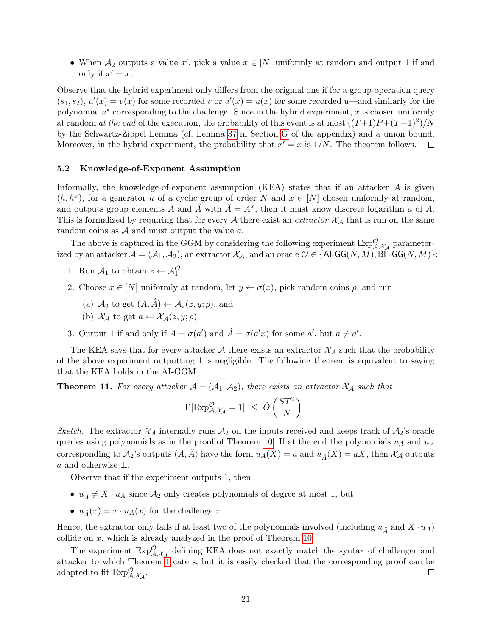• When  $A_2$  outputs a value  $x'$ , pick a value  $x \in [N]$  uniformly at random and output 1 if and only if  $x' = x$ .

Observe that the hybrid experiment only differs from the original one if for a group-operation query  $(s_1, s_2), u'(x) = v(x)$  for some recorded v or  $u'(x) = u(x)$  for some recorded u—and similarly for the polynomial  $u^*$  corresponding to the challenge. Since in the hybrid experiment, x is chosen uniformly at random at the end of the execution, the probability of this event is at most  $((T+1)P+(T+1)^2)/N$ by the Schwartz-Zippel Lemma (cf. Lemma [37](#page-50-0) in Section [G](#page-50-1) of the appendix) and a union bound. Moreover, in the hybrid experiment, the probability that  $x' = x$  is  $1/N$ . The theorem follows.  $\Box$ 

#### 5.2 Knowledge-of-Exponent Assumption

Informally, the knowledge-of-exponent assumption (KEA) states that if an attacker  $A$  is given  $(h, h^x)$ , for a generator h of a cyclic group of order N and  $x \in [N]$  chosen uniformly at random, and outputs group elements A and  $\hat{A}$  with  $\hat{A} = A^x$ , then it must know discrete logarithm a of A. This is formalized by requiring that for every A there exist an *extractor*  $\mathcal{X}_{\mathcal{A}}$  that is run on the same random coins as  $A$  and must output the value  $a$ .

The above is captured in the GGM by considering the following experiment  $\text{Exp}^{\mathcal{O}}_{\mathcal{A},\mathcal{X}_{\mathcal{A}}}$  parameterized by an attacker  $\mathcal{A} = (\mathcal{A}_1, \mathcal{A}_2)$ , an extractor  $\mathcal{X}_\mathcal{A}$ , and an oracle  $\mathcal{O} \in \{\text{Al-GG}(N, M), \text{B}\rightarrow \text{GG}(N, M)\}$ :

- 1. Run  $A_1$  to obtain  $z \leftarrow A_1^{\mathcal{O}}$ .
- 2. Choose  $x \in [N]$  uniformly at random, let  $y \leftarrow \sigma(x)$ , pick random coins  $\rho$ , and run
	- (a)  $\mathcal{A}_2$  to get  $(A, \hat{A}) \leftarrow \mathcal{A}_2(z, y; \rho)$ , and
	- (b)  $\mathcal{X}_{\mathcal{A}}$  to get  $a \leftarrow \mathcal{X}_{\mathcal{A}}(z, y; \rho)$ .
- 3. Output 1 if and only if  $A = \sigma(a')$  and  $\hat{A} = \sigma(a'x)$  for some a', but  $a \neq a'$ .

The KEA says that for every attacker  $A$  there exists an extractor  $\mathcal{X}_A$  such that the probability of the above experiment outputting 1 is negligible. The following theorem is equivalent to saying that the KEA holds in the AI-GGM.

**Theorem 11.** For every attacker  $A = (A_1, A_2)$ , there exists an extractor  $X_A$  such that

$$
\mathsf{P}[\mathrm{Exp}^{\mathcal{O}}_{\mathcal{A},\mathcal{X}_{\mathcal{A}}} = 1] \le \tilde{O}\left(\frac{ST^2}{N}\right).
$$

Sketch. The extractor  $\mathcal{X}_{\mathcal{A}}$  internally runs  $\mathcal{A}_2$  on the inputs received and keeps track of  $\mathcal{A}_2$ 's oracle queries using polynomials as in the proof of Theorem [10.](#page-20-0) If at the end the polynomials  $u_A$  and  $u_{\hat{A}}$ corresponding to  $\mathcal{A}_2$ 's outputs  $(A, A)$  have the form  $u_A(X) = a$  and  $u_{\hat{A}}(X) = aX$ , then  $\mathcal{X}_A$  outputs a and otherwise  $\perp$ .

Observe that if the experiment outputs 1, then

- $u_{\hat{A}} \neq X \cdot u_A$  since  $\mathcal{A}_2$  only creates polynomials of degree at most 1, but
- $u_{\hat{A}}(x) = x \cdot u_A(x)$  for the challenge x.

Hence, the extractor only fails if at least two of the polynomials involved (including  $u_{\hat{A}}$  and  $X \cdot u_A$ ) collide on  $x$ , which is already analyzed in the proof of Theorem [10.](#page-20-0)

The experiment  $Exp_{A,\mathcal{X}_{A}}^{\mathcal{O}}$  defining KEA does not exactly match the syntax of challenger and attacker to which Theorem [1](#page-9-0) caters, but it is easily checked that the corresponding proof can be adapted to fit  $\text{Exp}_{\mathcal{A},\mathcal{X}_{\mathcal{A}}}^{\mathcal{O}}$ .  $\Box$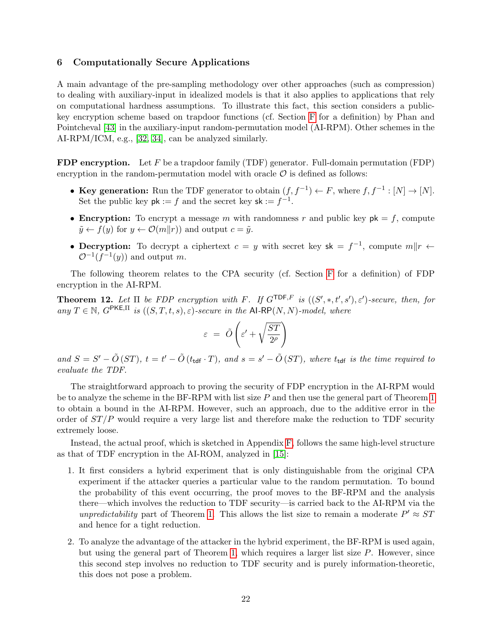# <span id="page-22-0"></span>6 Computationally Secure Applications

A main advantage of the pre-sampling methodology over other approaches (such as compression) to dealing with auxiliary-input in idealized models is that it also applies to applications that rely on computational hardness assumptions. To illustrate this fact, this section considers a publickey encryption scheme based on trapdoor functions (cf. Section [F](#page-48-0) for a definition) by Phan and Pointcheval [\[43\]](#page-26-11) in the auxiliary-input random-permutation model (AI-RPM). Other schemes in the AI-RPM/ICM, e.g., [\[32,](#page-25-8) [34\]](#page-25-9), can be analyzed similarly.

**FDP encryption.** Let F be a trapdoor family (TDF) generator. Full-domain permutation (FDP) encryption in the random-permutation model with oracle  $\mathcal O$  is defined as follows:

- Key generation: Run the TDF generator to obtain  $(f, f^{-1}) \leftarrow F$ , where  $f, f^{-1} : [N] \rightarrow [N]$ . Set the public key  $pk := f$  and the secret key  $sk := f^{-1}$ .
- Encryption: To encrypt a message m with randomness r and public key  $pk = f$ , compute  $\tilde{y} \leftarrow f(y)$  for  $y \leftarrow \mathcal{O}(m||r)$  and output  $c = \tilde{y}$ .
- Decryption: To decrypt a ciphertext  $c = y$  with secret key sk =  $f^{-1}$ , compute  $m||r \leftarrow$  $\mathcal{O}^{-1}(f^{-1}(y))$  and output m.

The following theorem relates to the CPA security (cf. Section [F](#page-48-0) for a definition) of FDP encryption in the AI-RPM.

**Theorem 12.** Let  $\Pi$  be FDP encryption with F. If  $G^{TDF,F}$  is  $((S',*,t',s'),\varepsilon')$ -secure, then, for any  $T \in \mathbb{N}$ ,  $G^{\text{PKE},\Pi}$  is  $((S, T, t, s), \varepsilon)$ -secure in the AI-RP(N, N)-model, where

$$
\varepsilon = \tilde{O}\left(\varepsilon' + \sqrt{\frac{ST}{2^{\rho}}}\right)
$$

and  $S = S' - \tilde{O}(ST)$ ,  $t = t' - \tilde{O}(t_{tdf} \cdot T)$ , and  $s = s' - \tilde{O}(ST)$ , where  $t_{tdf}$  is the time required to evaluate the TDF.

The straightforward approach to proving the security of FDP encryption in the AI-RPM would be to analyze the scheme in the BF-RPM with list size  $P$  and then use the general part of Theorem [1](#page-9-0) to obtain a bound in the AI-RPM. However, such an approach, due to the additive error in the order of  $ST/P$  would require a very large list and therefore make the reduction to TDF security extremely loose.

Instead, the actual proof, which is sketched in Appendix [F,](#page-48-0) follows the same high-level structure as that of TDF encryption in the AI-ROM, analyzed in [\[15\]](#page-24-6):

- 1. It first considers a hybrid experiment that is only distinguishable from the original CPA experiment if the attacker queries a particular value to the random permutation. To bound the probability of this event occurring, the proof moves to the BF-RPM and the analysis there—which involves the reduction to TDF security—is carried back to the AI-RPM via the unpredictability part of Theorem [1.](#page-9-0) This allows the list size to remain a moderate  $P' \approx ST$ and hence for a tight reduction.
- 2. To analyze the advantage of the attacker in the hybrid experiment, the BF-RPM is used again, but using the general part of Theorem [1,](#page-9-0) which requires a larger list size P. However, since this second step involves no reduction to TDF security and is purely information-theoretic, this does not pose a problem.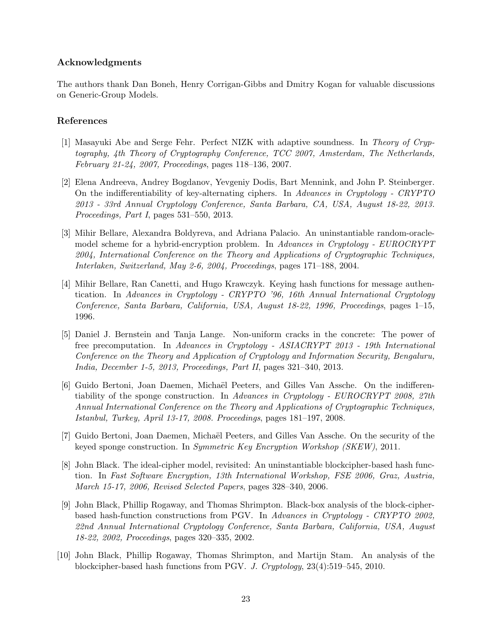# Acknowledgments

The authors thank Dan Boneh, Henry Corrigan-Gibbs and Dmitry Kogan for valuable discussions on Generic-Group Models.

# References

- <span id="page-23-7"></span>[1] Masayuki Abe and Serge Fehr. Perfect NIZK with adaptive soundness. In Theory of Cryptography, 4th Theory of Cryptography Conference, TCC 2007, Amsterdam, The Netherlands, February 21-24, 2007, Proceedings, pages 118–136, 2007.
- <span id="page-23-2"></span>[2] Elena Andreeva, Andrey Bogdanov, Yevgeniy Dodis, Bart Mennink, and John P. Steinberger. On the indifferentiability of key-alternating ciphers. In Advances in Cryptology - CRYPTO 2013 - 33rd Annual Cryptology Conference, Santa Barbara, CA, USA, August 18-22, 2013. Proceedings, Part I, pages 531–550, 2013.
- <span id="page-23-0"></span>[3] Mihir Bellare, Alexandra Boldyreva, and Adriana Palacio. An uninstantiable random-oraclemodel scheme for a hybrid-encryption problem. In Advances in Cryptology - EUROCRYPT 2004, International Conference on the Theory and Applications of Cryptographic Techniques, Interlaken, Switzerland, May 2-6, 2004, Proceedings, pages 171–188, 2004.
- <span id="page-23-3"></span>[4] Mihir Bellare, Ran Canetti, and Hugo Krawczyk. Keying hash functions for message authentication. In Advances in Cryptology - CRYPTO '96, 16th Annual International Cryptology Conference, Santa Barbara, California, USA, August 18-22, 1996, Proceedings, pages 1–15, 1996.
- <span id="page-23-8"></span>[5] Daniel J. Bernstein and Tanja Lange. Non-uniform cracks in the concrete: The power of free precomputation. In Advances in Cryptology - ASIACRYPT 2013 - 19th International Conference on the Theory and Application of Cryptology and Information Security, Bengaluru, India, December 1-5, 2013, Proceedings, Part II, pages 321–340, 2013.
- <span id="page-23-4"></span>[6] Guido Bertoni, Joan Daemen, Michaël Peeters, and Gilles Van Assche. On the indifferentiability of the sponge construction. In Advances in Cryptology - EUROCRYPT 2008, 27th Annual International Conference on the Theory and Applications of Cryptographic Techniques, Istanbul, Turkey, April 13-17, 2008. Proceedings, pages 181–197, 2008.
- <span id="page-23-5"></span>[7] Guido Bertoni, Joan Daemen, Michaël Peeters, and Gilles Van Assche. On the security of the keyed sponge construction. In Symmetric Key Encryption Workshop (SKEW), 2011.
- <span id="page-23-1"></span>[8] John Black. The ideal-cipher model, revisited: An uninstantiable blockcipher-based hash function. In Fast Software Encryption, 13th International Workshop, FSE 2006, Graz, Austria, March 15-17, 2006, Revised Selected Papers, pages 328–340, 2006.
- <span id="page-23-6"></span>[9] John Black, Phillip Rogaway, and Thomas Shrimpton. Black-box analysis of the block-cipherbased hash-function constructions from PGV. In Advances in Cryptology - CRYPTO 2002, 22nd Annual International Cryptology Conference, Santa Barbara, California, USA, August 18-22, 2002, Proceedings, pages 320–335, 2002.
- <span id="page-23-9"></span>[10] John Black, Phillip Rogaway, Thomas Shrimpton, and Martijn Stam. An analysis of the blockcipher-based hash functions from PGV. J. Cryptology, 23(4):519–545, 2010.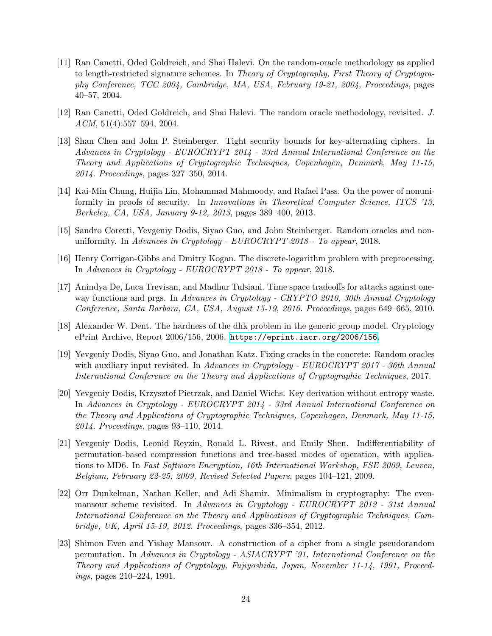- <span id="page-24-1"></span>[11] Ran Canetti, Oded Goldreich, and Shai Halevi. On the random-oracle methodology as applied to length-restricted signature schemes. In Theory of Cryptography, First Theory of Cryptography Conference, TCC 2004, Cambridge, MA, USA, February 19-21, 2004, Proceedings, pages 40–57, 2004.
- <span id="page-24-0"></span>[12] Ran Canetti, Oded Goldreich, and Shai Halevi. The random oracle methodology, revisited. J. ACM, 51(4):557–594, 2004.
- <span id="page-24-2"></span>[13] Shan Chen and John P. Steinberger. Tight security bounds for key-alternating ciphers. In Advances in Cryptology - EUROCRYPT 2014 - 33rd Annual International Conference on the Theory and Applications of Cryptographic Techniques, Copenhagen, Denmark, May 11-15, 2014. Proceedings, pages 327–350, 2014.
- <span id="page-24-10"></span>[14] Kai-Min Chung, Huijia Lin, Mohammad Mahmoody, and Rafael Pass. On the power of nonuniformity in proofs of security. In *Innovations in Theoretical Computer Science*, ITCS '13, Berkeley, CA, USA, January 9-12, 2013, pages 389–400, 2013.
- <span id="page-24-6"></span>[15] Sandro Coretti, Yevgeniy Dodis, Siyao Guo, and John Steinberger. Random oracles and nonuniformity. In Advances in Cryptology -  $EUROCRYPT 2018$  - To appear, 2018.
- <span id="page-24-7"></span>[16] Henry Corrigan-Gibbs and Dmitry Kogan. The discrete-logarithm problem with preprocessing. In Advances in Cryptology - EUROCRYPT 2018 - To appear, 2018.
- <span id="page-24-9"></span>[17] Anindya De, Luca Trevisan, and Madhur Tulsiani. Time space tradeoffs for attacks against oneway functions and prgs. In Advances in Cryptology - CRYPTO 2010, 30th Annual Cryptology Conference, Santa Barbara, CA, USA, August 15-19, 2010. Proceedings, pages 649–665, 2010.
- <span id="page-24-5"></span>[18] Alexander W. Dent. The hardness of the dhk problem in the generic group model. Cryptology ePrint Archive, Report 2006/156, 2006. <https://eprint.iacr.org/2006/156>.
- <span id="page-24-8"></span>[19] Yevgeniy Dodis, Siyao Guo, and Jonathan Katz. Fixing cracks in the concrete: Random oracles with auxiliary input revisited. In Advances in Cryptology -  $EUROCRYPT 2017$  - 36th Annual International Conference on the Theory and Applications of Cryptographic Techniques, 2017.
- <span id="page-24-11"></span>[20] Yevgeniy Dodis, Krzysztof Pietrzak, and Daniel Wichs. Key derivation without entropy waste. In Advances in Cryptology - EUROCRYPT 2014 - 33rd Annual International Conference on the Theory and Applications of Cryptographic Techniques, Copenhagen, Denmark, May 11-15, 2014. Proceedings, pages 93–110, 2014.
- <span id="page-24-4"></span>[21] Yevgeniy Dodis, Leonid Reyzin, Ronald L. Rivest, and Emily Shen. Indifferentiability of permutation-based compression functions and tree-based modes of operation, with applications to MD6. In Fast Software Encryption, 16th International Workshop, FSE 2009, Leuven, Belgium, February 22-25, 2009, Revised Selected Papers, pages 104–121, 2009.
- <span id="page-24-12"></span>[22] Orr Dunkelman, Nathan Keller, and Adi Shamir. Minimalism in cryptography: The evenmansour scheme revisited. In Advances in Cryptology - EUROCRYPT 2012 - 31st Annual International Conference on the Theory and Applications of Cryptographic Techniques, Cambridge, UK, April 15-19, 2012. Proceedings, pages 336–354, 2012.
- <span id="page-24-3"></span>[23] Shimon Even and Yishay Mansour. A construction of a cipher from a single pseudorandom permutation. In Advances in Cryptology - ASIACRYPT '91, International Conference on the Theory and Applications of Cryptology, Fujiyoshida, Japan, November 11-14, 1991, Proceedings, pages 210–224, 1991.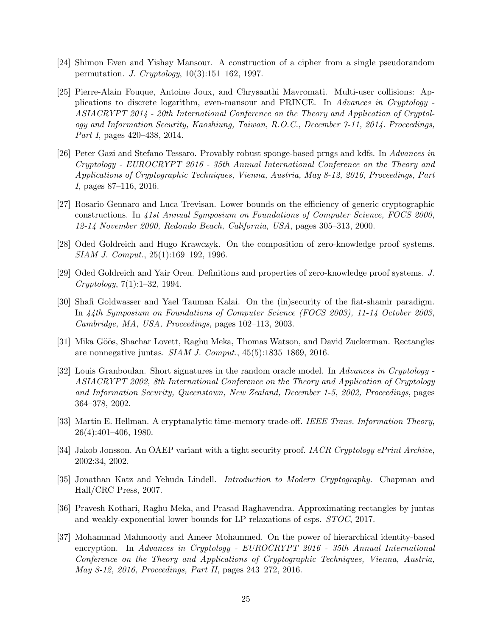- <span id="page-25-1"></span>[24] Shimon Even and Yishay Mansour. A construction of a cipher from a single pseudorandom permutation. J. Cryptology, 10(3):151–162, 1997.
- <span id="page-25-7"></span>[25] Pierre-Alain Fouque, Antoine Joux, and Chrysanthi Mavromati. Multi-user collisions: Applications to discrete logarithm, even-mansour and PRINCE. In Advances in Cryptology - ASIACRYPT 2014 - 20th International Conference on the Theory and Application of Cryptology and Information Security, Kaoshiung, Taiwan, R.O.C., December 7-11, 2014. Proceedings, Part I, pages 420–438, 2014.
- <span id="page-25-2"></span>[26] Peter Gazi and Stefano Tessaro. Provably robust sponge-based prngs and kdfs. In Advances in Cryptology - EUROCRYPT 2016 - 35th Annual International Conference on the Theory and Applications of Cryptographic Techniques, Vienna, Austria, May 8-12, 2016, Proceedings, Part I, pages 87–116, 2016.
- <span id="page-25-10"></span>[27] Rosario Gennaro and Luca Trevisan. Lower bounds on the efficiency of generic cryptographic constructions. In 41st Annual Symposium on Foundations of Computer Science, FOCS 2000, 12-14 November 2000, Redondo Beach, California, USA, pages 305–313, 2000.
- <span id="page-25-6"></span>[28] Oded Goldreich and Hugo Krawczyk. On the composition of zero-knowledge proof systems. SIAM J. Comput., 25(1):169–192, 1996.
- <span id="page-25-5"></span>[29] Oded Goldreich and Yair Oren. Definitions and properties of zero-knowledge proof systems. J. Cryptology, 7(1):1–32, 1994.
- <span id="page-25-0"></span>[30] Shafi Goldwasser and Yael Tauman Kalai. On the (in)security of the fiat-shamir paradigm. In 44th Symposium on Foundations of Computer Science (FOCS 2003), 11-14 October 2003, Cambridge, MA, USA, Proceedings, pages 102–113, 2003.
- <span id="page-25-12"></span>[31] Mika Göös, Shachar Lovett, Raghu Meka, Thomas Watson, and David Zuckerman. Rectangles are nonnegative juntas. SIAM J. Comput., 45(5):1835–1869, 2016.
- <span id="page-25-8"></span>[32] Louis Granboulan. Short signatures in the random oracle model. In Advances in Cryptology -ASIACRYPT 2002, 8th International Conference on the Theory and Application of Cryptology and Information Security, Queenstown, New Zealand, December 1-5, 2002, Proceedings, pages 364–378, 2002.
- <span id="page-25-3"></span>[33] Martin E. Hellman. A cryptanalytic time-memory trade-off. IEEE Trans. Information Theory, 26(4):401–406, 1980.
- <span id="page-25-9"></span>[34] Jakob Jonsson. An OAEP variant with a tight security proof. *IACR Cryptology ePrint Archive*, 2002:34, 2002.
- <span id="page-25-4"></span>[35] Jonathan Katz and Yehuda Lindell. Introduction to Modern Cryptography. Chapman and Hall/CRC Press, 2007.
- <span id="page-25-13"></span>[36] Pravesh Kothari, Raghu Meka, and Prasad Raghavendra. Approximating rectangles by juntas and weakly-exponential lower bounds for LP relaxations of csps. STOC, 2017.
- <span id="page-25-11"></span>[37] Mohammad Mahmoody and Ameer Mohammed. On the power of hierarchical identity-based encryption. In Advances in Cryptology - EUROCRYPT 2016 - 35th Annual International Conference on the Theory and Applications of Cryptographic Techniques, Vienna, Austria, May 8-12, 2016, Proceedings, Part II, pages 243–272, 2016.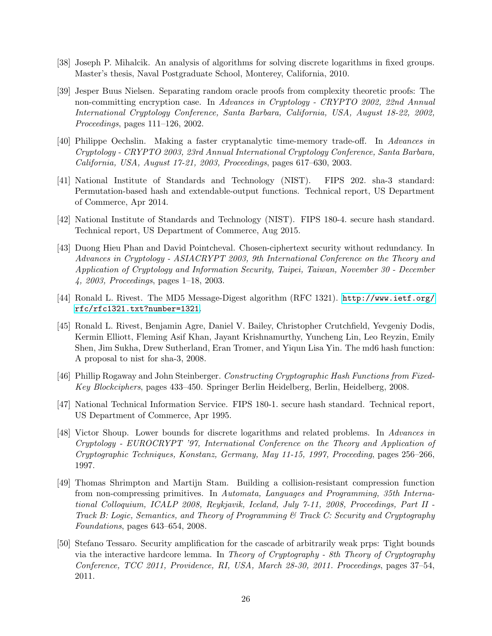- <span id="page-26-10"></span>[38] Joseph P. Mihalcik. An analysis of algorithms for solving discrete logarithms in fixed groups. Master's thesis, Naval Postgraduate School, Monterey, California, 2010.
- <span id="page-26-0"></span>[39] Jesper Buus Nielsen. Separating random oracle proofs from complexity theoretic proofs: The non-committing encryption case. In Advances in Cryptology - CRYPTO 2002, 22nd Annual International Cryptology Conference, Santa Barbara, California, USA, August 18-22, 2002, Proceedings, pages 111–126, 2002.
- <span id="page-26-9"></span>[40] Philippe Oechslin. Making a faster cryptanalytic time-memory trade-off. In Advances in Cryptology - CRYPTO 2003, 23rd Annual International Cryptology Conference, Santa Barbara, California, USA, August 17-21, 2003, Proceedings, pages 617–630, 2003.
- <span id="page-26-4"></span>[41] National Institute of Standards and Technology (NIST). FIPS 202. sha-3 standard: Permutation-based hash and extendable-output functions. Technical report, US Department of Commerce, Apr 2014.
- <span id="page-26-2"></span>[42] National Institute of Standards and Technology (NIST). FIPS 180-4. secure hash standard. Technical report, US Department of Commerce, Aug 2015.
- <span id="page-26-11"></span>[43] Duong Hieu Phan and David Pointcheval. Chosen-ciphertext security without redundancy. In Advances in Cryptology - ASIACRYPT 2003, 9th International Conference on the Theory and Application of Cryptology and Information Security, Taipei, Taiwan, November 30 - December 4, 2003, Proceedings, pages 1–18, 2003.
- <span id="page-26-3"></span>[44] Ronald L. Rivest. The MD5 Message-Digest algorithm (RFC 1321). [http://www.ietf.org/](http://www.ietf.org/rfc/rfc1321.txt?number=1321) [rfc/rfc1321.txt?number=1321](http://www.ietf.org/rfc/rfc1321.txt?number=1321).
- <span id="page-26-5"></span>[45] Ronald L. Rivest, Benjamin Agre, Daniel V. Bailey, Christopher Crutchfield, Yevgeniy Dodis, Kermin Elliott, Fleming Asif Khan, Jayant Krishnamurthy, Yuncheng Lin, Leo Reyzin, Emily Shen, Jim Sukha, Drew Sutherland, Eran Tromer, and Yiqun Lisa Yin. The md6 hash function: A proposal to nist for sha-3, 2008.
- <span id="page-26-7"></span>[46] Phillip Rogaway and John Steinberger. Constructing Cryptographic Hash Functions from Fixed-Key Blockciphers, pages 433–450. Springer Berlin Heidelberg, Berlin, Heidelberg, 2008.
- <span id="page-26-1"></span>[47] National Technical Information Service. FIPS 180-1. secure hash standard. Technical report, US Department of Commerce, Apr 1995.
- <span id="page-26-8"></span>[48] Victor Shoup. Lower bounds for discrete logarithms and related problems. In Advances in Cryptology - EUROCRYPT '97, International Conference on the Theory and Application of Cryptographic Techniques, Konstanz, Germany, May 11-15, 1997, Proceeding, pages 256–266, 1997.
- <span id="page-26-6"></span>[49] Thomas Shrimpton and Martijn Stam. Building a collision-resistant compression function from non-compressing primitives. In Automata, Languages and Programming, 35th International Colloquium, ICALP 2008, Reykjavik, Iceland, July 7-11, 2008, Proceedings, Part II - Track B: Logic, Semantics, and Theory of Programming & Track C: Security and Cryptography Foundations, pages 643–654, 2008.
- <span id="page-26-12"></span>[50] Stefano Tessaro. Security amplification for the cascade of arbitrarily weak prps: Tight bounds via the interactive hardcore lemma. In Theory of Cryptography - 8th Theory of Cryptography Conference, TCC 2011, Providence, RI, USA, March 28-30, 2011. Proceedings, pages 37–54, 2011.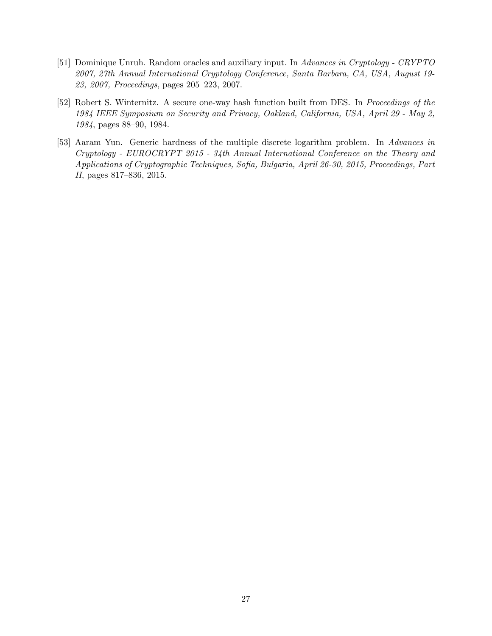- <span id="page-27-1"></span>[51] Dominique Unruh. Random oracles and auxiliary input. In Advances in Cryptology - CRYPTO 2007, 27th Annual International Cryptology Conference, Santa Barbara, CA, USA, August 19- 23, 2007, Proceedings, pages 205–223, 2007.
- <span id="page-27-0"></span>[52] Robert S. Winternitz. A secure one-way hash function built from DES. In Proceedings of the 1984 IEEE Symposium on Security and Privacy, Oakland, California, USA, April 29 - May 2, 1984, pages 88–90, 1984.
- <span id="page-27-2"></span>[53] Aaram Yun. Generic hardness of the multiple discrete logarithm problem. In Advances in Cryptology - EUROCRYPT 2015 - 34th Annual International Conference on the Theory and Applications of Cryptographic Techniques, Sofia, Bulgaria, April 26-30, 2015, Proceedings, Part II, pages 817–836, 2015.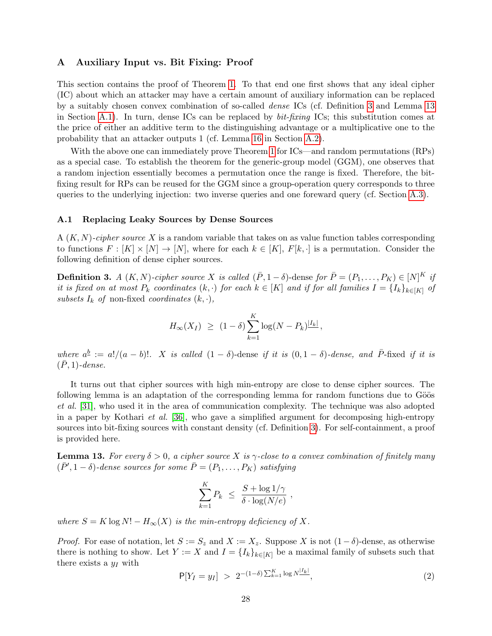# <span id="page-28-0"></span>A Auxiliary Input vs. Bit Fixing: Proof

This section contains the proof of Theorem [1.](#page-9-0) To that end one first shows that any ideal cipher (IC) about which an attacker may have a certain amount of auxiliary information can be replaced by a suitably chosen convex combination of so-called dense ICs (cf. Definition [3](#page-9-2) and Lemma [13](#page-28-1) in Section [A.1\)](#page-28-2). In turn, dense ICs can be replaced by bit-fixing ICs; this substitution comes at the price of either an additive term to the distinguishing advantage or a multiplicative one to the probability that an attacker outputs 1 (cf. Lemma [16](#page-30-0) in Section [A.2\)](#page-30-1).

With the above one can immediately prove Theorem [1](#page-9-0) for ICs—and random permutations (RPs) as a special case. To establish the theorem for the generic-group model (GGM), one observes that a random injection essentially becomes a permutation once the range is fixed. Therefore, the bitfixing result for RPs can be reused for the GGM since a group-operation query corresponds to three queries to the underlying injection: two inverse queries and one foreward query (cf. Section [A.3\)](#page-33-0).

#### <span id="page-28-2"></span>A.1 Replacing Leaky Sources by Dense Sources

 $A(K, N)$ -cipher source X is a random variable that takes on as value function tables corresponding to functions  $F : [K] \times [N] \rightarrow [N]$ , where for each  $k \in [K], F[k, \cdot]$  is a permutation. Consider the following definition of dense cipher sources.

**Definition 3.** A  $(K, N)$ -cipher source X is called  $(\bar{P}, 1 - \delta)$ -dense for  $\bar{P} = (P_1, \ldots, P_K) \in [N]^K$  if it is fixed on at most  $P_k$  coordinates  $(k, \cdot)$  for each  $k \in [K]$  and if for all families  $I = \{I_k\}_{k \in [K]}$  of subsets  $I_k$  of non-fixed coordinates  $(k, \cdot),$ 

$$
H_{\infty}(X_I) \ \geq \ (1-\delta) \sum_{k=1}^K \log(N - P_k)^{|I_k|},
$$

where  $a^{\underline{b}} := a!/(a - b)!$ . X is called  $(1 - \delta)$ -dense if it is  $(0, 1 - \delta)$ -dense, and  $\overline{P}$ -fixed if it is  $(P, 1)$ -dense.

It turns out that cipher sources with high min-entropy are close to dense cipher sources. The following lemma is an adaptation of the corresponding lemma for random functions due to Göös et al. [\[31\]](#page-25-12), who used it in the area of communication complexity. The technique was also adopted in a paper by Kothari *et al.* [\[36\]](#page-25-13), who gave a simplified argument for decomposing high-entropy sources into bit-fixing sources with constant density (cf. Definition [3\)](#page-9-2). For self-containment, a proof is provided here.

<span id="page-28-1"></span>**Lemma 13.** For every  $\delta > 0$ , a cipher source X is  $\gamma$ -close to a convex combination of finitely many  $(\bar{P}', 1 - \delta)$ -dense sources for some  $\bar{P} = (P_1, \ldots, P_K)$  satisfying

$$
\sum_{k=1}^K P_k \leq \frac{S + \log 1/\gamma}{\delta \cdot \log(N/e)},
$$

where  $S = K \log N! - H_{\infty}(X)$  is the min-entropy deficiency of X.

*Proof.* For ease of notation, let  $S := S_z$  and  $X := X_z$ . Suppose X is not  $(1 - \delta)$ -dense, as otherwise there is nothing to show. Let  $Y := X$  and  $I = \{I_k\}_{k \in [K]}$  be a maximal family of subsets such that there exists a  $y_I$  with

<span id="page-28-3"></span>
$$
P[Y_I = y_I] > 2^{-(1-\delta)\sum_{k=1}^K \log N \frac{|I_k|}{\delta}}, \tag{2}
$$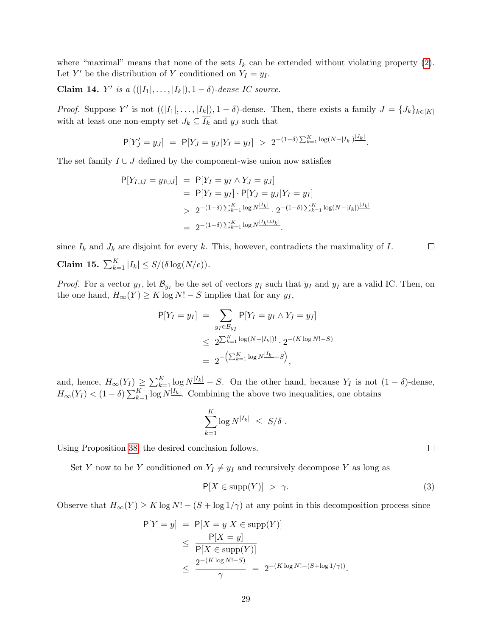where "maximal" means that none of the sets  $I_k$  can be extended without violating property [\(2\)](#page-28-3). Let Y' be the distribution of Y conditioned on  $Y_I = y_I$ .

Claim 14.  $Y'$  is a  $((|I_1|, \ldots, |I_k|), 1 - \delta)$ -dense IC source.

*Proof.* Suppose Y' is not  $((|I_1|, \ldots, |I_k|), 1 - \delta)$ -dense. Then, there exists a family  $J = \{J_k\}_{k \in [K]}$ with at least one non-empty set  $J_k \subseteq \overline{I_k}$  and  $y_J$  such that

$$
\mathsf{P}[Y'_J = y_J] = \mathsf{P}[Y_J = y_J | Y_I = y_I] > 2^{-(1-\delta)\sum_{k=1}^K \log(N - |I_k|)\frac{|J_k|}{2}}.
$$

The set family  $I \cup J$  defined by the component-wise union now satisfies

$$
P[Y_{I \cup J} = y_{I \cup J}] = P[Y_I = y_I \land Y_J = y_J]
$$
  
= 
$$
P[Y_I = y_I] \cdot P[Y_J = y_J | Y_I = y_I]
$$
  
> 
$$
2^{-(1-\delta) \sum_{k=1}^{K} \log N \frac{|I_k|}{2} \cdot 2^{-(1-\delta) \sum_{k=1}^{K} \log (N - |I_k|) \frac{|J_k|}{2}}}
$$
  
= 
$$
2^{-(1-\delta) \sum_{k=1}^{K} \log N \frac{|I_k \cup J_k|}{2}}.
$$

since  $I_k$  and  $J_k$  are disjoint for every k. This, however, contradicts the maximality of I.

**Claim 15.**  $\sum_{k=1}^{K} |I_k| \leq S/(\delta \log(N/e)).$ 

*Proof.* For a vector  $y_I$ , let  $\mathcal{B}_{y_I}$  be the set of vectors  $y_{\bar{I}}$  such that  $y_I$  and  $y_{\bar{I}}$  are a valid IC. Then, on the one hand,  $H_{\infty}(Y) \geq K \log N! - S$  implies that for any  $y_I$ ,

$$
P[Y_I = y_I] = \sum_{y_I \in \mathcal{B}_{y_I}} P[Y_I = y_I \land Y_{\bar{I}} = y_{\bar{I}}]
$$
  
\n
$$
\leq 2^{\sum_{k=1}^K \log(N - |I_k|)!} \cdot 2^{-(K \log N! - S)}
$$
  
\n
$$
= 2^{-\left(\sum_{k=1}^K \log N \frac{|I_k|}{S} - S\right)},
$$

and, hence,  $H_{\infty}(Y_I) \geq \sum_{k=1}^K \log N \frac{|I_k|}{I} - S$ . On the other hand, because  $Y_I$  is not  $(1 - \delta)$ -dense,  $H_{\infty}(Y_I) < (1 - \delta) \sum_{k=1}^{K} \log N \frac{|I_k|}{k}$ . Combining the above two inequalities, one obtains

$$
\sum_{k=1}^K \log N^{|I_k|} \leq S/\delta.
$$

Using Proposition [38,](#page-50-2) the desired conclusion follows.

Set Y now to be Y conditioned on  $Y_I \neq y_I$  and recursively decompose Y as long as

$$
P[X \in \text{supp}(Y)] > \gamma. \tag{3}
$$

Observe that  $H_{\infty}(Y) \geq K \log N! - (S + \log 1/\gamma)$  at any point in this decomposition process since

$$
P[Y = y] = P[X = y | X \in \text{supp}(Y)]
$$
  
\n
$$
\leq \frac{P[X = y]}{P[X \in \text{supp}(Y)]}
$$
  
\n
$$
\leq \frac{2^{-(K \log N! - S)}}{\gamma} = 2^{-(K \log N! - (S + \log 1/\gamma))}.
$$

 $\Box$ 

 $\Box$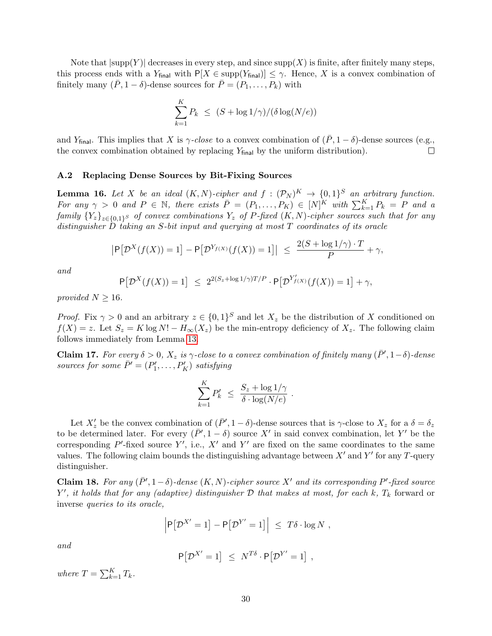Note that  $|\text{supp}(Y)|$  decreases in every step, and since  $\text{supp}(X)$  is finite, after finitely many steps, this process ends with a  $Y_{\text{final}}$  with  $P[X \in \text{supp}(Y_{\text{final}})] \leq \gamma$ . Hence, X is a convex combination of finitely many  $(\bar{P}, 1 - \delta)$ -dense sources for  $\bar{P} = (P_1, \ldots, P_k)$  with

$$
\sum_{k=1}^{K} P_k \leq (S + \log 1/\gamma) / (\delta \log(N/e))
$$

and Y<sub>final</sub>. This implies that X is  $\gamma$ -close to a convex combination of  $(\bar{P}, 1 - \delta)$ -dense sources (e.g., the convex combination obtained by replacing  $Y_{final}$  by the uniform distribution).  $\Box$ 

#### <span id="page-30-1"></span>A.2 Replacing Dense Sources by Bit-Fixing Sources

<span id="page-30-0"></span>**Lemma 16.** Let X be an ideal  $(K, N)$ -cipher and  $f : (\mathcal{P}_N)^K \to \{0, 1\}^S$  an arbitrary function. For any  $\gamma > 0$  and  $P \in \mathbb{N}$ , there exists  $\overline{P} = (P_1, \ldots, P_K) \in [N]^K$  with  $\sum_{k=1}^K P_k = P$  and a  $family \{Y_z\}_{z\in\{0,1\}^S}$  of convex combinations  $Y_z$  of P-fixed  $(K, N)$ -cipher sources such that for any distinguisher D taking an S-bit input and querying at most T coordinates of its oracle

$$
\left| \mathsf{P}\big[\mathcal{D}^X(f(X)) = 1\big] - \mathsf{P}\big[\mathcal{D}^{Y_{f(X)}}(f(X)) = 1\big] \right| \le \frac{2(S + \log 1/\gamma) \cdot T}{P} + \gamma,
$$

and

$$
\mathsf{P}\big[\mathcal{D}^X(f(X))=1\big] \ \leq \ 2^{2(S_z+\log 1/\gamma)T/P} \cdot \mathsf{P}\big[\mathcal{D}^{Y'_{f(X)}}(f(X))=1\big]+\gamma,
$$

provided  $N \geq 16$ .

*Proof.* Fix  $\gamma > 0$  and an arbitrary  $z \in \{0,1\}^S$  and let  $X_z$  be the distribution of X conditioned on  $f(X) = z$ . Let  $S_z = K \log N! - H_{\infty}(X_z)$  be the min-entropy deficiency of  $X_z$ . The following claim follows immediately from Lemma [13.](#page-28-1)

**Claim 17.** For every  $\delta > 0$ ,  $X_z$  is  $\gamma$ -close to a convex combination of finitely many  $(\bar{P}', 1-\delta)$ -dense sources for some  $\bar{P}' = (P'_1, \ldots, P'_K)$  satisfying

$$
\sum_{k=1}^K P'_k \leq \frac{S_z + \log 1/\gamma}{\delta \cdot \log(N/e)}.
$$

Let  $X'_z$  be the convex combination of  $(\bar{P}', 1 - \delta)$ -dense sources that is  $\gamma$ -close to  $X_z$  for a  $\delta = \delta_z$ to be determined later. For every  $(\bar{P}', 1 - \delta)$  source X' in said convex combination, let Y' be the corresponding P'-fixed source Y', i.e., X' and Y' are fixed on the same coordinates to the same values. The following claim bounds the distinguishing advantage between  $X'$  and  $Y'$  for any T-query distinguisher.

**Claim 18.** For any  $(\bar{P}', 1 - \delta)$ -dense  $(K, N)$ -cipher source X' and its corresponding P'-fixed source  $Y'$ , it holds that for any (adaptive) distinguisher  $D$  that makes at most, for each k,  $T_k$  forward or inverse queries to its oracle,

$$
\left| P\big[ \mathcal{D}^{X'} = 1 \big] - P\big[ \mathcal{D}^{Y'} = 1 \big] \right| \leq T\delta \cdot \log N ,
$$

and

$$
\mathsf{P}\big[\mathcal{D}^{X'}=1\big] \ \leq \ N^{T\delta}\cdot\mathsf{P}\big[\mathcal{D}^{Y'}=1\big] \ ,
$$

where  $T = \sum_{k=1}^{K} T_k$ .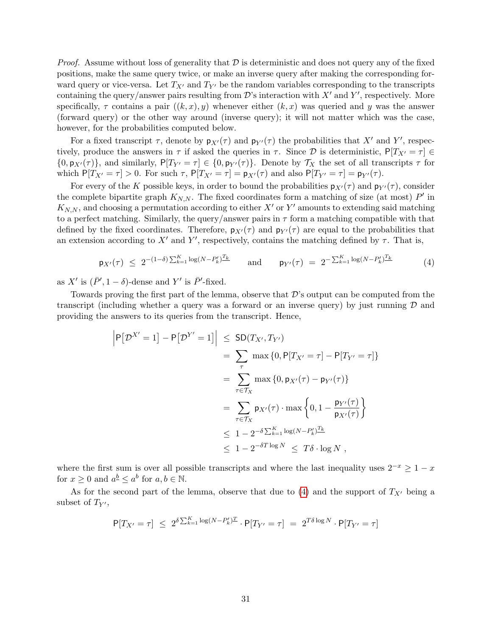*Proof.* Assume without loss of generality that  $D$  is deterministic and does not query any of the fixed positions, make the same query twice, or make an inverse query after making the corresponding forward query or vice-versa. Let  $T_{X'}$  and  $T_{Y'}$  be the random variables corresponding to the transcripts containing the query/answer pairs resulting from  $\mathcal{D}$ 's interaction with X' and Y', respectively. More specifically,  $\tau$  contains a pair  $((k, x), y)$  whenever either  $(k, x)$  was queried and y was the answer (forward query) or the other way around (inverse query); it will not matter which was the case, however, for the probabilities computed below.

For a fixed transcript  $\tau$ , denote by  $p_{X'}(\tau)$  and  $p_{Y'}(\tau)$  the probabilities that X' and Y', respectively, produce the answers in  $\tau$  if asked the queries in  $\tau$ . Since  $\mathcal D$  is deterministic,  $P[T_{X'} = \tau] \in$  $\{0, p_{X'}(\tau)\}\$ , and similarly,  $P[T_{Y'} = \tau] \in \{0, p_{Y'}(\tau)\}\$ . Denote by  $\mathcal{T}_X$  the set of all transcripts  $\tau$  for which  $P[T_{X'} = \tau] > 0$ . For such  $\tau$ ,  $P[T_{X'} = \tau] = p_{X'}(\tau)$  and also  $P[T_{Y'} = \tau] = p_{Y'}(\tau)$ .

For every of the K possible keys, in order to bound the probabilities  $p_{X'}(\tau)$  and  $p_{Y'}(\tau)$ , consider the complete bipartite graph  $K_{N,N}$ . The fixed coordinates form a matching of size (at most) P' in  $K_{N,N}$ , and choosing a permutation according to either X' or Y' amounts to extending said matching to a perfect matching. Similarly, the query/answer pairs in  $\tau$  form a matching compatible with that defined by the fixed coordinates. Therefore,  $p_{X'}(\tau)$  and  $p_{Y'}(\tau)$  are equal to the probabilities that an extension according to X' and Y', respectively, contains the matching defined by  $\tau$ . That is,

<span id="page-31-0"></span>
$$
\mathsf{p}_{X'}(\tau) \leq 2^{-(1-\delta)\sum_{k=1}^K \log(N - P'_k)^{\underline{T}_k}} \qquad \text{and} \qquad \mathsf{p}_{Y'}(\tau) = 2^{-\sum_{k=1}^K \log(N - P'_k)^{\underline{T}_k}} \tag{4}
$$

as X' is  $(\bar{P}', 1 - \delta)$ -dense and Y' is  $\bar{P}'$ -fixed.

Towards proving the first part of the lemma, observe that D's output can be computed from the transcript (including whether a query was a forward or an inverse query) by just running  $\mathcal D$  and providing the answers to its queries from the transcript. Hence,

$$
\begin{aligned}\n\left| P[D^{X'} = 1] - P[D^{Y'} = 1] \right| &\leq \text{SD}(T_{X'}, T_{Y'}) \\
&= \sum_{\tau} \max\left\{0, P[T_{X'} = \tau] - P[T_{Y'} = \tau] \right\} \\
&= \sum_{\tau \in \mathcal{T}_X} \max\left\{0, p_{X'}(\tau) - p_{Y'}(\tau) \right\} \\
&= \sum_{\tau \in \mathcal{T}_X} p_{X'}(\tau) \cdot \max\left\{0, 1 - \frac{p_{Y'}(\tau)}{p_{X'}(\tau)}\right\} \\
&\leq 1 - 2^{-\delta \sum_{k=1}^K \log(N - P'_k)^{\underline{T}_k}} \\
&\leq 1 - 2^{-\delta T \log N} \leq T\delta \cdot \log N \;, \n\end{aligned}
$$

where the first sum is over all possible transcripts and where the last inequality uses  $2^{-x} \ge 1-x$ for  $x \geq 0$  and  $a^{\underline{b}} \leq a^{\underline{b}}$  for  $a, b \in \mathbb{N}$ .

As for the second part of the lemma, observe that due to [\(4\)](#page-31-0) and the support of  $T_{X'}$  being a subset of  $T_{Y'}$ ,

$$
\mathsf{P}[T_{X'} = \tau] \le 2^{\delta \sum_{k=1}^K \log(N - P'_k)^{\underline{T}}} \cdot \mathsf{P}[T_{Y'} = \tau] = 2^{T\delta \log N} \cdot \mathsf{P}[T_{Y'} = \tau]
$$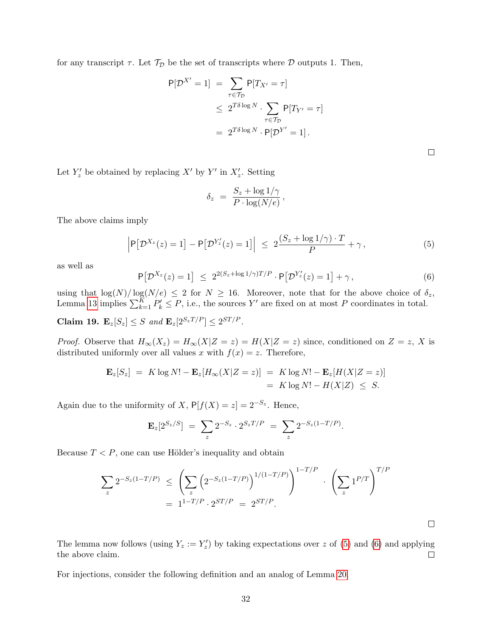for any transcript  $\tau$ . Let  $\mathcal{T}_D$  be the set of transcripts where D outputs 1. Then,

$$
P[\mathcal{D}^{X'} = 1] = \sum_{\tau \in \mathcal{T}_{\mathcal{D}}} P[T_{X'} = \tau]
$$
  
\n
$$
\leq 2^{T\delta \log N} \cdot \sum_{\tau \in \mathcal{T}_{\mathcal{D}}} P[T_{Y'} = \tau]
$$
  
\n
$$
= 2^{T\delta \log N} \cdot P[\mathcal{D}^{Y'} = 1].
$$

Let  $Y'_z$  be obtained by replacing X' by Y' in  $X'_z$ . Setting

$$
\delta_z = \frac{S_z + \log 1/\gamma}{P \cdot \log(N/e)},
$$

The above claims imply

<span id="page-32-0"></span>
$$
\left| P\left[\mathcal{D}^{X_z}(z) = 1\right] - P\left[\mathcal{D}^{Y'_z}(z) = 1\right] \right| \le 2\frac{(S_z + \log 1/\gamma) \cdot T}{P} + \gamma,
$$
\n(5)

as well as

<span id="page-32-1"></span>
$$
\mathsf{P}\big[\mathcal{D}^{X_z}(z) = 1\big] \le 2^{2(S_z + \log 1/\gamma)T/P} \cdot \mathsf{P}\big[\mathcal{D}^{Y'_z}(z) = 1\big] + \gamma\,,\tag{6}
$$

using that  $\log(N)/\log(N/e) \leq 2$  for  $N \geq 16$ . Moreover, note that for the above choice of  $\delta_z$ , Lemma [13](#page-28-1) implies  $\sum_{k=1}^{K} P'_k \leq P$ , i.e., the sources Y' are fixed on at most P coordinates in total.

Claim 19.  $\mathbf{E}_z[S_z] \leq S$  and  $\mathbf{E}_z[2^{S_zT/P}] \leq 2^{ST/P}$ .

*Proof.* Observe that  $H_{\infty}(X_z) = H_{\infty}(X|Z = z) = H(X|Z = z)$  since, conditioned on  $Z = z$ , X is distributed uniformly over all values x with  $f(x) = z$ . Therefore,

$$
\mathbf{E}_z[S_z] = K \log N! - \mathbf{E}_z[H_\infty(X|Z=z)] = K \log N! - \mathbf{E}_z[H(X|Z=z)]
$$
  
=  $K \log N! - H(X|Z) \leq S.$ 

Again due to the uniformity of X,  $P[f(X) = z] = 2^{-S_z}$ . Hence,

$$
\mathbf{E}_z[2^{S_z/S}] = \sum_z 2^{-S_z} \cdot 2^{S_zT/P} = \sum_z 2^{-S_z(1-T/P)}.
$$

Because  $T < P$ , one can use Hölder's inequality and obtain

$$
\sum_{z} 2^{-S_z(1-T/P)} \leq \left( \sum_{z} \left( 2^{-S_z(1-T/P)} \right)^{1/(1-T/P)} \right)^{1-T/P} \cdot \left( \sum_{z} 1^{P/T} \right)^{T/P}
$$

$$
= 1^{1-T/P} \cdot 2^{ST/P} = 2^{ST/P}.
$$

 $\Box$ 

The lemma now follows (using  $Y_z := Y'_z$ ) by taking expectations over z of [\(5\)](#page-32-0) and [\(6\)](#page-32-1) and applying the above claim.  $\Box$ 

For injections, consider the following definition and an analog of Lemma [20.](#page-33-1)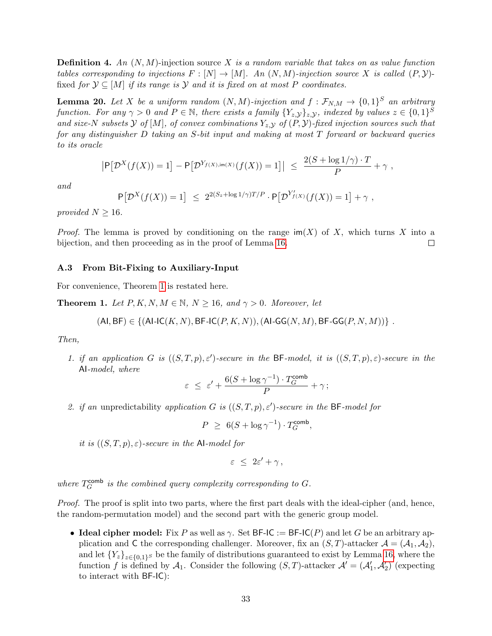**Definition 4.** An  $(N, M)$ -injection source X is a random variable that takes on as value function tables corresponding to injections  $F : [N] \to [M]$ . An  $(N, M)$ -injection source X is called  $(P, Y)$ fixed for  $\mathcal{Y} \subseteq [M]$  if its range is  $\mathcal{Y}$  and it is fixed on at most P coordinates.

<span id="page-33-1"></span>**Lemma 20.** Let X be a uniform random  $(N, M)$ -injection and  $f : \mathcal{F}_{N,M} \to \{0,1\}^S$  an arbitrary function. For any  $\gamma > 0$  and  $P \in \mathbb{N}$ , there exists a family  $\{Y_{z,y}\}_{z,y}$ , indexed by values  $z \in \{0,1\}^S$ and size-N subsets Y of  $[M]$ , of convex combinations  $Y_{z,Y}$  of  $(P, Y)$ -fixed injection sources such that for any distinguisher D taking an S-bit input and making at most T forward or backward queries to its oracle

$$
\left| \mathsf{P}\big[\mathcal{D}^X(f(X)) = 1\big] - \mathsf{P}\big[\mathcal{D}^{Y_{f(X),\mathrm{im}(X)}}(f(X)) = 1\big] \right| \leq \frac{2(S + \log 1/\gamma) \cdot T}{P} + \gamma,
$$

and

$$
\mathsf{P}\big[\mathcal{D}^X(f(X)) = 1\big] \ \leq \ 2^{2(S_z + \log 1/\gamma)T/P} \cdot \mathsf{P}\big[\mathcal{D}^{Y'_{f(X)}}(f(X)) = 1\big] + \gamma \ ,
$$

provided  $N \geq 16$ .

*Proof.* The lemma is proved by conditioning on the range  $\text{im}(X)$  of X, which turns X into a bijection, and then proceeding as in the proof of Lemma [16.](#page-30-0)  $\Box$ 

#### <span id="page-33-0"></span>A.3 From Bit-Fixing to Auxiliary-Input

For convenience, Theorem [1](#page-9-0) is restated here.

**Theorem 1.** Let  $P, K, N, M \in \mathbb{N}, N \ge 16$ , and  $\gamma > 0$ . Moreover, let

$$
(AI, BF) \in \{ (AI-IC(K, N), BF-IC(P, K, N)), (AI-GG(N, M), BF-GG(P, N, M)) \}.
$$

Then,

1. if an application G is  $((S,T,p), \varepsilon')$ -secure in the BF-model, it is  $((S,T,p), \varepsilon)$ -secure in the AI-model, where

$$
\varepsilon \ \leq \ \varepsilon' + \frac{6(S + \log \gamma^{-1}) \cdot T_G^{\mathsf{comb}}}{P} + \gamma \, ;
$$

2. if an unpredictability application G is  $((S,T,p), \varepsilon')$ -secure in the BF-model for

$$
P \geq 6(S + \log \gamma^{-1}) \cdot T_G^{\sf comb},
$$

it is  $((S, T, p), \varepsilon)$ -secure in the Al-model for

$$
\varepsilon \leq 2\varepsilon' + \gamma,
$$

where  $T_G^{\text{comb}}$  is the combined query complexity corresponding to G.

Proof. The proof is split into two parts, where the first part deals with the ideal-cipher (and, hence, the random-permutation model) and the second part with the generic group model.

• Ideal cipher model: Fix P as well as  $\gamma$ . Set BF-IC := BF-IC(P) and let G be an arbitrary application and C the corresponding challenger. Moreover, fix an  $(S, T)$ -attacker  $\mathcal{A} = (\mathcal{A}_1, \mathcal{A}_2)$ , and let  ${Y_z}_{z \in \{0,1\}^S}$  be the family of distributions guaranteed to exist by Lemma [16,](#page-30-0) where the function f is defined by  $A_1$ . Consider the following  $(S,T)$ -attacker  $\mathcal{A}' = (\mathcal{A}'_1, \mathcal{A}'_2)$  (expecting to interact with BF-IC):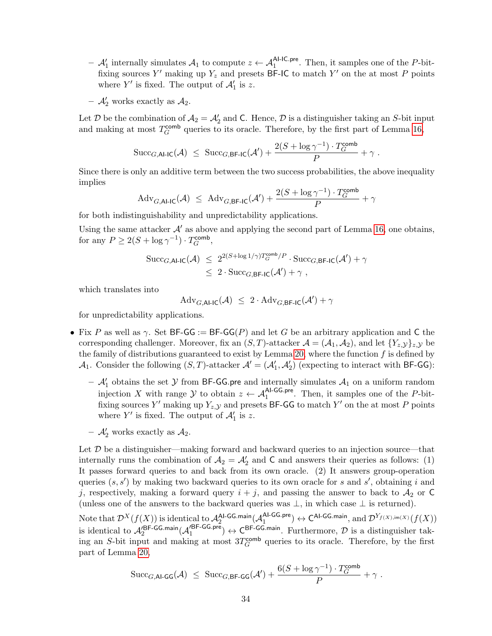- $\mathcal{A}'_1$  internally simulates  $\mathcal{A}_1$  to compute  $z \leftarrow \mathcal{A}_1^{\text{Al-IC-pre}}$ . Then, it samples one of the P-bitfixing sources Y' making up  $Y_z$  and presets BF-IC to match Y' on the at most P points where Y' is fixed. The output of  $\mathcal{A}'_1$  is z.
- $\mathcal{A}'_2$  works exactly as  $\mathcal{A}_2$ .

Let  $D$  be the combination of  $\mathcal{A}_2 = \mathcal{A}'_2$  and C. Hence,  $D$  is a distinguisher taking an S-bit input and making at most  $T_G^{\text{comb}}$  queries to its oracle. Therefore, by the first part of Lemma [16,](#page-30-0)

$$
\mathrm{Succ}_{G,\mathsf{AL-IC}}(\mathcal{A}) \ \leq \ \mathrm{Succ}_{G,\mathsf{BF-IC}}(\mathcal{A}') + \frac{2(S + \log \gamma^{-1}) \cdot T_G^{\mathsf{comb}}}{P} + \gamma \ .
$$

Since there is only an additive term between the two success probabilities, the above inequality implies

$$
\mathrm{Adv}_{G,\mathsf{ALIC}}(\mathcal{A}) \ \leq \ \mathrm{Adv}_{G,\mathsf{BF-IC}}(\mathcal{A}') + \frac{2(S + \log \gamma^{-1}) \cdot T_G^{\mathsf{comb}}}{P} + \gamma
$$

for both indistinguishability and unpredictability applications.

Using the same attacker  $\mathcal{A}'$  as above and applying the second part of Lemma [16,](#page-30-0) one obtains, for any  $P \ge 2(S + \log \gamma^{-1}) \cdot T_G^{\text{comb}},$ 

$$
\begin{array}{lcl} \mathrm{Succ}_{G,\mathsf{ALIC}}(\mathcal{A}) & \leq & 2^{2(S + \log 1/\gamma)T_G^{\mathsf{comb}}/P} \cdot \mathrm{Succ}_{G,\mathsf{BF-IC}}(\mathcal{A}') + \gamma \\ & \leq & 2 \cdot \mathrm{Succ}_{G,\mathsf{BF-IC}}(\mathcal{A}') + \gamma \end{array}
$$

which translates into

$$
\mathrm{Adv}_{G,\mathsf{ALIC}}(\mathcal{A}) \ \leq \ 2 \cdot \mathrm{Adv}_{G,\mathsf{BF-IC}}(\mathcal{A}') + \gamma
$$

for unpredictability applications.

- Fix P as well as  $\gamma$ . Set BF-GG := BF-GG(P) and let G be an arbitrary application and C the corresponding challenger. Moreover, fix an  $(S, T)$ -attacker  $\mathcal{A} = (\mathcal{A}_1, \mathcal{A}_2)$ , and let  $\{Y_{z,y}\}_{z,y}$  be the family of distributions guaranteed to exist by Lemma [20,](#page-33-1) where the function  $f$  is defined by  $\mathcal{A}_1$ . Consider the following  $(S, T)$ -attacker  $\mathcal{A}' = (\mathcal{A}'_1, \mathcal{A}'_2)$  (expecting to interact with BF-GG):
	- $\mathcal{A}'_1$  obtains the set  $\mathcal Y$  from BF-GG.pre and internally simulates  $\mathcal{A}_1$  on a uniform random injection X with range  $\mathcal Y$  to obtain  $z \leftarrow \mathcal A_1^{\mathsf{ALGG-pre}}$ . Then, it samples one of the P-bitfixing sources Y' making up  $Y_{z,y}$  and presets BF-GG to match Y' on the at most P points where Y' is fixed. The output of  $\mathcal{A}'_1$  is z.
	- $\mathcal{A}'_2$  works exactly as  $\mathcal{A}_2$ .

Let  $D$  be a distinguisher—making forward and backward queries to an injection source—that internally runs the combination of  $A_2 = A_2'$  and C and answers their queries as follows: (1) It passes forward queries to and back from its own oracle. (2) It answers group-operation queries  $(s, s')$  by making two backward queries to its own oracle for s and s', obtaining i and j, respectively, making a forward query  $i + j$ , and passing the answer to back to  $\mathcal{A}_2$  or C (unless one of the answers to the backward queries was  $\perp$ , in which case  $\perp$  is returned).

Note that  $\mathcal{D}^X(f(X))$  is identical to  $\mathcal{A}^{\mathsf{Al}\text{-}\mathsf{GG}.\mathsf{main}}_2(\mathcal{A}^{\mathsf{Al}\text{-}\mathsf{GG}.\mathsf{pre}}_1)$ Al-GG.pre $) \leftrightarrow \mathsf{C}$ Al-GG.main $, \, \text{and} \, \mathcal{D}^{Y_{f(X),\mathsf{im}(X)}}(f(X))$ is identical to  $\mathcal{A}_2^{\prime \mathsf{BF\text{-}GG.main}}(\mathcal{A}_1^{\prime \mathsf{BF\text{-}GG.pre}})$  $\mathcal{L}_{1}^{\mathsf{IBF-GG. \text{mer}}}\$   $\leftrightarrow$  C<sup>BF-GG main</sup>. Furthermore,  $\mathcal{D}$  is a distinguisher taking an S-bit input and making at most  $3T_G^{\text{comb}}$  queries to its oracle. Therefore, by the first part of Lemma [20,](#page-33-1)

$$
\mathrm{Succ}_{G,\mathsf{AI}\text{-}\mathsf{GG}}(\mathcal{A}) \ \leq \ \mathrm{Succ}_{G,\mathsf{BF}\text{-}\mathsf{GG}}(\mathcal{A}') + \frac{6(S + \log \gamma^{-1})\cdot T_G^{\mathsf{comb}}}{P} + \gamma \ .
$$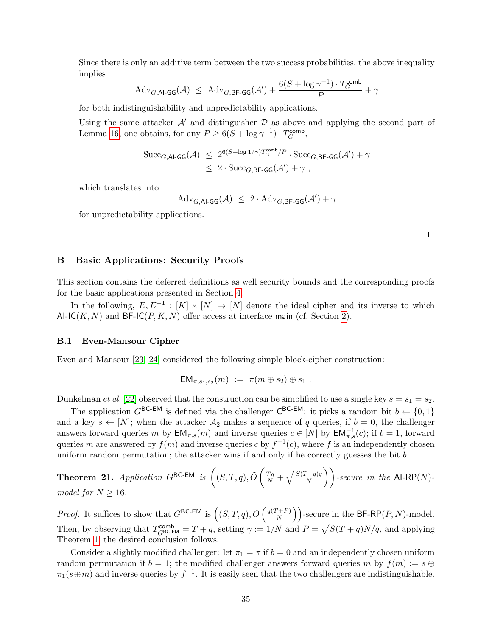Since there is only an additive term between the two success probabilities, the above inequality implies

$$
\mathrm{Adv}_{G,\mathsf{ALGG}}(\mathcal{A}) \ \leq \ \mathrm{Adv}_{G,\mathsf{BF-GG}}(\mathcal{A}') + \frac{6(S + \log \gamma^{-1}) \cdot T_G^{\mathsf{comb}}}{P} + \gamma
$$

for both indistinguishability and unpredictability applications.

Using the same attacker  $\mathcal{A}'$  and distinguisher  $\mathcal D$  as above and applying the second part of Lemma [16,](#page-30-0) one obtains, for any  $P \geq 6(S + \log \gamma^{-1}) \cdot T_G^{\text{comb}},$ 

$$
\begin{array}{lcl} {\rm Succ}_{G,\mathsf{ALGG}}(\mathcal{A}) & \leq & 2^{6(S+\log 1/\gamma)T_G^{\mathsf{comb}}/P} \cdot {\rm Succ}_{G,\mathsf{BF-GG}}(\mathcal{A}') + \gamma \\ \\ & \leq & 2 \cdot {\rm Succ}_{G,\mathsf{BF-GG}}(\mathcal{A}') + \gamma \;, \end{array}
$$

which translates into

$$
\mathrm{Adv}_{G,\mathsf{ALGG}}(\mathcal{A}) \ \leq \ 2 \cdot \mathrm{Adv}_{G,\mathsf{BF\text{-}GG}}(\mathcal{A}') + \gamma
$$

for unpredictability applications.

 $\Box$ 

# <span id="page-35-0"></span>B Basic Applications: Security Proofs

This section contains the deferred definitions as well security bounds and the corresponding proofs for the basic applications presented in Section [4.](#page-10-0)

In the following,  $E, E^{-1} : [K] \times [N] \rightarrow [N]$  denote the ideal cipher and its inverse to which AI-IC(K, N) and BF-IC(P, K, N) offer access at interface main (cf. Section [2\)](#page-7-0).

#### B.1 Even-Mansour Cipher

Even and Mansour [\[23,](#page-24-3) [24\]](#page-25-1) considered the following simple block-cipher construction:

$$
EM_{\pi,s_1,s_2}(m) := \pi(m \oplus s_2) \oplus s_1.
$$

Dunkelman et al. [\[22\]](#page-24-12) observed that the construction can be simplified to use a single key  $s = s_1 = s_2$ .

The application  $G^{\text{BC-EM}}$  is defined via the challenger  $C^{\text{BC-EM}}$ : it picks a random bit  $b \leftarrow \{0,1\}$ and a key  $s \leftarrow [N]$ ; when the attacker  $\mathcal{A}_2$  makes a sequence of q queries, if  $b = 0$ , the challenger answers forward queries m by  $\textsf{EM}_{\pi,s}(m)$  and inverse queries  $c \in [N]$  by  $\textsf{EM}_{\pi,s}^{-1}(c)$ ; if  $b = 1$ , forward queries m are answered by  $f(m)$  and inverse queries c by  $f^{-1}(c)$ , where f is an independently chosen uniform random permutation; the attacker wins if and only if he correctly guesses the bit  $b$ .

**Theorem 21.** Application  $G^{\text{BC-EM}}$  is  $\left( (S,T,q), \tilde{O} \left( \frac{Tq}{N} + \sqrt{\frac{S(T+q)q}{N}} \right) \right)$  $\left(\frac{\overline{Y+q}q}{N}\right)$  > secure in the AI-RP(N)model for  $N \geq 16$ .

*Proof.* It suffices to show that  $G^{\text{BC-EM}}$  is  $\left( (S,T,q), O\left(\frac{q(T+P)}{N}\right) \right)$  $\binom{N+P}{N}$ )-secure in the BF-RP(*P*, *N*)-model. Then, by observing that  $T_{G^{\text{BC-EM}}}^{\text{comb}} = T + q$ , setting  $\gamma := 1/N$  and  $P = \sqrt{S(T + q)N/q}$ , and applying Theorem [1,](#page-9-0) the desired conclusion follows.

Consider a slightly modified challenger: let  $\pi_1 = \pi$  if  $b = 0$  and an independently chosen uniform random permutation if  $b = 1$ ; the modified challenger answers forward queries m by  $f(m) := s \oplus$  $\pi_1(s\oplus m)$  and inverse queries by  $f^{-1}$ . It is easily seen that the two challengers are indistinguishable.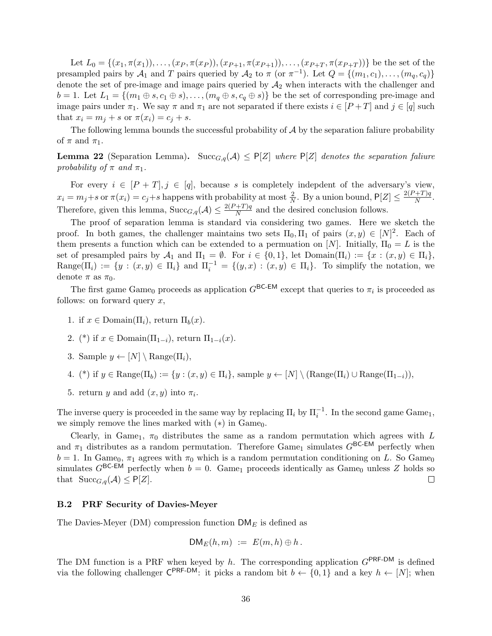Let  $L_0 = \{(x_1, \pi(x_1)), \ldots, (x_P, \pi(x_P)), (x_{P+1}, \pi(x_{P+1})), \ldots, (x_{P+T}, \pi(x_{P+T}))\}$  be the set of the presampled pairs by  $\mathcal{A}_1$  and T pairs queried by  $\mathcal{A}_2$  to  $\pi$  (or  $\pi^{-1}$ ). Let  $Q = \{(m_1, c_1), \ldots, (m_q, c_q)\}\$ denote the set of pre-image and image pairs queried by  $A_2$  when interacts with the challenger and  $b = 1$ . Let  $L_1 = \{(m_1 \oplus s, c_1 \oplus s), \ldots, (m_q \oplus s, c_q \oplus s)\}\$  be the set of corresponding pre-image and image pairs under  $\pi_1$ . We say  $\pi$  and  $\pi_1$  are not separated if there exists  $i \in [P+T]$  and  $j \in [q]$  such that  $x_i = m_j + s$  or  $\pi(x_i) = c_j + s$ .

The following lemma bounds the successful probability of  $A$  by the separation faliure probability of  $\pi$  and  $\pi_1$ .

**Lemma 22** (Separation Lemma). Succ<sub>G,q</sub>(A)  $\leq$  P[Z] where P[Z] denotes the separation faliure probability of  $\pi$  and  $\pi_1$ .

For every  $i \in [P+T], j \in [q]$ , because s is completely indepdent of the adversary's view,  $x_i = m_j + s$  or  $\pi(x_i) = c_j + s$  happens with probability at most  $\frac{2}{N}$ . By a union bound,  $P[Z] \leq \frac{2(P+T)q}{N}$  $\frac{+1}{N}$ . Therefore, given this lemma,  $\text{Succ}_{G,q}(\mathcal{A}) \leq \frac{2(P+T)q}{N}$  $\frac{+1}{N}$  and the desired conclusion follows.

The proof of separation lemma is standard via considering two games. Here we sketch the proof. In both games, the challenger maintains two sets  $\Pi_0, \Pi_1$  of pairs  $(x, y) \in [N]^2$ . Each of them presents a function which can be extended to a permuation on [N]. Initially,  $\Pi_0 = L$  is the set of presampled pairs by  $\mathcal{A}_1$  and  $\Pi_1 = \emptyset$ . For  $i \in \{0,1\}$ , let  $\text{Domain}(\Pi_i) := \{x : (x,y) \in \Pi_i\}$ , Range( $\Pi_i$ ) := { $y : (x, y) \in \Pi_i$ } and  $\Pi_i^{-1} = \{(y, x) : (x, y) \in \Pi_i\}$ . To simplify the notation, we denote  $\pi$  as  $\pi_0$ .

The first game Game<sub>0</sub> proceeds as application  $G^{\text{BC-EM}}$  except that queries to  $\pi_i$  is proceeded as follows: on forward query  $x$ ,

- 1. if  $x \in \text{Domain}(\Pi_i)$ , return  $\Pi_b(x)$ .
- 2. (\*) if  $x \in \text{Domain}(\Pi_{1-i})$ , return  $\Pi_{1-i}(x)$ .
- 3. Sample  $y \leftarrow [N] \setminus \text{Range}(\Pi_i)$ ,
- 4. (\*) if  $y \in \text{Range}(\Pi_b) := \{y : (x, y) \in \Pi_i\}$ , sample  $y \leftarrow [N] \setminus (\text{Range}(\Pi_i) \cup \text{Range}(\Pi_{1-i})),$
- 5. return y and add  $(x, y)$  into  $\pi_i$ .

The inverse query is proceeded in the same way by replacing  $\Pi_i$  by  $\Pi_i^{-1}$ . In the second game Game<sub>1</sub>, we simply remove the lines marked with  $(*)$  in Game<sub>0</sub>.

Clearly, in Game<sub>1</sub>,  $\pi_0$  distributes the same as a random permutation which agrees with L and  $\pi_1$  distributes as a random permutation. Therefore Game<sub>1</sub> simulates  $G^{\text{BC-EM}}$  perfectly when  $b = 1$ . In Game<sub>0</sub>,  $\pi_1$  agrees with  $\pi_0$  which is a random permutation conditioning on L. So Game<sub>0</sub> simulates  $G^{\text{BC-EM}}$  perfectly when  $b = 0$ . Game<sub>1</sub> proceeds identically as Game<sub>0</sub> unless Z holds so that  $\text{Succ}_{G,q}(\mathcal{A}) \leq P[Z]$ .  $\Box$ 

#### B.2 PRF Security of Davies-Meyer

The Davies-Meyer (DM) compression function  $\mathsf{DM}_E$  is defined as

$$
\mathsf{DM}_E(h,m) \ := \ E(m,h) \oplus h \, .
$$

The DM function is a PRF when keyed by  $h$ . The corresponding application  $G^{\text{PRF-DM}}$  is defined via the following challenger  $\mathsf{C}^{\mathsf{PRF\text{-}DM}}$ : it picks a random bit  $b \leftarrow \{0,1\}$  and a key  $h \leftarrow [N]$ ; when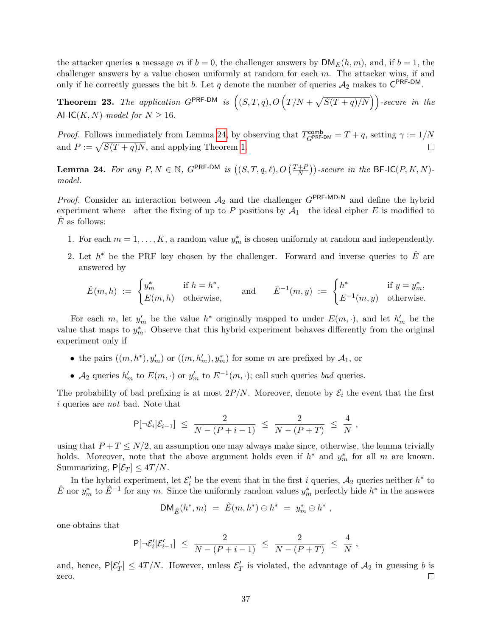the attacker queries a message m if  $b = 0$ , the challenger answers by  $\mathsf{DM}_E(h, m)$ , and, if  $b = 1$ , the challenger answers by a value chosen uniformly at random for each  $m$ . The attacker wins, if and only if he correctly guesses the bit b. Let q denote the number of queries  $A_2$  makes to  $C^{PRF-DM}$ .

**Theorem 23.** The application G<sup>PRF-DM</sup> is  $((S,T,q), O(T/N + \sqrt{S(T+q)/N}))$ -secure in the AI-IC(K, N)-model for  $N \ge 16$ .

*Proof.* Follows immediately from Lemma [24,](#page-37-0) by observing that  $T_{G^{PRF-DM}}^{comb} = T + q$ , setting  $\gamma := 1/N$ and  $P := \sqrt{S(T + q)N}$ , and applying Theorem [1.](#page-9-0)  $\Box$ 

<span id="page-37-0"></span>**Lemma 24.** For any  $P, N \in \mathbb{N}$ ,  $G^{PRF-DM}$  is  $((S, T, q, \ell), O\left(\frac{T+F}{N}\right))$  $\binom{+P}{N}$ )-secure in the BF-IC(P, K, N)model.

*Proof.* Consider an interaction between  $A_2$  and the challenger  $G^{PRF-MD-N}$  and define the hybrid experiment where—after the fixing of up to P positions by  $\mathcal{A}_1$ —the ideal cipher E is modified to  $E$  as follows:

- 1. For each  $m = 1, ..., K$ , a random value  $y_m^*$  is chosen uniformly at random and independently.
- 2. Let  $h^*$  be the PRF key chosen by the challenger. Forward and inverse queries to  $\hat{E}$  are answered by

$$
\hat{E}(m,h) \ := \ \begin{cases} y_m^* \quad & \text{if } h=h^*, \\ E(m,h) \quad \text{otherwise}, \end{cases} \qquad \text{and} \qquad \hat{E}^{-1}(m,y) \ := \ \begin{cases} h^* \quad & \text{if } y=y_m^*, \\ E^{-1}(m,y) \quad \text{otherwise}. \end{cases}
$$

For each m, let  $y'_m$  be the value  $h^*$  originally mapped to under  $E(m, \cdot)$ , and let  $h'_m$  be the value that maps to  $y_m^*$ . Observe that this hybrid experiment behaves differently from the original experiment only if

- the pairs  $((m, h^*), y'_m)$  or  $((m, h'_m), y^*_m)$  for some m are prefixed by  $\mathcal{A}_1$ , or
- $\mathcal{A}_2$  queries  $h'_m$  to  $E(m, \cdot)$  or  $y'_m$  to  $E^{-1}(m, \cdot)$ ; call such queries *bad* queries.

The probability of bad prefixing is at most  $2P/N$ . Moreover, denote by  $\mathcal{E}_i$  the event that the first i queries are not bad. Note that

$$
\mathsf{P}[\neg \mathcal{E}_i | \mathcal{E}_{i-1}] \; \le \; \frac{2}{N-(P+i-1)} \; \le \; \frac{2}{N-(P+T)} \; \le \; \frac{4}{N} \; ,
$$

using that  $P + T \leq N/2$ , an assumption one may always make since, otherwise, the lemma trivially holds. Moreover, note that the above argument holds even if  $h^*$  and  $y_m^*$  for all m are known. Summarizing,  $P[\mathcal{E}_T] \leq 4T/N$ .

In the hybrid experiment, let  $\mathcal{E}'_i$  be the event that in the first i queries,  $\mathcal{A}_2$  queries neither  $h^*$  to  $\hat{E}$  nor  $y_m^*$  to  $\hat{E}^{-1}$  for any m. Since the uniformly random values  $y_m^*$  perfectly hide  $h^*$  in the answers

$$
{\sf DM}_{\hat E}(h^*,m) \ = \ \hat E(m,h^*) \oplus h^* \ = \ y_m^* \oplus h^* \ ,
$$

one obtains that

$$
\mathsf{P}[\neg\mathcal{E}'_i|\mathcal{E}'_{i-1}] \;\leq\; \frac{2}{N-(P+i-1)}\;\leq\; \frac{2}{N-(P+T)}\;\leq\; \frac{4}{N}\;,
$$

and, hence,  $P[\mathcal{E}'_T] \leq 4T/N$ . However, unless  $\mathcal{E}'_T$  is violated, the advantage of  $\mathcal{A}_2$  in guessing b is zero.  $\Box$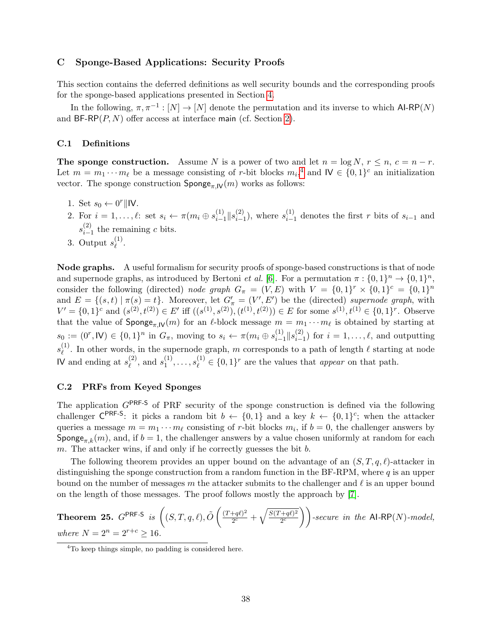# <span id="page-38-0"></span>C Sponge-Based Applications: Security Proofs

This section contains the deferred definitions as well security bounds and the corresponding proofs for the sponge-based applications presented in Section [4.](#page-10-0)

In the following,  $\pi, \pi^{-1} : [N] \to [N]$  denote the permutation and its inverse to which AI-RP(N) and  $BF-RP(P, N)$  offer access at interface main (cf. Section [2\)](#page-7-0).

#### C.1 Definitions

The sponge construction. Assume N is a power of two and let  $n = \log N$ ,  $r \le n$ ,  $c = n - r$ . Let  $m = m_1 \cdots m_\ell$  be a message consisting of r-bit blocks  $m_i$ <sup>[4](#page-38-1)</sup> and  $\mathsf{IV} \in \{0,1\}^c$  an initialization vector. The sponge construction  $\text{Sponge}_{\pi,\text{IV}}(m)$  works as follows:

- 1. Set  $s_0 \leftarrow 0^r ||$ IV.
- 2. For  $i = 1, ..., \ell$ : set  $s_i \leftarrow \pi(m_i \oplus s_{i-1}^{(1)})$  $\sum_{i=1}^{(1)} \|s_{i-1}^{(2)}\|$  $_{i-1}^{(2)}$ ), where  $s_{i-1}^{(1)}$  $\sum_{i=1}^{(1)}$  denotes the first r bits of  $s_{i-1}$  and  $s_{i-}^{(2)}$  $\binom{z}{i-1}$  the remaining c bits.
- 3. Output  $s_{\ell}^{(1)}$  $\overset{(\mathbf{1})}{\ell}$ .

Node graphs. A useful formalism for security proofs of sponge-based constructions is that of node and supernode graphs, as introduced by Bertoni *et al.* [\[6\]](#page-23-4). For a permutation  $\pi : \{0,1\}^n \to \{0,1\}^n$ , consider the following (directed) node graph  $G_{\pi} = (V, E)$  with  $V = \{0, 1\}^r \times \{0, 1\}^c = \{0, 1\}^n$ and  $E = \{(s,t) | \pi(s) = t\}$ . Moreover, let  $G'_{\pi} = (V', E')$  be the (directed) supernode graph, with  $V' = \{0,1\}^c$  and  $(s^{(2)}, t^{(2)}) \in E'$  iff  $((s^{(1)}, s^{(2)}), (t^{(1)}, t^{(2)})) \in E$  for some  $s^{(1)}, t^{(1)} \in \{0,1\}^r$ . Observe that the value of  $\text{Sponge}_{\pi,\text{IV}}(m)$  for an  $\ell$ -block message  $m = m_1 \cdots m_\ell$  is obtained by starting at  $s_0 := (0^r, \mathsf{IV}) \in \{0,1\}^n$  in  $G_\pi$ , moving to  $s_i \leftarrow \pi(m_i \oplus s_{i-1}^{(1)})$  $\|a_{i-1}^{(1)}\|s_{i-1}^{(2)}$  $\binom{2}{i-1}$  for  $i = 1, \ldots, \ell$ , and outputting  $s^{(1)}_\ell$  $\ell$ <sup>(1)</sup>. In other words, in the supernode graph, m corresponds to a path of length  $\ell$  starting at node IV and ending at  $s_{\ell}^{(2)}$  $s_1^{(2)}$ , and  $s_1^{(1)}$  $S_1^{(1)}, \ldots, S_\ell^{(1)} \in \{0,1\}^r$  are the values that *appear* on that path.

# C.2 PRFs from Keyed Sponges

The application  $G^{PRF-S}$  of PRF security of the sponge construction is defined via the following challenger C<sup>PRF-S</sup>: it picks a random bit  $b \leftarrow \{0,1\}$  and a key  $k \leftarrow \{0,1\}^c$ ; when the attacker queries a message  $m = m_1 \cdots m_\ell$  consisting of r-bit blocks  $m_i$ , if  $b = 0$ , the challenger answers by Sponge<sub>π</sub>,  $(m)$ , and, if  $b = 1$ , the challenger answers by a value chosen uniformly at random for each m. The attacker wins, if and only if he correctly guesses the bit  $b$ .

The following theorem provides an upper bound on the advantage of an  $(S, T, q, \ell)$ -attacker in distinguishing the sponge construction from a random function in the BF-RPM, where  $q$  is an upper bound on the number of messages m the attacker submits to the challenger and  $\ell$  is an upper bound on the length of those messages. The proof follows mostly the approach by [\[7\]](#page-23-5).

**Theorem 25.**  $G^{\text{PRF-S}}$  is  $\left((S, T, q, \ell), \tilde{O}\left(\frac{(T+q\ell)^2}{2c}\right)\right)$  $\frac{+q\ell)^2}{2^c} + \sqrt{\frac{S(T+q\ell)^2}{2^c}}$  $\overline{\mathbb{Z}_2^{(2e)}}$  . secure in the AI-RP(N)-model, where  $N = 2^n = 2^{r+c} \ge 16$ .

<span id="page-38-1"></span><sup>4</sup>To keep things simple, no padding is considered here.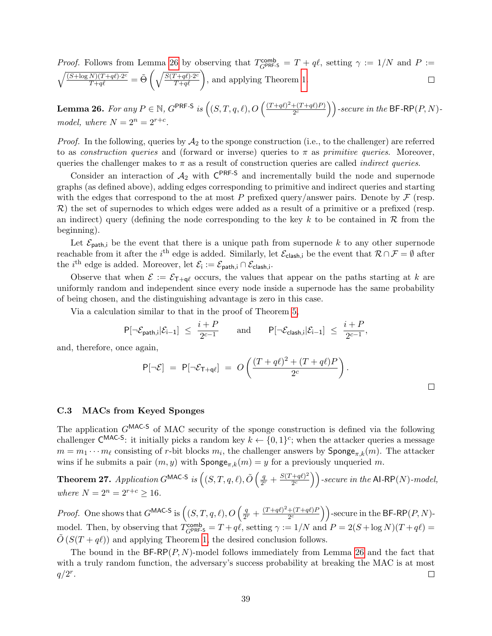*Proof.* Follows from Lemma [26](#page-39-0) by observing that  $T_{G^{PRF-S}}^{comb} = T + q\ell$ , setting  $\gamma := 1/N$  and  $P :=$  $\sqrt{\frac{(S + \log N)(T + q\ell) \cdot 2^c}{T + q\ell}} = \tilde{\Theta}\left(\sqrt{\frac{S(T + q\ell) \cdot 2^c}{T + q\ell}}\right)$ , and applying Theorem [1.](#page-9-0)  $\Box$ 

<span id="page-39-0"></span>**Lemma 26.** For any  $P \in \mathbb{N}$ ,  $G^{PRF-S}$  is  $\left( (S,T,q,\ell), O\left(\frac{(T+q\ell)^2 + (T+q\ell)P}{2c}\right)\right)$  $\left( \frac{P+(T+q \ell) P)}{2^c} \right) \bigg)$  -secure in the <code>BF-RP(P,N)-</code> model, where  $N = 2^n = 2^{r+c}$ .

*Proof.* In the following, queries by  $\mathcal{A}_2$  to the sponge construction (i.e., to the challenger) are referred to as *construction queries* and (forward or inverse) queries to  $\pi$  as *primitive queries*. Moreover, queries the challenger makes to  $\pi$  as a result of construction queries are called *indirect queries*.

Consider an interaction of  $A_2$  with  $C^{PRF-S}$  and incrementally build the node and supernode graphs (as defined above), adding edges corresponding to primitive and indirect queries and starting with the edges that correspond to the at most P prefixed query/answer pairs. Denote by  $\mathcal F$  (resp.  $\mathcal{R}$ ) the set of supernodes to which edges were added as a result of a primitive or a prefixed (resp. an indirect) query (defining the node corresponding to the key k to be contained in  $\mathcal R$  from the beginning).

Let  $\mathcal{E}_{\text{path,i}}$  be the event that there is a unique path from supernode k to any other supernode reachable from it after the *i*<sup>th</sup> edge is added. Similarly, let  $\mathcal{E}_{\text{clash},i}$  be the event that  $\mathcal{R} \cap \mathcal{F} = \emptyset$  after the *i*<sup>th</sup> edge is added. Moreover, let  $\mathcal{E}_i := \mathcal{E}_{\mathsf{path},i} \cap \mathcal{E}_{\mathsf{clash},i}.$ 

Observe that when  $\mathcal{E} := \mathcal{E}_{T+q\ell}$  occurs, the values that appear on the paths starting at k are uniformly random and independent since every node inside a supernode has the same probability of being chosen, and the distinguishing advantage is zero in this case.

Via a calculation similar to that in the proof of Theorem [5,](#page-16-0)

$$
\mathsf{P}[\neg\mathcal{E}_{\mathsf{path},i}|\mathcal{E}_{i-1}] \leq \frac{i+P}{2^{c-1}} \quad \text{and} \quad \mathsf{P}[\neg\mathcal{E}_{\mathsf{clash},i}|\mathcal{E}_{i-1}] \leq \frac{i+P}{2^{c-1}},
$$

and, therefore, once again,

$$
P[\neg \mathcal{E}] = P[\neg \mathcal{E}_{T+q\ell}] = O\left(\frac{(T+q\ell)^2 + (T+q\ell)P}{2^c}\right).
$$

#### C.3 MACs from Keyed Sponges

The application  $G<sup>MAC-S</sup>$  of MAC security of the sponge construction is defined via the following challenger  $\mathsf{C}^{\mathsf{MAC-S}}$ : it initially picks a random key  $k \leftarrow \{0,1\}^c$ ; when the attacker queries a message  $m = m_1 \cdots m_\ell$  consisting of r-bit blocks  $m_i$ , the challenger answers by  $\mathsf{Sponge}_{\pi,k}(m)$ . The attacker wins if he submits a pair  $(m, y)$  with  $\textsf{Sponge}_{\pi,k}(m) = y$  for a previously unqueried m.

**Theorem 27.** Application G<sup>MAC-S</sup> is  $\left((S,T,q,\ell), \tilde{O}\left(\frac{q}{2r}\right)\right)$  $\frac{q}{2^r} + \frac{S(T+q\ell)^2}{2^c}$  $\left(\frac{2^{k+q\ell})^2}{2^c}\right)\Big)$  -secure in the <code>AI-RP(N)-model,</code> where  $N = 2^n = 2^{r+c} \ge 16$ .

*Proof.* One shows that  $G^{\text{MAC-S}}$  is  $\left( (S, T, q, \ell), O\left(\frac{q}{2r}\right) \right)$  $\frac{q}{2^r} + \frac{(T+q\ell)^2 + (T+q\ell)P}{2^c}$  $\left(\frac{+(T+q \ell) P}{2^c}\right)\bigg)$ -secure in the BF-RP $(P,N)$ model. Then, by observing that  $T_{G^{PRF-S}}^{comb} = T + q\ell$ , setting  $\gamma := 1/N$  and  $P = 2(S + \log N)(T + q\ell)$  $O(S(T + q\ell))$  and applying Theorem [1,](#page-9-0) the desired conclusion follows.

The bound in the  $BF-RP(P, N)$ -model follows immediately from Lemma [26](#page-39-0) and the fact that with a truly random function, the adversary's success probability at breaking the MAC is at most  $q/2^r$ .  $\Box$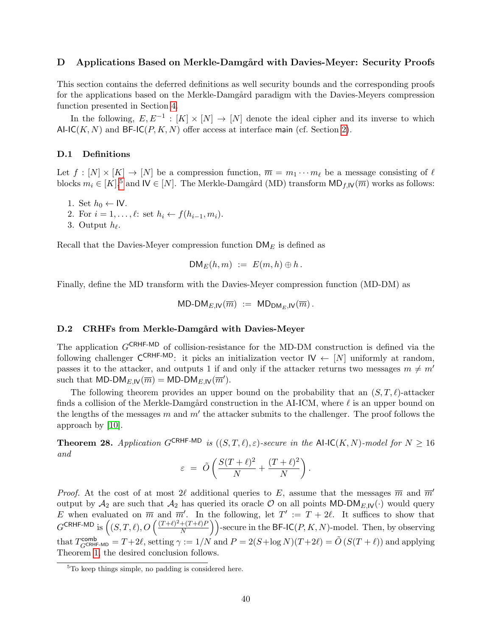# <span id="page-40-0"></span>D Applications Based on Merkle-Damgård with Davies-Meyer: Security Proofs

This section contains the deferred definitions as well security bounds and the corresponding proofs for the applications based on the Merkle-Damgård paradigm with the Davies-Meyers compression function presented in Section [4.](#page-10-0)

In the following,  $E, E^{-1} : [K] \times [N] \rightarrow [N]$  denote the ideal cipher and its inverse to which AI-IC(K, N) and BF-IC(P, K, N) offer access at interface main (cf. Section [2\)](#page-7-0).

# D.1 Definitions

Let  $f : [N] \times [K] \rightarrow [N]$  be a compression function,  $\overline{m} = m_1 \cdots m_\ell$  be a message consisting of  $\ell$ blocks  $m_i \in [K],$ <sup>[5](#page-40-1)</sup> and  $\mathsf{IV} \in [N]$ . The Merkle-Damgård (MD) transform  $\mathsf{MD}_{f,\mathsf{IV}}(\overline{m})$  works as follows:

- 1. Set  $h_0 \leftarrow \textsf{IV}.$
- 2. For  $i = 1, \ldots, \ell$ : set  $h_i \leftarrow f(h_{i-1}, m_i)$ .
- 3. Output  $h_{\ell}$ .

Recall that the Davies-Meyer compression function  $\mathsf{DM}_E$  is defined as

$$
\mathsf{DM}_E(h,m) := E(m,h) \oplus h.
$$

Finally, define the MD transform with the Davies-Meyer compression function (MD-DM) as

$$
\mathsf{MD}\text{-}\mathsf{DM}_{E,\mathsf{IV}}(\overline{m}) \; := \; \mathsf{MD}_{\mathsf{DM}_E,\mathsf{IV}}(\overline{m}) \, .
$$

### D.2 CRHFs from Merkle-Damgård with Davies-Meyer

The application  $G^{\text{CRHF-MD}}$  of collision-resistance for the MD-DM construction is defined via the following challenger  $\mathsf{C}^{CRHF-MD}$ : it picks an initialization vector  $\mathsf{IV} \leftarrow [N]$  uniformly at random, passes it to the attacker, and outputs 1 if and only if the attacker returns two messages  $m \neq m'$ such that  $MD\text{-}DM_{E,\text{IV}}(\overline{m}) = MD\text{-}DM_{E,\text{IV}}(\overline{m}').$ 

The following theorem provides an upper bound on the probability that an  $(S, T, \ell)$ -attacker finds a collision of the Merkle-Damgård construction in the AI-ICM, where  $\ell$  is an upper bound on the lengths of the messages  $m$  and  $m'$  the attacker submits to the challenger. The proof follows the approach by [\[10\]](#page-23-9).

**Theorem 28.** Application GCRHF-MD is  $((S, T, \ell), \varepsilon)$ -secure in the AI-IC(K, N)-model for  $N \ge 16$ and

$$
\varepsilon = \tilde{O}\left(\frac{S(T+\ell)^2}{N} + \frac{(T+\ell)^2}{N}\right).
$$

*Proof.* At the cost of at most 2 $\ell$  additional queries to E, assume that the messages  $\overline{m}$  and  $\overline{m}'$ output by  $A_2$  are such that  $A_2$  has queried its oracle O on all points MD-DM<sub>E,IV</sub>( $\cdot$ ) would query E when evaluated on  $\overline{m}$  and  $\overline{m}'$ . In the following, let  $T' := T + 2\ell$ . It suffices to show that  $G^{\mathsf{CRHF-MD}} \text{ is } \bigl( (S,T,\ell), O\left( \frac{(T+\ell)^2 + (T+\ell)P}{N} \right)$  $\left(\frac{+(T+\ell)P}{N}\right)$ )-secure in the BF-IC(*P*, *K*, *N*)-model. Then, by observing that  $T_{G^{CRHF-MD}}^{comb} = T + 2\ell$ , setting  $\gamma := 1/N$  and  $P = 2(S + \log N)(T + 2\ell) = \tilde{O}(S(T + \ell))$  and applying Theorem [1,](#page-9-0) the desired conclusion follows.

<span id="page-40-1"></span><sup>5</sup>To keep things simple, no padding is considered here.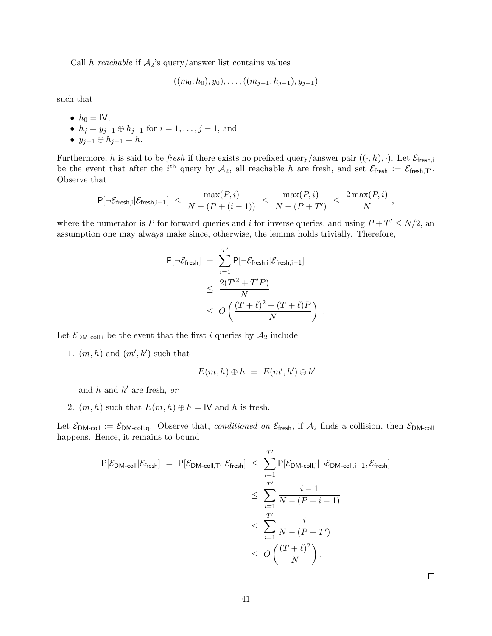Call h reachable if  $A_2$ 's query/answer list contains values

$$
((m_0, h_0), y_0), \ldots, ((m_{j-1}, h_{j-1}), y_{j-1})
$$

such that

- $h_0 = \mathsf{IV},$
- $h_j = y_{j-1} \oplus h_{j-1}$  for  $i = 1, ..., j-1$ , and
- $y_{j-1} \oplus h_{j-1} = h$ .

Furthermore, h is said to be fresh if there exists no prefixed query/answer pair  $((\cdot, h), \cdot)$ . Let  $\mathcal{E}_{\text{fresh},i}$ be the event that after the i<sup>th</sup> query by  $A_2$ , all reachable h are fresh, and set  $\mathcal{E}_{\mathsf{fresh}} := \mathcal{E}_{\mathsf{fresh},\mathsf{T}'}$ . Observe that

$$
\mathsf{P}[\neg \mathcal{E}_{\mathsf{fresh},i} | \mathcal{E}_{\mathsf{fresh},i-1}] \; \leq \; \frac{\max(P,i)}{N-(P+(i-1))} \; \leq \; \frac{\max(P,i)}{N-(P+T')} \; \leq \; \frac{2\max(P,i)}{N} \; ,
$$

where the numerator is P for forward queries and i for inverse queries, and using  $P + T' \le N/2$ , and assumption one may always make since, otherwise, the lemma holds trivially. Therefore,

$$
P[\neg \mathcal{E}_{\text{fresh}}] = \sum_{i=1}^{T'} P[\neg \mathcal{E}_{\text{fresh},i} | \mathcal{E}_{\text{fresh},i-1}]
$$
  

$$
\leq \frac{2(T'^2 + T'P)}{N}
$$
  

$$
\leq O\left(\frac{(T + \ell)^2 + (T + \ell)P}{N}\right)
$$

Let  $\mathcal{E}_{\text{DM-coll},i}$  be the event that the first i queries by  $\mathcal{A}_2$  include

1.  $(m, h)$  and  $(m', h')$  such that

$$
E(m,h) \oplus h = E(m',h') \oplus h'
$$

.

and  $h$  and  $h'$  are fresh, or

2.  $(m, h)$  such that  $E(m, h) \oplus h = \mathsf{IV}$  and h is fresh.

Let  $\mathcal{E}_{DM\text{-coll}} := \mathcal{E}_{DM\text{-coll},q}$ . Observe that, *conditioned on*  $\mathcal{E}_{\text{free}}$ , if  $\mathcal{A}_2$  finds a collision, then  $\mathcal{E}_{DM\text{-coll}}$ happens. Hence, it remains to bound

$$
P[\mathcal{E}_{\text{DM-coll}}|\mathcal{E}_{\text{freesh}}] = P[\mathcal{E}_{\text{DM-coll},T'}|\mathcal{E}_{\text{freesh}}] \le \sum_{i=1}^{T'} P[\mathcal{E}_{\text{DM-coll},i}| \neg \mathcal{E}_{\text{DM-coll},i-1}, \mathcal{E}_{\text{freesh}}]
$$
  

$$
\le \sum_{i=1}^{T'} \frac{i-1}{N - (P + i - 1)}
$$
  

$$
\le \sum_{i=1}^{T'} \frac{i}{N - (P + T')}
$$
  

$$
\le O\left(\frac{(T + \ell)^2}{N}\right).
$$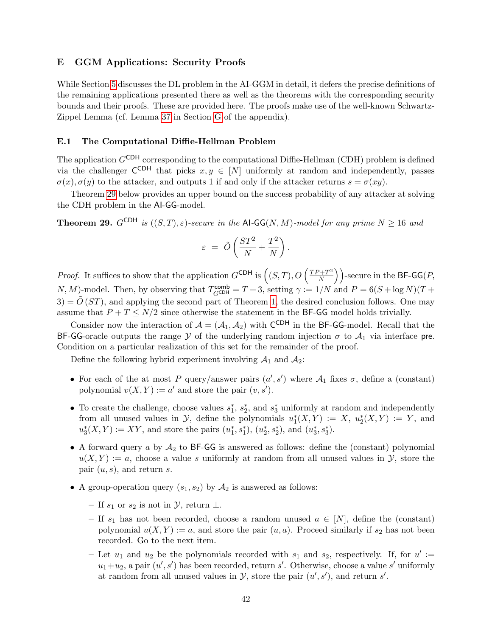# <span id="page-42-0"></span>E GGM Applications: Security Proofs

While Section [5](#page-19-0) discusses the DL problem in the AI-GGM in detail, it defers the precise definitions of the remaining applications presented there as well as the theorems with the corresponding security bounds and their proofs. These are provided here. The proofs make use of the well-known Schwartz-Zippel Lemma (cf. Lemma [37](#page-50-0) in Section [G](#page-50-1) of the appendix).

#### E.1 The Computational Diffie-Hellman Problem

The application  $G^{\text{CDH}}$  corresponding to the computational Diffie-Hellman (CDH) problem is defined via the challenger  $C^{CDH}$  that picks  $x, y \in [N]$  uniformly at random and independently, passes  $\sigma(x)$ ,  $\sigma(y)$  to the attacker, and outputs 1 if and only if the attacker returns  $s = \sigma(xy)$ .

Theorem [29](#page-42-1) below provides an upper bound on the success probability of any attacker at solving the CDH problem in the AI-GG-model.

<span id="page-42-1"></span>**Theorem 29.**  $G^{CDH}$  is  $((S, T), \varepsilon)$ -secure in the AI-GG(N, M)-model for any prime  $N \ge 16$  and

$$
\varepsilon ~=~ \tilde{O}\left(\frac{ST^2}{N} + \frac{T^2}{N}\right).
$$

*Proof.* It suffices to show that the application  $G^{\text{CDH}}$  is  $\left( (S,T), O\left( \frac{TP+T^2}{N} \right) \right)$  $\binom{P+T^2}{N}$  )-secure in the BF-GG(*P*, N, M)-model. Then, by observing that  $T_{GCDH}^{\text{comb}} = T + 3$ , setting  $\gamma := 1/N$  and  $P = 6(S + \log N)(T +$  $3) = O(ST)$ , and applying the second part of Theorem [1,](#page-9-0) the desired conclusion follows. One may assume that  $P + T \leq N/2$  since otherwise the statement in the BF-GG model holds trivially.

Consider now the interaction of  $A = (A_1, A_2)$  with  $C^{CDH}$  in the BF-GG-model. Recall that the BF-GG-oracle outputs the range Y of the underlying random injection  $\sigma$  to  $\mathcal{A}_1$  via interface pre. Condition on a particular realization of this set for the remainder of the proof.

Define the following hybrid experiment involving  $A_1$  and  $A_2$ :

- For each of the at most P query/answer pairs  $(a', s')$  where  $\mathcal{A}_1$  fixes  $\sigma$ , define a (constant) polynomial  $v(X, Y) := a'$  and store the pair  $(v, s')$ .
- To create the challenge, choose values  $s_1^*, s_2^*$ , and  $s_3^*$  uniformly at random and independently from all unused values in  $\mathcal{Y}$ , define the polynomials  $u_1^*(X,Y) := X$ ,  $u_2^*(X,Y) := Y$ , and  $u_3^*(X,Y) := XY$ , and store the pairs  $(u_1^*, s_1^*)$ ,  $(u_2^*, s_2^*)$ , and  $(u_3^*, s_3^*)$ .
- A forward query a by  $A_2$  to BF-GG is answered as follows: define the (constant) polynomial  $u(X, Y) := a$ , choose a value s uniformly at random from all unused values in Y, store the pair  $(u, s)$ , and return s.
- A group-operation query  $(s_1, s_2)$  by  $\mathcal{A}_2$  is answered as follows:
	- If  $s_1$  or  $s_2$  is not in  $\mathcal{Y}$ , return  $\perp$ .
	- If  $s_1$  has not been recorded, choose a random unused  $a \in [N]$ , define the (constant) polynomial  $u(X, Y) := a$ , and store the pair  $(u, a)$ . Proceed similarly if  $s_2$  has not been recorded. Go to the next item.
	- Let  $u_1$  and  $u_2$  be the polynomials recorded with  $s_1$  and  $s_2$ , respectively. If, for  $u' :=$  $u_1+u_2$ , a pair  $(u', s')$  has been recorded, return s'. Otherwise, choose a value s' uniformly at random from all unused values in  $\mathcal{Y}$ , store the pair  $(u', s')$ , and return s'.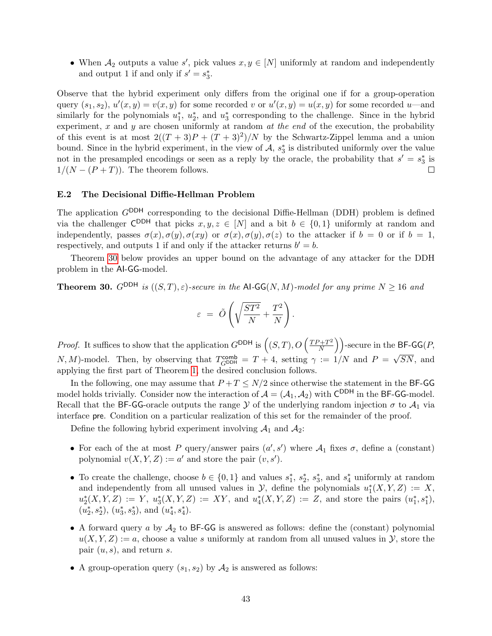• When  $A_2$  outputs a value s', pick values  $x, y \in [N]$  uniformly at random and independently and output 1 if and only if  $s' = s_3^*$ .

Observe that the hybrid experiment only differs from the original one if for a group-operation query  $(s_1, s_2)$ ,  $u'(x, y) = v(x, y)$  for some recorded v or  $u'(x, y) = u(x, y)$  for some recorded u—and similarly for the polynomials  $u_1^*, u_2^*,$  and  $u_3^*$  corresponding to the challenge. Since in the hybrid experiment, x and y are chosen uniformly at random at the end of the execution, the probability of this event is at most  $2((T+3)P+(T+3)^2)/N$  by the Schwartz-Zippel lemma and a union bound. Since in the hybrid experiment, in the view of  $A$ ,  $s_3^*$  is distributed uniformly over the value not in the presampled encodings or seen as a reply by the oracle, the probability that  $s' = s_3^*$  is  $1/(N-(P+T))$ . The theorem follows. П

### E.2 The Decisional Diffie-Hellman Problem

The application  $G^{\text{DDH}}$  corresponding to the decisional Diffie-Hellman (DDH) problem is defined via the challenger  $C^{DDH}$  that picks  $x, y, z \in [N]$  and a bit  $b \in \{0, 1\}$  uniformly at random and independently, passes  $\sigma(x)$ ,  $\sigma(y)$ ,  $\sigma(xy)$  or  $\sigma(x)$ ,  $\sigma(y)$ ,  $\sigma(z)$  to the attacker if  $b = 0$  or if  $b = 1$ , respectively, and outputs 1 if and only if the attacker returns  $b' = b$ .

Theorem [30](#page-43-0) below provides an upper bound on the advantage of any attacker for the DDH problem in the AI-GG-model.

<span id="page-43-0"></span>**Theorem 30.**  $G^{\text{DDH}}$  is  $((S, T), \varepsilon)$ -secure in the AI-GG(N, M)-model for any prime  $N \geq 16$  and

$$
\varepsilon = \tilde{O}\left(\sqrt{\frac{ST^2}{N}} + \frac{T^2}{N}\right).
$$

*Proof.* It suffices to show that the application  $G^{\text{DDH}}$  is  $\left( (S,T), O\left( \frac{TP+T^2}{N} \right) \right)$  $\binom{P+T^2}{N}$  )-secure in the BF-GG(*P*, N, M)-model. Then, by observing that  $T_{G}^{\text{comb}} = T + 4$ , setting  $\gamma := 1/N$  and  $P =$ √ SN, and applying the first part of Theorem [1,](#page-9-0) the desired conclusion follows.

In the following, one may assume that  $P+T \leq N/2$  since otherwise the statement in the BF-GG model holds trivially. Consider now the interaction of  $A = (A_1, A_2)$  with  $C^{DDH}$  in the BF-GG-model. Recall that the BF-GG-oracle outputs the range Y of the underlying random injection  $\sigma$  to  $\mathcal{A}_1$  via interface pre. Condition on a particular realization of this set for the remainder of the proof.

Define the following hybrid experiment involving  $A_1$  and  $A_2$ :

- For each of the at most P query/answer pairs  $(a', s')$  where  $\mathcal{A}_1$  fixes  $\sigma$ , define a (constant) polynomial  $v(X, Y, Z) := a'$  and store the pair  $(v, s')$ .
- To create the challenge, choose  $b \in \{0,1\}$  and values  $s_1^*, s_2^*, s_3^*,$  and  $s_4^*$  uniformly at random and independently from all unused values in  $\mathcal{Y}$ , define the polynomials  $u_1^*(X, Y, Z) := X$ ,  $u_2^*(X, Y, Z) := Y$ ,  $u_3^*(X, Y, Z) := XY$ , and  $u_4^*(X, Y, Z) := Z$ , and store the pairs  $(u_1^*, s_1^*)$ ,  $(u_2^*, s_2^*), (u_3^*, s_3^*),$  and  $(u_4^*, s_4^*).$
- A forward query a by  $A_2$  to BF-GG is answered as follows: define the (constant) polynomial  $u(X, Y, Z) := a$ , choose a value s uniformly at random from all unused values in  $Y$ , store the pair  $(u, s)$ , and return s.
- A group-operation query  $(s_1, s_2)$  by  $\mathcal{A}_2$  is answered as follows: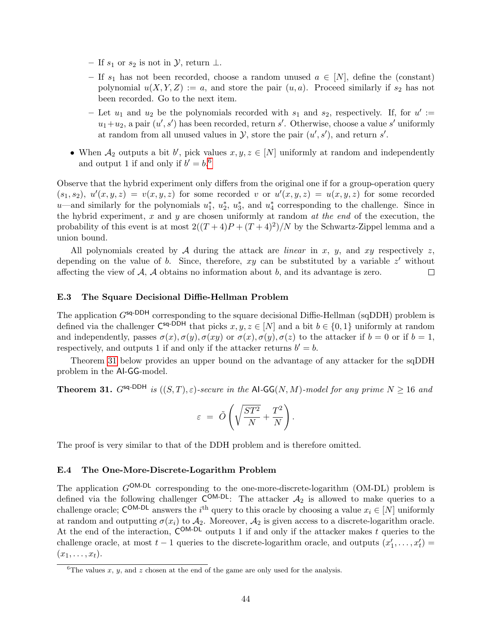- If  $s_1$  or  $s_2$  is not in  $\mathcal{Y}$ , return  $\perp$ .
- If  $s_1$  has not been recorded, choose a random unused  $a \in [N]$ , define the (constant) polynomial  $u(X, Y, Z) := a$ , and store the pair  $(u, a)$ . Proceed similarly if  $s_2$  has not been recorded. Go to the next item.
- Let  $u_1$  and  $u_2$  be the polynomials recorded with  $s_1$  and  $s_2$ , respectively. If, for  $u' :=$  $u_1+u_2$ , a pair  $(u', s')$  has been recorded, return s'. Otherwise, choose a value s' uniformly at random from all unused values in  $\mathcal{Y}$ , store the pair  $(u', s')$ , and return s'.
- When  $A_2$  outputs a bit b', pick values  $x, y, z \in [N]$  uniformly at random and independently and output 1 if and only if  $b' = b$ .<sup>[6](#page-44-0)</sup>

Observe that the hybrid experiment only differs from the original one if for a group-operation query  $(s_1, s_2), u'(x, y, z) = v(x, y, z)$  for some recorded v or  $u'(x, y, z) = u(x, y, z)$  for some recorded u—and similarly for the polynomials  $u_1^*, u_2^*, u_3^*$ , and  $u_4^*$  corresponding to the challenge. Since in the hybrid experiment,  $x$  and  $y$  are chosen uniformly at random  $at$  the end of the execution, the probability of this event is at most  $2((T+4)P+(T+4)^2)/N$  by the Schwartz-Zippel lemma and a union bound.

All polynomials created by A during the attack are *linear* in x, y, and xy respectively z, depending on the value of b. Since, therefore,  $xy$  can be substituted by a variable  $z'$  without affecting the view of  $A$ ,  $A$  obtains no information about  $b$ , and its advantage is zero.  $\Box$ 

# E.3 The Square Decisional Diffie-Hellman Problem

The application  $G<sup>sq-DDH</sup>$  corresponding to the square decisional Diffie-Hellman (sqDDH) problem is defined via the challenger  $C^{sq-DDH}$  that picks  $x, y, z \in [N]$  and a bit  $b \in \{0, 1\}$  uniformly at random and independently, passes  $\sigma(x)$ ,  $\sigma(y)$ ,  $\sigma(xy)$  or  $\sigma(x)$ ,  $\sigma(y)$ ,  $\sigma(z)$  to the attacker if  $b = 0$  or if  $b = 1$ , respectively, and outputs 1 if and only if the attacker returns  $b' = b$ .

Theorem [31](#page-44-1) below provides an upper bound on the advantage of any attacker for the sqDDH problem in the AI-GG-model.

<span id="page-44-1"></span>**Theorem 31.** G<sup>sq-DDH</sup> is  $((S, T), \varepsilon)$ -secure in the AI-GG(N, M)-model for any prime  $N \geq 16$  and

$$
\varepsilon = \tilde{O}\left(\sqrt{\frac{ST^2}{N}} + \frac{T^2}{N}\right).
$$

The proof is very similar to that of the DDH problem and is therefore omitted.

# E.4 The One-More-Discrete-Logarithm Problem

The application  $G^{\text{OM-DL}}$  corresponding to the one-more-discrete-logarithm (OM-DL) problem is defined via the following challenger  $C^{OM-DL}$ : The attacker  $\mathcal{A}_2$  is allowed to make queries to a challenge oracle;  $C^{OM-DL}$  answers the *i*<sup>th</sup> query to this oracle by choosing a value  $x_i \in [N]$  uniformly at random and outputting  $\sigma(x_i)$  to  $\mathcal{A}_2$ . Moreover,  $\mathcal{A}_2$  is given access to a discrete-logarithm oracle. At the end of the interaction,  $\mathsf{C}^{\mathsf{OM}\text{-}\mathsf{DL}}$  outputs 1 if and only if the attacker makes t queries to the challenge oracle, at most  $t-1$  queries to the discrete-logarithm oracle, and outputs  $(x'_1, \ldots, x'_t)$  $(x_1,\ldots,x_t).$ 

<span id="page-44-0"></span><sup>&</sup>lt;sup>6</sup>The values x, y, and z chosen at the end of the game are only used for the analysis.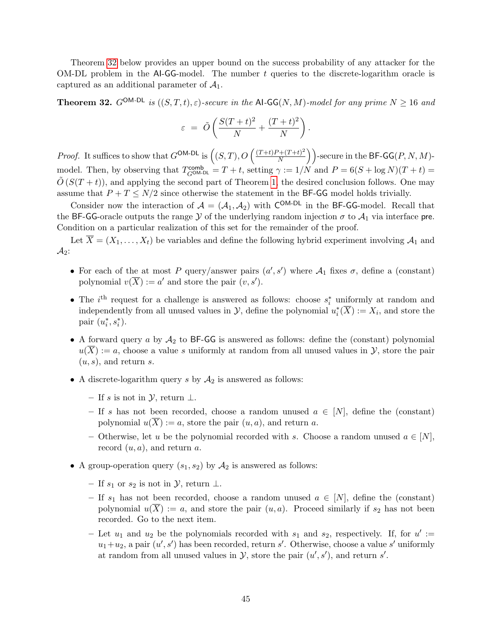Theorem [32](#page-45-0) below provides an upper bound on the success probability of any attacker for the OM-DL problem in the AI-GG-model. The number t queries to the discrete-logarithm oracle is captured as an additional parameter of  $A_1$ .

<span id="page-45-0"></span>**Theorem 32.**  $G^{OM-DL}$  is  $((S, T, t), \varepsilon)$ -secure in the AI-GG(N, M)-model for any prime  $N \ge 16$  and

$$
\varepsilon = \tilde{O}\left(\frac{S(T+t)^2}{N} + \frac{(T+t)^2}{N}\right).
$$

*Proof.* It suffices to show that  $G^{\text{OM-DL}}$  is  $\left( (S,T), O\left(\frac{(T+t)P+(T+t)^2}{N}\right)\right)$  $\left(\frac{N+(T+t)^2}{N}\right)\Big)$ -secure in the <code>BF-GG( $P, N, M$ )-</code> model. Then, by observing that  $T_{G^{OM-DL}}^{comb} = T + t$ , setting  $\gamma := 1/N$  and  $P = 6(S + \log N)(T + t) =$  $O(S(T + t))$ , and applying the second part of Theorem [1,](#page-9-0) the desired conclusion follows. One may assume that  $P + T \leq N/2$  since otherwise the statement in the BF-GG model holds trivially.

Consider now the interaction of  $A = (A_1, A_2)$  with  $C^{OM-DL}$  in the BF-GG-model. Recall that the BF-GG-oracle outputs the range Y of the underlying random injection  $\sigma$  to  $\mathcal{A}_1$  via interface pre. Condition on a particular realization of this set for the remainder of the proof.

Let  $\overline{X} = (X_1, \ldots, X_t)$  be variables and define the following hybrid experiment involving  $\mathcal{A}_1$  and  $\mathcal{A}_2$ :

- For each of the at most P query/answer pairs  $(a', s')$  where  $\mathcal{A}_1$  fixes  $\sigma$ , define a (constant) polynomial  $v(\overline{X}) := a'$  and store the pair  $(v, s')$ .
- The  $i<sup>th</sup>$  request for a challenge is answered as follows: choose  $s_i^*$  uniformly at random and independently from all unused values in  $\mathcal{Y}$ , define the polynomial  $u_i^*(\overline{X}) := X_i$ , and store the pair  $(u_i^*, s_i^*)$ .
- A forward query a by  $A_2$  to BF-GG is answered as follows: define the (constant) polynomial  $u(X) := a$ , choose a value s uniformly at random from all unused values in Y, store the pair  $(u, s)$ , and return s.
- A discrete-logarithm query s by  $A_2$  is answered as follows:
	- If s is not in  $\mathcal{Y}$ , return  $\perp$ .
	- If s has not been recorded, choose a random unused  $a \in [N]$ , define the (constant) polynomial  $u(\overline{X}) := a$ , store the pair  $(u, a)$ , and return a.
	- Otherwise, let u be the polynomial recorded with s. Choose a random unused  $a \in [N]$ , record  $(u, a)$ , and return a.
- A group-operation query  $(s_1, s_2)$  by  $\mathcal{A}_2$  is answered as follows:
	- If  $s_1$  or  $s_2$  is not in  $\mathcal{Y}$ , return  $\perp$ .
	- If  $s_1$  has not been recorded, choose a random unused  $a \in [N]$ , define the (constant) polynomial  $u(\overline{X}) := a$ , and store the pair  $(u, a)$ . Proceed similarly if  $s_2$  has not been recorded. Go to the next item.
	- Let  $u_1$  and  $u_2$  be the polynomials recorded with  $s_1$  and  $s_2$ , respectively. If, for  $u' :=$  $u_1 + u_2$ , a pair  $(u', s')$  has been recorded, return s'. Otherwise, choose a value s' uniformly at random from all unused values in  $\mathcal{Y}$ , store the pair  $(u', s')$ , and return s'.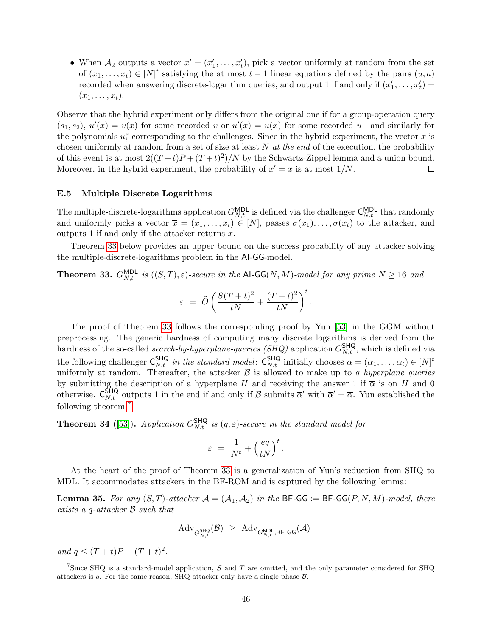• When  $A_2$  outputs a vector  $\overline{x}' = (x'_1, \ldots, x'_t)$ , pick a vector uniformly at random from the set of  $(x_1, \ldots, x_t) \in [N]^t$  satisfying the at most  $t-1$  linear equations defined by the pairs  $(u, a)$ recorded when answering discrete-logarithm queries, and output 1 if and only if  $(x'_1, \ldots, x'_t)$  $(x_1,\ldots,x_t).$ 

Observe that the hybrid experiment only differs from the original one if for a group-operation query  $(s_1, s_2), u'(\overline{x}) = v(\overline{x})$  for some recorded v or  $u'(\overline{x}) = u(\overline{x})$  for some recorded u—and similarly for the polynomials  $u_i^*$  corresponding to the challenges. Since in the hybrid experiment, the vector  $\bar{x}$  is chosen uniformly at random from a set of size at least  $N$  at the end of the execution, the probability of this event is at most  $2((T+t)P+(T+t)^2)/N$  by the Schwartz-Zippel lemma and a union bound. Moreover, in the hybrid experiment, the probability of  $\overline{x}' = \overline{x}$  is at most  $1/N$ .  $\Box$ 

# E.5 Multiple Discrete Logarithms

The multiple-discrete-logarithms application  $G_{N,t}^{\text{MDL}}$  is defined via the challenger  $C_{N,t}^{\text{MDL}}$  that randomly and uniformly picks a vector  $\bar{x} = (x_1, \ldots, x_t) \in [N]$ , passes  $\sigma(x_1), \ldots, \sigma(x_t)$  to the attacker, and outputs 1 if and only if the attacker returns  $x$ .

Theorem [33](#page-46-0) below provides an upper bound on the success probability of any attacker solving the multiple-discrete-logarithms problem in the AI-GG-model.

<span id="page-46-0"></span>**Theorem 33.**  $G_{N,t}^{\text{MDL}}$  is  $((S,T),\varepsilon)$ -secure in the AI-GG(N, M)-model for any prime  $N \geq 16$  and

$$
\varepsilon ~=~ \tilde{O}\left(\frac{S(T+t)^2}{tN}+\frac{(T+t)^2}{tN}\right)^t.
$$

The proof of Theorem [33](#page-46-0) follows the corresponding proof by Yun [\[53\]](#page-27-2) in the GGM without preprocessing. The generic hardness of computing many discrete logarithms is derived from the hardness of the so-called *search-by-hyperplane-queries (SHQ)* application  $G_{N,t}^{\text{SHQ}}$ , which is defined via the following challenger  $\mathsf{C}_{N,t}^{\mathsf{SHQ}}$  in the standard model:  $\mathsf{C}_{N,t}^{\mathsf{SHQ}}$  initially chooses  $\overline{\alpha} = (\alpha_1, \dots, \alpha_t) \in [N]^t$ uniformly at random. Thereafter, the attacker  $\beta$  is allowed to make up to q hyperplane queries by submitting the description of a hyperplane H and receiving the answer 1 if  $\bar{\alpha}$  is on H and 0 otherwise.  $C_{N,t}^{\text{SHQ}}$  outputs 1 in the end if and only if B submits  $\overline{\alpha}'$  with  $\overline{\alpha}' = \overline{\alpha}$ . Yun established the following theorem:[7](#page-46-1)

**Theorem 34** ([\[53\]](#page-27-2)). Application  $G_{N,t}^{\text{SHQ}}$  is  $(q, \varepsilon)$ -secure in the standard model for

$$
\varepsilon ~=~ \frac{1}{N^t}+\left(\frac{eq}{tN}\right)^t.
$$

At the heart of the proof of Theorem [33](#page-46-0) is a generalization of Yun's reduction from SHQ to MDL. It accommodates attackers in the BF-ROM and is captured by the following lemma:

<span id="page-46-2"></span>**Lemma 35.** For any  $(S, T)$ -attacker  $A = (A_1, A_2)$  in the BF-GG := BF-GG(P, N, M)-model, there exists a q-attacker B such that

$$
\mathrm{Adv}_{G_{N,t}^{\mathsf{SHQ}}}(\mathcal{B}) \ \geq \ \mathrm{Adv}_{G_{N,t}^{\mathsf{MDL}},\mathsf{BF-GG}}(\mathcal{A})
$$

and  $q \leq (T+t)P + (T+t)^2$ .

<span id="page-46-1"></span><sup>&</sup>lt;sup>7</sup>Since SHQ is a standard-model application, S and T are omitted, and the only parameter considered for SHQ attackers is q. For the same reason, SHQ attacker only have a single phase  $\mathcal{B}$ .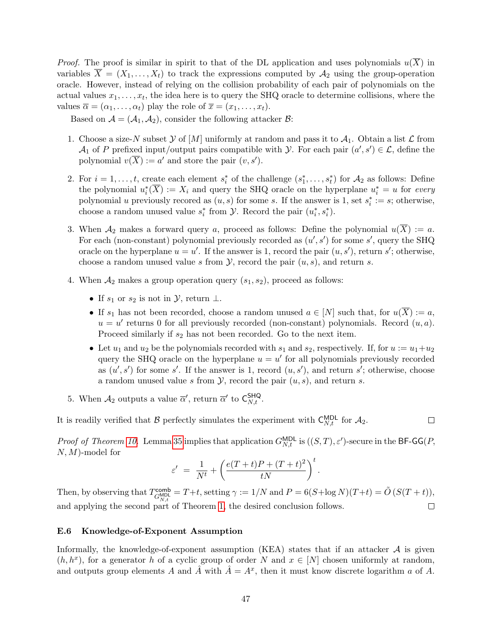*Proof.* The proof is similar in spirit to that of the DL application and uses polynomials  $u(\overline{X})$  in variables  $\overline{X} = (X_1, \ldots, X_t)$  to track the expressions computed by  $\mathcal{A}_2$  using the group-operation oracle. However, instead of relying on the collision probability of each pair of polynomials on the actual values  $x_1, \ldots, x_t$ , the idea here is to query the SHQ oracle to determine collisions, where the values  $\overline{\alpha} = (\alpha_1, \ldots, \alpha_t)$  play the role of  $\overline{x} = (x_1, \ldots, x_t)$ .

Based on  $A = (A_1, A_2)$ , consider the following attacker B:

- 1. Choose a size-N subset Y of [M] uniformly at random and pass it to  $A_1$ . Obtain a list L from  $\mathcal{A}_1$  of P prefixed input/output pairs compatible with  $\mathcal{Y}$ . For each pair  $(a', s') \in \mathcal{L}$ , define the polynomial  $v(\overline{X}) := a'$  and store the pair  $(v, s')$ .
- 2. For  $i = 1, \ldots, t$ , create each element  $s_i^*$  of the challenge  $(s_1^*, \ldots, s_t^*)$  for  $\mathcal{A}_2$  as follows: Define the polynomial  $u_i^*(\overline{X}) := X_i$  and query the SHQ oracle on the hyperplane  $u_i^* = u$  for every polynomial u previously recored as  $(u, s)$  for some s. If the answer is 1, set  $s_i^* := s$ ; otherwise, choose a random unused value  $s_i^*$  from  $\mathcal Y$ . Record the pair  $(u_i^*, s_i^*)$ .
- 3. When  $\mathcal{A}_2$  makes a forward query a, proceed as follows: Define the polynomial  $u(\overline{X}) := a$ . For each (non-constant) polynomial previously recorded as  $(u', s')$  for some s', query the SHQ oracle on the hyperplane  $u = u'$ . If the answer is 1, record the pair  $(u, s')$ , return s'; otherwise, choose a random unused value s from  $\mathcal{Y}$ , record the pair  $(u, s)$ , and return s.
- 4. When  $A_2$  makes a group operation query  $(s_1, s_2)$ , proceed as follows:
	- If  $s_1$  or  $s_2$  is not in  $\mathcal{Y}$ , return  $\perp$ .
	- If  $s_1$  has not been recorded, choose a random unused  $a \in [N]$  such that, for  $u(\overline{X}) := a$ ,  $u = u'$  returns 0 for all previously recorded (non-constant) polynomials. Record  $(u, a)$ . Proceed similarly if  $s_2$  has not been recorded. Go to the next item.
	- Let  $u_1$  and  $u_2$  be the polynomials recorded with  $s_1$  and  $s_2$ , respectively. If, for  $u := u_1 + u_2$ query the SHQ oracle on the hyperplane  $u = u'$  for all polynomials previously recorded as  $(u', s')$  for some s'. If the answer is 1, record  $(u, s')$ , and return s'; otherwise, choose a random unused value s from  $\mathcal{Y}$ , record the pair  $(u, s)$ , and return s.

 $\Box$ 

5. When  $\mathcal{A}_2$  outputs a value  $\overline{\alpha}'$ , return  $\overline{\alpha}'$  to  $\mathsf{C}_{N,t}^{\mathsf{SHQ}}$ .

It is readily verified that B perfectly simulates the experiment with  $C_{N,t}^{\text{MDL}}$  for  $\mathcal{A}_2$ .

*Proof of Theorem [10.](#page-20-0)* Lemma [35](#page-46-2) implies that application  $G_{N,t}^{\text{MDL}}$  is  $((S,T),\varepsilon')$ -secure in the BF-GG(P,  $N, M$ -model for

$$
\varepsilon' \ = \ \frac{1}{N^t} + \left(\frac{e(T+t)P + (T+t)^2}{tN}\right)^t.
$$

Then, by observing that  $T_{G_{N,t}^{\text{NUDL}}}^{\text{comb}} = T+t$ , setting  $\gamma := 1/N$  and  $P = 6(S + \log N)(T+t) = \tilde{O}(S(T+t)),$ and applying the second part of Theorem [1,](#page-9-0) the desired conclusion follows.  $\Box$ 

# E.6 Knowledge-of-Exponent Assumption

Informally, the knowledge-of-exponent assumption (KEA) states that if an attacker  $A$  is given  $(h, h^x)$ , for a generator h of a cyclic group of order N and  $x \in [N]$  chosen uniformly at random, and outputs group elements A and  $\hat{A}$  with  $\hat{A} = A^x$ , then it must know discrete logarithm a of A.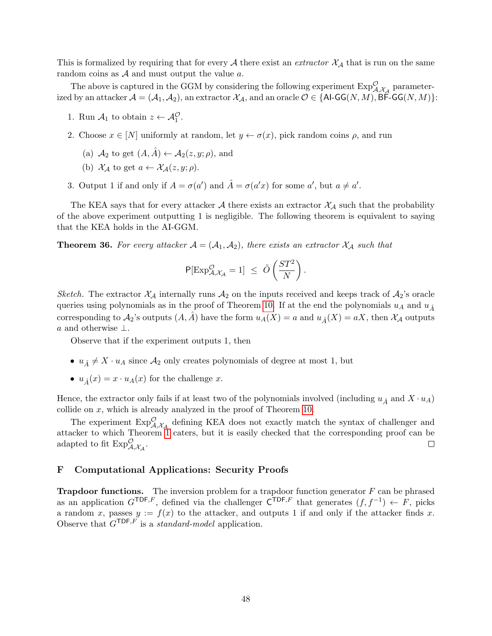This is formalized by requiring that for every A there exist an *extractor*  $\mathcal{X}_{\mathcal{A}}$  that is run on the same random coins as  $A$  and must output the value  $a$ .

The above is captured in the GGM by considering the following experiment  $\text{Exp}^{\mathcal{O}}_{\mathcal{A},\mathcal{X}_{\mathcal{A}}}$  parameterized by an attacker  $\mathcal{A} = (\mathcal{A}_1, \mathcal{A}_2)$ , an extractor  $\mathcal{X}_\mathcal{A}$ , and an oracle  $\mathcal{O} \in \{\mathsf{Al}\text{-}\mathsf{GG}(N,M),\mathsf{BF}\text{-}\mathsf{GG}(N,M)\}$ :

- 1. Run  $A_1$  to obtain  $z \leftarrow A_1^{\mathcal{O}}$ .
- 2. Choose  $x \in [N]$  uniformly at random, let  $y \leftarrow \sigma(x)$ , pick random coins  $\rho$ , and run
	- (a)  $\mathcal{A}_2$  to get  $(A, \hat{A}) \leftarrow \mathcal{A}_2(z, y; \rho)$ , and
	- (b)  $\mathcal{X}_{\mathcal{A}}$  to get  $a \leftarrow \mathcal{X}_{\mathcal{A}}(z, y; \rho)$ .
- 3. Output 1 if and only if  $A = \sigma(a')$  and  $\hat{A} = \sigma(a'x)$  for some a', but  $a \neq a'$ .

The KEA says that for every attacker  $\mathcal A$  there exists an extractor  $\mathcal X_{\mathcal A}$  such that the probability of the above experiment outputting 1 is negligible. The following theorem is equivalent to saying that the KEA holds in the AI-GGM.

**Theorem 36.** For every attacker  $A = (A_1, A_2)$ , there exists an extractor  $X_A$  such that

$$
\mathsf{P}[\mathrm{Exp}^{\mathcal{O}}_{\mathcal{A},\mathcal{X}_{\mathcal{A}}} = 1] \le \tilde{O}\left(\frac{ST^2}{N}\right).
$$

Sketch. The extractor  $\mathcal{X}_{\mathcal{A}}$  internally runs  $\mathcal{A}_2$  on the inputs received and keeps track of  $\mathcal{A}_2$ 's oracle queries using polynomials as in the proof of Theorem [10.](#page-20-0) If at the end the polynomials  $u_A$  and  $u_{\hat{A}}$ corresponding to  $\mathcal{A}_2$ 's outputs  $(A, \hat{A})$  have the form  $u_A(X) = a$  and  $u_{\hat{A}}(X) = aX$ , then  $\mathcal{X}_A$  outputs a and otherwise  $\perp$ .

Observe that if the experiment outputs 1, then

- $u_{\hat{A}} \neq X \cdot u_A$  since  $\mathcal{A}_2$  only creates polynomials of degree at most 1, but
- $u_{\hat{A}}(x) = x \cdot u_A(x)$  for the challenge x.

Hence, the extractor only fails if at least two of the polynomials involved (including  $u_{\hat{A}}$  and  $X \cdot u_A$ ) collide on  $x$ , which is already analyzed in the proof of Theorem [10.](#page-20-0)

The experiment  $Exp_{A,\mathcal{X}_{A}}^{\mathcal{O}}$  defining KEA does not exactly match the syntax of challenger and attacker to which Theorem [1](#page-9-0) caters, but it is easily checked that the corresponding proof can be adapted to fit  $\text{Exp}_{\mathcal{A},\mathcal{X}_{\mathcal{A}}}^{\mathcal{O}}$ . □

# <span id="page-48-0"></span>F Computational Applications: Security Proofs

**Trapdoor functions.** The inversion problem for a trapdoor function generator  $F$  can be phrased as an application  $G^{\text{TOP},F}$ , defined via the challenger  $C^{\text{TOP},F}$  that generates  $(f, f^{-1}) \leftarrow F$ , picks a random x, passes  $y := f(x)$  to the attacker, and outputs 1 if and only if the attacker finds x. Observe that  $G^{\text{TOP}, F}$  is a *standard-model* application.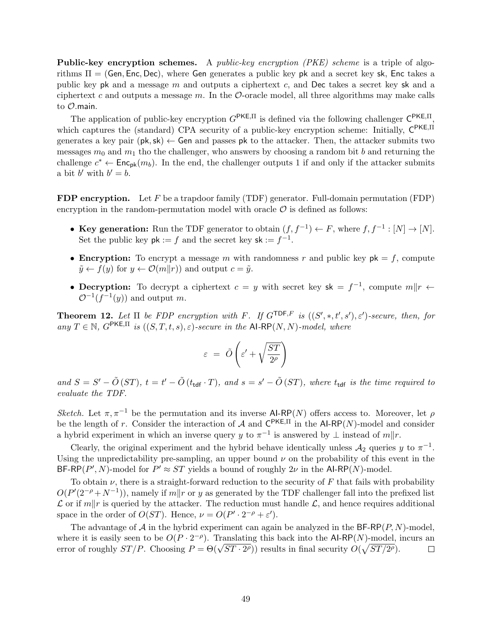Public-key encryption schemes. A *public-key encryption (PKE) scheme* is a triple of algorithms  $\Pi = (Gen, Enc, Dec)$ , where Gen generates a public key pk and a secret key sk, Enc takes a public key pk and a message m and outputs a ciphertext c, and Dec takes a secret key sk and a ciphertext c and outputs a message  $m$ . In the  $\mathcal{O}$ -oracle model, all three algorithms may make calls to O.main.

The application of public-key encryption  $G^{\mathsf{PKE},\Pi}$  is defined via the following challenger  $C^{\mathsf{PKE},\Pi}$ , which captures the (standard) CPA security of a public-key encryption scheme: Initially, C<sup>PKE,Π</sup> generates a key pair  $(\mathsf{pk}, \mathsf{sk}) \leftarrow$  Gen and passes pk to the attacker. Then, the attacker submits two messages  $m_0$  and  $m_1$  tho the challenger, who answers by choosing a random bit b and returning the challenge  $c^* \leftarrow \mathsf{Enc}_{\mathsf{pk}}(m_b)$ . In the end, the challenger outputs 1 if and only if the attacker submits a bit  $b'$  with  $b' = b$ .

FDP encryption. Let F be a trapdoor family (TDF) generator. Full-domain permutation (FDP) encryption in the random-permutation model with oracle  $\mathcal O$  is defined as follows:

- Key generation: Run the TDF generator to obtain  $(f, f^{-1}) \leftarrow F$ , where  $f, f^{-1} : [N] \rightarrow [N]$ . Set the public key  $pk := f$  and the secret key  $sk := f^{-1}$ .
- Encryption: To encrypt a message m with randomness r and public key  $pk = f$ , compute  $\tilde{y} \leftarrow f(y)$  for  $y \leftarrow \mathcal{O}(m||r)$  and output  $c = \tilde{y}$ .
- Decryption: To decrypt a ciphertext  $c = y$  with secret key sk =  $f^{-1}$ , compute  $m||r \leftarrow$  $\mathcal{O}^{-1}(f^{-1}(y))$  and output m.

**Theorem 12.** Let  $\Pi$  be FDP encryption with F. If  $G^{TDF,F}$  is  $((S',*,t',s'),\varepsilon')$ -secure, then, for any  $T \in \mathbb{N}$ ,  $G^{\text{PKE},\Pi}$  is  $((S, T, t, s), \varepsilon)$ -secure in the AI-RP(N, N)-model, where

$$
\varepsilon = \tilde{O}\left(\varepsilon' + \sqrt{\frac{ST}{2^{\rho}}}\right)
$$

and  $S = S' - \tilde{O}(ST)$ ,  $t = t' - \tilde{O}(t_{tdf} \cdot T)$ , and  $s = s' - \tilde{O}(ST)$ , where  $t_{tdf}$  is the time required to evaluate the TDF.

Sketch. Let  $\pi, \pi^{-1}$  be the permutation and its inverse AI-RP(N) offers access to. Moreover, let  $\rho$ be the length of r. Consider the interaction of A and  $C^{PKE,\Pi}$  in the Al-RP(N)-model and consider a hybrid experiment in which an inverse query y to  $\pi^{-1}$  is answered by  $\perp$  instead of  $m||r$ .

Clearly, the original experiment and the hybrid behave identically unless  $A_2$  queries y to  $\pi^{-1}$ . Using the unpredictability pre-sampling, an upper bound  $\nu$  on the probability of this event in the BF-RP(P', N)-model for  $P' \approx ST$  yields a bound of roughly  $2\nu$  in the Al-RP(N)-model.

To obtain  $\nu$ , there is a straight-forward reduction to the security of F that fails with probability  $O(P'(2^{-\rho}+N^{-1}))$ , namely if  $m||r$  or y as generated by the TDF challenger fall into the prefixed list  $\mathcal L$  or if  $m||r$  is queried by the attacker. The reduction must handle  $\mathcal L$ , and hence requires additional space in the order of  $O(ST)$ . Hence,  $\nu = O(P' \cdot 2^{-\rho} + \varepsilon')$ .

The advantage of A in the hybrid experiment can again be analyzed in the  $BF-RP(P, N)$ -model, where it is easily seen to be  $O(P \cdot 2^{-\rho})$ . Translating this back into the Al-RP(N)-model, incurs an where it is easily seen to be  $O(P \cdot 2^{-p})$ . Iranslating this back into the Al-RP(N)-model, if error of roughly  $ST/P$ . Choosing  $P = \Theta(\sqrt{ST \cdot 2^p})$  results in final security  $O(\sqrt{ST/2^p})$ .  $\Box$